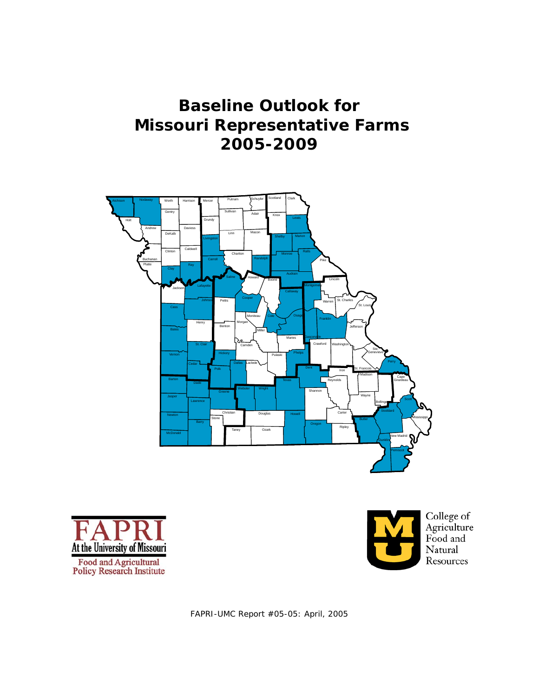# **Baseline Outlook for Missouri Representative Farms 2005-2009**







FAPRI-UMC Report #05-05: April, 2005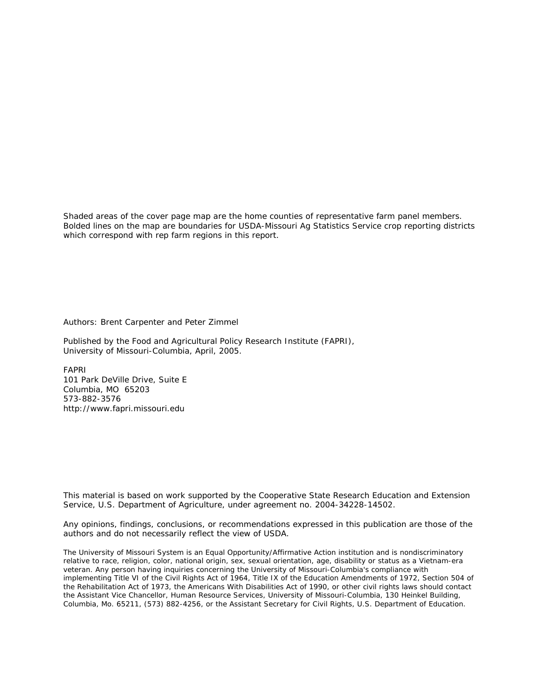Shaded areas of the cover page map are the home counties of representative farm panel members. Bolded lines on the map are boundaries for USDA-Missouri Ag Statistics Service crop reporting districts which correspond with rep farm regions in this report.

Authors: Brent Carpenter and Peter Zimmel

Published by the Food and Agricultural Policy Research Institute (FAPRI), University of Missouri-Columbia, April, 2005.

FAPRI 101 Park DeVille Drive, Suite E Columbia, MO 65203 573-882-3576 http://www.fapri.missouri.edu

This material is based on work supported by the Cooperative State Research Education and Extension Service, U.S. Department of Agriculture, under agreement no. 2004-34228-14502.

Any opinions, findings, conclusions, or recommendations expressed in this publication are those of the authors and do not necessarily reflect the view of USDA.

The University of Missouri System is an Equal Opportunity/Affirmative Action institution and is nondiscriminatory relative to race, religion, color, national origin, sex, sexual orientation, age, disability or status as a Vietnam-era veteran. Any person having inquiries concerning the University of Missouri-Columbia's compliance with implementing Title VI of the Civil Rights Act of 1964, Title IX of the Education Amendments of 1972, Section 504 of the Rehabilitation Act of 1973, the Americans With Disabilities Act of 1990, or other civil rights laws should contact the Assistant Vice Chancellor, Human Resource Services, University of Missouri-Columbia, 130 Heinkel Building, Columbia, Mo. 65211, (573) 882-4256, or the Assistant Secretary for Civil Rights, U.S. Department of Education.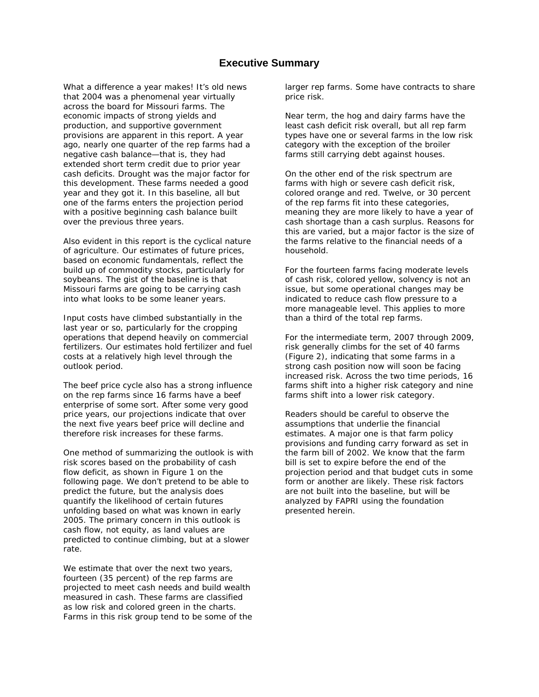### **Executive Summary**

What a difference a year makes! It's old news that 2004 was a phenomenal year virtually across the board for Missouri farms. The economic impacts of strong yields and production, and supportive government provisions are apparent in this report. A year ago, nearly one quarter of the rep farms had a negative cash balance—that is, they had extended short term credit due to prior year cash deficits. Drought was the major factor for this development. These farms needed a good year and they got it. In this baseline, all but one of the farms enters the projection period with a positive beginning cash balance built over the previous three years.

Also evident in this report is the cyclical nature of agriculture. Our estimates of future prices, based on economic fundamentals, reflect the build up of commodity stocks, particularly for soybeans. The gist of the baseline is that Missouri farms are going to be carrying cash into what looks to be some leaner years.

Input costs have climbed substantially in the last year or so, particularly for the cropping operations that depend heavily on commercial fertilizers. Our estimates hold fertilizer and fuel costs at a relatively high level through the outlook period.

The beef price cycle also has a strong influence on the rep farms since 16 farms have a beef enterprise of some sort. After some very good price years, our projections indicate that over the next five years beef price will decline and therefore risk increases for these farms.

One method of summarizing the outlook is with risk scores based on the probability of cash flow deficit, as shown in Figure 1 on the following page. We don't pretend to be able to predict the future, but the analysis does quantify the likelihood of certain futures unfolding based on what was known in early 2005. The primary concern in this outlook is cash flow, not equity, as land values are predicted to continue climbing, but at a slower rate.

We estimate that over the next two years, fourteen (35 percent) of the rep farms are projected to meet cash needs and build wealth measured in cash. These farms are classified as low risk and colored green in the charts. Farms in this risk group tend to be some of the larger rep farms. Some have contracts to share price risk.

Near term, the hog and dairy farms have the least cash deficit risk overall, but all rep farm types have one or several farms in the low risk category with the exception of the broiler farms still carrying debt against houses.

On the other end of the risk spectrum are farms with high or severe cash deficit risk, colored orange and red. Twelve, or 30 percent of the rep farms fit into these categories, meaning they are more likely to have a year of cash shortage than a cash surplus. Reasons for this are varied, but a major factor is the size of the farms relative to the financial needs of a household.

For the fourteen farms facing moderate levels of cash risk, colored yellow, solvency is not an issue, but some operational changes may be indicated to reduce cash flow pressure to a more manageable level. This applies to more than a third of the total rep farms.

For the intermediate term, 2007 through 2009, risk generally climbs for the set of 40 farms (Figure 2), indicating that some farms in a strong cash position now will soon be facing increased risk. Across the two time periods, 16 farms shift into a higher risk category and nine farms shift into a lower risk category.

Readers should be careful to observe the assumptions that underlie the financial estimates. A major one is that farm policy provisions and funding carry forward as set in the farm bill of 2002. We know that the farm bill is set to expire before the end of the projection period and that budget cuts in some form or another are likely. These risk factors are not built into the baseline, but will be analyzed by FAPRI using the foundation presented herein.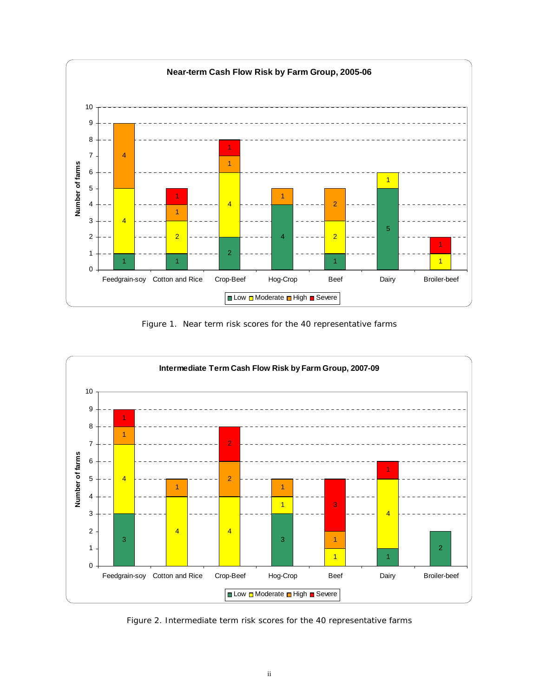

Figure 1. Near term risk scores for the 40 representative farms



Figure 2. Intermediate term risk scores for the 40 representative farms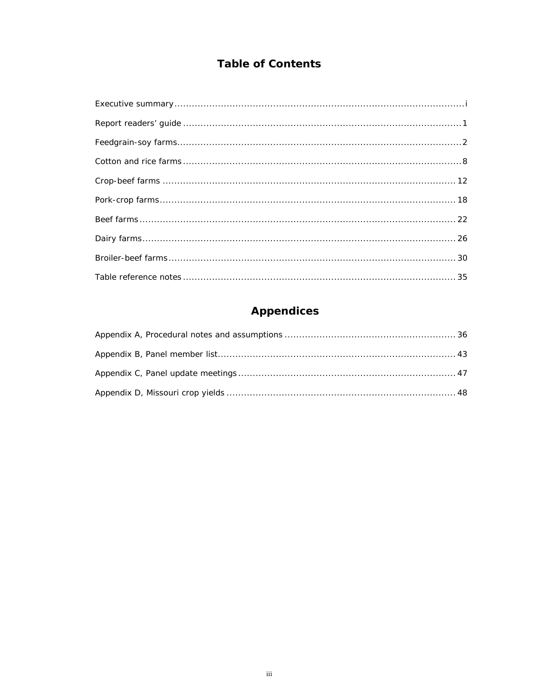## **Table of Contents**

# **Appendices**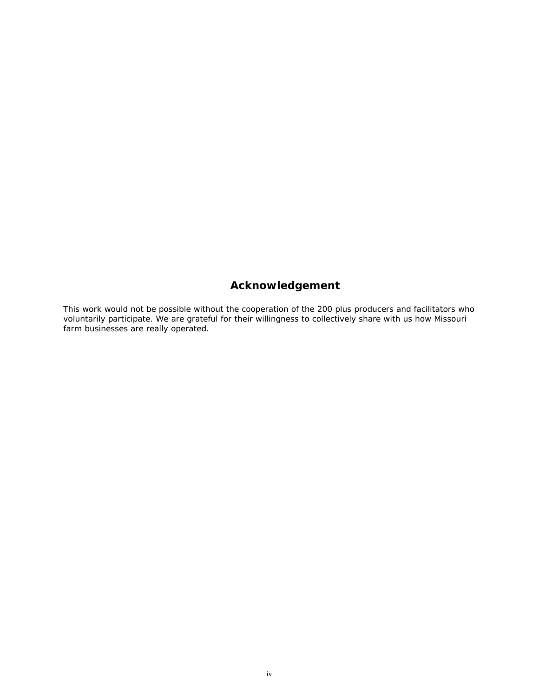## **Acknowledgement**

This work would not be possible without the cooperation of the 200 plus producers and facilitators who voluntarily participate. We are grateful for their willingness to collectively share with us how Missouri farm businesses are really operated.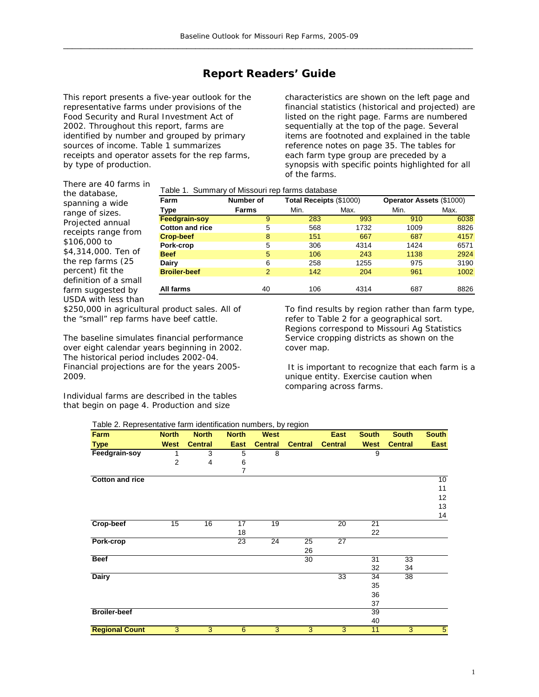## **Report Readers' Guide**

This report presents a five-year outlook for the representative farms under provisions of the Food Security and Rural Investment Act of 2002. Throughout this report, farms are identified by number and grouped by primary sources of income. Table 1 summarizes receipts and operator assets for the rep farms, by type of production.

characteristics are shown on the left page and financial statistics (historical and projected) are listed on the right page. Farms are numbered sequentially at the top of the page. Several items are footnoted and explained in the table reference notes on page 35. The tables for each farm type group are preceded by a synopsis with specific points highlighted for all of the farms.

There are 40 farms i n the database, spanning a wide range of sizes. Projected annual receipts range from \$106,000 to \$4,314,000. Ten of the rep farms (25 percent) fit the definition of a small farm suggested by USDA with less than

Table 1. Summary of Missouri rep farms database

| Farm                   | Number of |      | Total Receipts (\$1000) |      | <b>Operator Assets (\$1000)</b> |
|------------------------|-----------|------|-------------------------|------|---------------------------------|
| Type                   | Farms     | Min. | Max.                    | Min. | Max.                            |
| Feedgrain-soy          | 9         | 283  | 993                     | 910  | 6038                            |
| <b>Cotton and rice</b> | 5         | 568  | 1732                    | 1009 | 8826                            |
| <b>Crop-beef</b>       | 8         | 151  | 667                     | 687  | 4157                            |
| Pork-crop              | 5         | 306  | 4314                    | 1424 | 6571                            |
| <b>Beef</b>            | 5         | 106  | 243                     | 1138 | 2924                            |
| Dairy                  | 6         | 258  | 1255                    | 975  | 3190                            |
| <b>Broiler-beef</b>    | 2         | 142  | 204                     | 961  | 1002                            |
|                        |           |      |                         |      |                                 |
| All farms              | 40        | 106  | 4314                    | 687  | 8826                            |
|                        |           |      |                         |      |                                 |

\$250,000 in agricultural product sales. All of the "small" rep farms have beef cattle.

The baseline simulates financial performance over eight calendar years beginning in 2002. The historical period includes 2002-04. Financial projections are for the years 2005- 2009.

Individual farms are described in the tables that begin on page 4. Production and size

To find results by region rather than farm type, refer to Table 2 for a geographical sort. Regions correspond to Missouri Ag Statistics Service cropping districts as shown on the cover map.

 It is important to recognize that each farm is a unique entity. Exercise caution when comparing across farms.

#### Table 2. Representative farm identification numbers, by region

| Farm                   | <b>North</b>   | <b>North</b>   | <b>North</b> | <b>West</b>    |                | <b>East</b>    | <b>South</b> | <b>South</b>   | <b>South</b> |
|------------------------|----------------|----------------|--------------|----------------|----------------|----------------|--------------|----------------|--------------|
| <b>Type</b>            | <b>West</b>    | <b>Central</b> | <b>East</b>  | <b>Central</b> | <b>Central</b> | <b>Central</b> | <b>West</b>  | <b>Central</b> | East         |
| Feedgrain-soy          | 1              | 3              | 5            | 8              |                |                | 9            |                |              |
|                        | $\overline{2}$ | 4              | 6            |                |                |                |              |                |              |
|                        |                |                | 7            |                |                |                |              |                |              |
| <b>Cotton and rice</b> |                |                |              |                |                |                |              |                | 10           |
|                        |                |                |              |                |                |                |              |                | 11           |
|                        |                |                |              |                |                |                |              |                | 12           |
|                        |                |                |              |                |                |                |              |                | 13           |
|                        |                |                |              |                |                |                |              |                | 14           |
| Crop-beef              | 15             | 16             | 17           | 19             |                | 20             | 21           |                |              |
|                        |                |                | 18           |                |                |                | 22           |                |              |
| Pork-crop              |                |                | 23           | 24             | 25             | 27             |              |                |              |
|                        |                |                |              |                | 26             |                |              |                |              |
| <b>Beef</b>            |                |                |              |                | 30             |                | 31           | 33             |              |
|                        |                |                |              |                |                |                | 32           | 34             |              |
| <b>Dairy</b>           |                |                |              |                |                | 33             | 34           | 38             |              |
|                        |                |                |              |                |                |                | 35           |                |              |
|                        |                |                |              |                |                |                | 36           |                |              |
|                        |                |                |              |                |                |                | 37           |                |              |
| <b>Broiler-beef</b>    |                |                |              |                |                |                | 39           |                |              |
|                        |                |                |              |                |                |                | 40           |                |              |
| <b>Regional Count</b>  | 3              | 3              | 6            | 3              | 3              | 3              | 11           | 3              | 5            |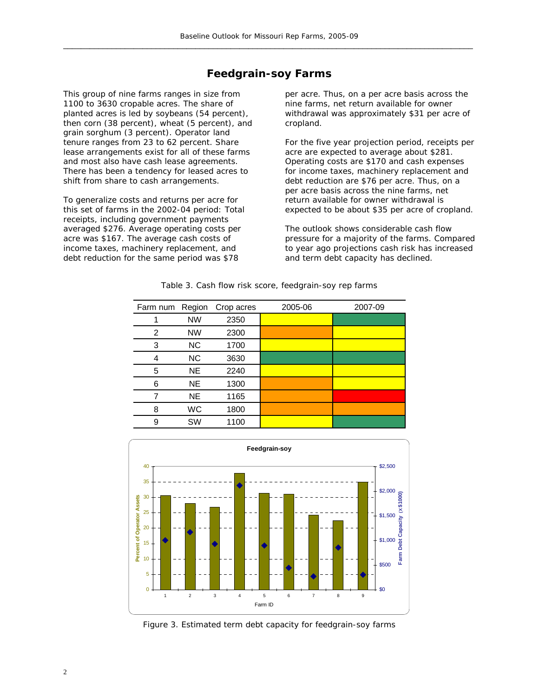### **Feedgrain-soy Farms**

This group of nine farms ranges in size from 1100 to 3630 cropable acres. The share of planted acres is led by soybeans (54 percent), then corn (38 percent), wheat (5 percent), and grain sorghum (3 percent). Operator land tenure ranges from 23 to 62 percent. Share lease arrangements exist for all of these farms and most also have cash lease agreements. There has been a tendency for leased acres to shift from share to cash arrangements.

To generalize costs and returns per acre for this set of farms in the 2002-04 period: Total receipts, including government payments averaged \$276. Average operating costs per acre was \$167. The average cash costs of income taxes, machinery replacement, and debt reduction for the same period was \$78

per acre. Thus, on a per acre basis across the nine farms, net return available for owner withdrawal was approximately \$31 per acre of cropland.

For the five year projection period, receipts per acre are expected to average about \$281. Operating costs are \$170 and cash expenses for income taxes, machinery replacement and debt reduction are \$76 per acre. Thus, on a per acre basis across the nine farms, net return available for owner withdrawal is expected to be about \$35 per acre of cropland.

The outlook shows considerable cash flow pressure for a majority of the farms. Compared to year ago projections cash risk has increased and term debt capacity has declined.

| Farm num | Region    | Crop acres | 2005-06 | 2007-09 |
|----------|-----------|------------|---------|---------|
|          | <b>NW</b> | 2350       |         |         |
| 2        | <b>NW</b> | 2300       |         |         |
| 3        | NC        | 1700       |         |         |
| 4        | <b>NC</b> | 3630       |         |         |
| 5        | <b>NE</b> | 2240       |         |         |
| 6        | <b>NE</b> | 1300       |         |         |
|          | <b>NE</b> | 1165       |         |         |
| 8        | <b>WC</b> | 1800       |         |         |
| 9        | <b>SW</b> | 1100       |         |         |

Table 3. Cash flow risk score, feedgrain-soy rep farms



Figure 3. Estimated term debt capacity for feedgrain-soy farms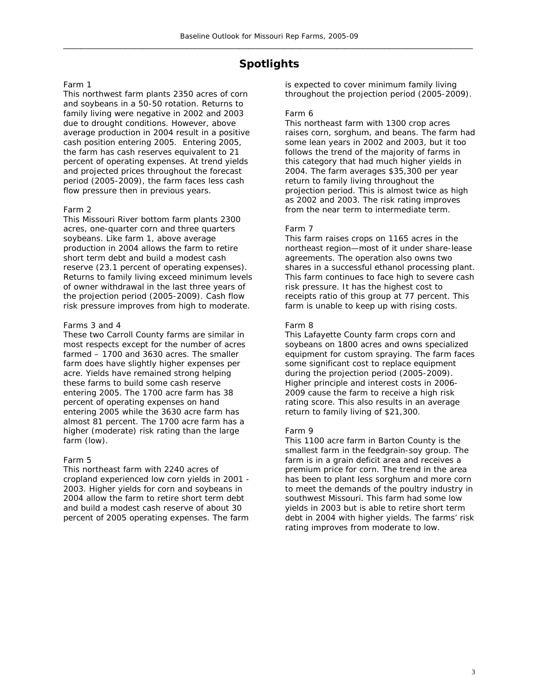## **Spotlights**

#### Farm 1

This northwest farm plants 2350 acres of corn and soybeans in a 50-50 rotation. Returns to family living were negative in 2002 and 2003 due to drought conditions. However, above average production in 2004 result in a positive cash position entering 2005. Entering 2005, the farm has cash reserves equivalent to 21 percent of operating expenses. At trend yields and projected prices throughout the forecast period (2005-2009), the farm faces less cash flow pressure then in previous years.

#### Farm 2

This Missouri River bottom farm plants 2300 acres, one-quarter corn and three quarters soybeans. Like farm 1, above average production in 2004 allows the farm to retire short term debt and build a modest cash reserve (23.1 percent of operating expenses). Returns to family living exceed minimum levels of owner withdrawal in the last three years of the projection period (2005-2009). Cash flow risk pressure improves from high to moderate.

#### Farms 3 and 4

These two Carroll County farms are similar in most respects except for the number of acres farmed – 1700 and 3630 acres. The smaller farm does have slightly higher expenses per acre. Yields have remained strong helping these farms to build some cash reserve entering 2005. The 1700 acre farm has 38 percent of operating expenses on hand entering 2005 while the 3630 acre farm has almost 81 percent. The 1700 acre farm has a higher (moderate) risk rating than the large farm (low).

#### Farm 5

This northeast farm with 2240 acres of cropland experienced low corn yields in 2001 - 2003. Higher yields for corn and soybeans in 2004 allow the farm to retire short term debt and build a modest cash reserve of about 30 percent of 2005 operating expenses. The farm is expected to cover minimum family living throughout the projection period (2005-2009).

#### Farm 6

This northeast farm with 1300 crop acres raises corn, sorghum, and beans. The farm had some lean years in 2002 and 2003, but it too follows the trend of the majority of farms in this category that had much higher yields in 2004. The farm averages \$35,300 per year return to family living throughout the projection period. This is almost twice as high as 2002 and 2003. The risk rating improves from the near term to intermediate term.

#### Farm 7

This farm raises crops on 1165 acres in the northeast region—most of it under share-lease agreements. The operation also owns two shares in a successful ethanol processing plant. This farm continues to face high to severe cash risk pressure. It has the highest cost to receipts ratio of this group at 77 percent. This farm is unable to keep up with rising costs.

#### Farm 8

This Lafayette County farm crops corn and soybeans on 1800 acres and owns specialized equipment for custom spraying. The farm faces some significant cost to replace equipment during the projection period (2005-2009). Higher principle and interest costs in 2006- 2009 cause the farm to receive a high risk rating score. This also results in an average return to family living of \$21,300.

#### Farm 9

This 1100 acre farm in Barton County is the smallest farm in the feedgrain-soy group. The farm is in a grain deficit area and receives a premium price for corn. The trend in the area has been to plant less sorghum and more corn to meet the demands of the poultry industry in southwest Missouri. This farm had some low yields in 2003 but is able to retire short term debt in 2004 with higher yields. The farms' risk rating improves from moderate to low.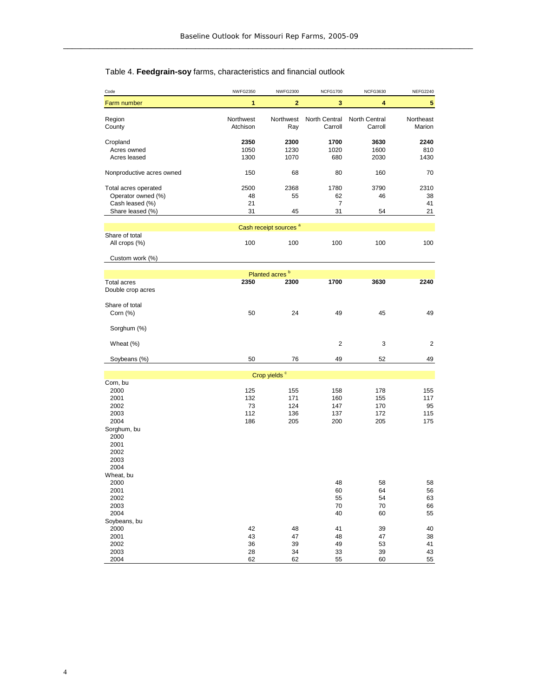## Table 4. **Feedgrain-soy** farms, characteristics and financial outlook

| Code                      | <b>NWFG2350</b>       | <b>NWFG2300</b>                   | <b>NCFG1700</b>          | <b>NCFG3630</b>          | <b>NEFG2240</b>     |
|---------------------------|-----------------------|-----------------------------------|--------------------------|--------------------------|---------------------|
| Farm number               | 1                     | $\overline{2}$                    | 3                        | 4                        | 5                   |
|                           |                       |                                   |                          |                          |                     |
| Region<br>County          | Northwest<br>Atchison | Northwest<br>Ray                  | North Central<br>Carroll | North Central<br>Carroll | Northeast<br>Marion |
|                           |                       |                                   |                          |                          |                     |
| Cropland                  | 2350                  | 2300                              | 1700                     | 3630                     | 2240                |
| Acres owned               | 1050                  | 1230                              | 1020                     | 1600                     | 810                 |
| Acres leased              | 1300                  | 1070                              | 680                      | 2030                     | 1430                |
| Nonproductive acres owned | 150                   | 68                                | 80                       | 160                      | 70                  |
| Total acres operated      | 2500                  | 2368                              | 1780                     | 3790                     | 2310                |
| Operator owned (%)        | 48                    | 55                                | 62                       | 46                       | 38                  |
| Cash leased (%)           | 21                    |                                   | 7                        |                          | 41                  |
| Share leased (%)          | 31                    | 45                                | 31                       | 54                       | 21                  |
|                           |                       | Cash receipt sources <sup>a</sup> |                          |                          |                     |
| Share of total            |                       |                                   |                          |                          |                     |
| All crops (%)             | 100                   | 100                               | 100                      | 100                      | 100                 |
| Custom work (%)           |                       |                                   |                          |                          |                     |
|                           |                       |                                   |                          |                          |                     |
|                           |                       | Planted acres <sup>b</sup>        |                          |                          |                     |
| <b>Total acres</b>        | 2350                  | 2300                              | 1700                     | 3630                     | 2240                |
| Double crop acres         |                       |                                   |                          |                          |                     |
| Share of total            |                       |                                   |                          |                          |                     |
| Corn (%)                  | 50                    | 24                                | 49                       | 45                       | 49                  |
|                           |                       |                                   |                          |                          |                     |
| Sorghum (%)               |                       |                                   |                          |                          |                     |
|                           |                       |                                   | $\overline{c}$           | 3                        | 2                   |
| Wheat (%)                 |                       |                                   |                          |                          |                     |
| Soybeans (%)              | 50                    | 76                                | 49                       | 52                       | 49                  |
|                           |                       |                                   |                          |                          |                     |
|                           |                       | Crop yields <sup>c</sup>          |                          |                          |                     |
| Corn, bu<br>2000          | 125                   | 155                               | 158                      | 178                      | 155                 |
| 2001                      | 132                   | 171                               | 160                      | 155                      | 117                 |
| 2002                      | 73                    | 124                               | 147                      | 170                      | 95                  |
| 2003                      | 112                   | 136                               | 137                      | 172                      | 115                 |
| 2004                      | 186                   | 205                               | 200                      | 205                      | 175                 |
| Sorghum, bu               |                       |                                   |                          |                          |                     |
| 2000                      |                       |                                   |                          |                          |                     |
| 2001                      |                       |                                   |                          |                          |                     |
| 2002                      |                       |                                   |                          |                          |                     |
| 2003                      |                       |                                   |                          |                          |                     |
| 2004                      |                       |                                   |                          |                          |                     |
| Wheat, bu                 |                       |                                   |                          |                          |                     |
| 2000                      |                       |                                   | 48                       | 58                       | 58                  |
| 2001                      |                       |                                   | 60                       | 64                       | 56                  |
| 2002                      |                       |                                   | 55                       | 54                       | 63                  |
| 2003                      |                       |                                   | 70                       | 70                       | 66                  |
| 2004                      |                       |                                   | 40                       | 60                       | 55                  |
| Soybeans, bu              |                       |                                   |                          |                          |                     |
| 2000                      | 42                    | 48                                | 41                       | 39                       | 40                  |
| 2001                      | 43                    | 47                                | 48                       | 47                       | 38                  |
| 2002                      | 36                    | 39                                | 49                       | 53                       | 41                  |
| 2003                      | 28                    | 34                                | 33                       | 39                       | 43                  |
| 2004                      | 62                    | 62                                | 55                       | 60                       | 55                  |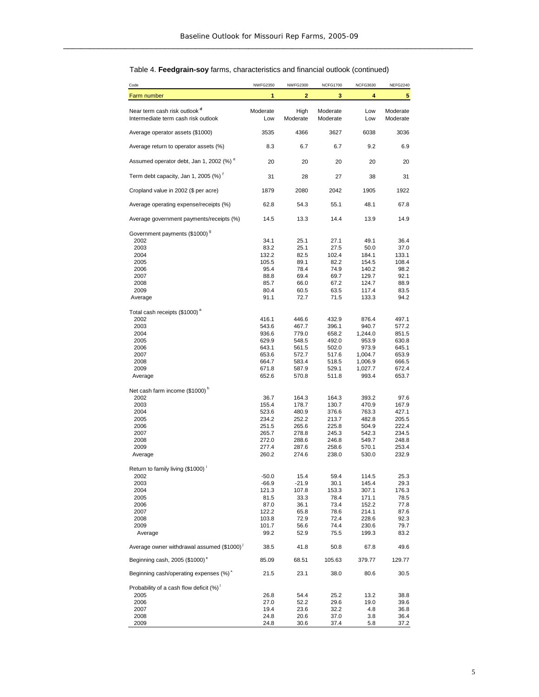#### Code NWFG2350 NWFG2300 NCFG1700 NCFG3630 NEFG2240 Farm number **1234 1234 1234 1234 1234 1234** Near term cash risk outlook<sup>d</sup> **Moderate** High Moderate Low Moderate<br>Intermediate term cash risk outlook **Moderate** Low Moderate Moderate Low Moderate Intermediate term cash risk outlook Low Moderate Moderate Low Moderate Average operator assets (\$1000) 3535 4366 3627 6038 3036 Average return to operator assets (%)  $8.3$  6.7 6.7 9.2 6.9 Assumed operator debt, Jan 1, 2002 (%) <sup>e</sup> 20 20 20 20 20 20 20 Term debt capacity, Jan 1, 2005  $\binom{96}{1}^t$  31 28 27 38 31 Cropland value in 2002 (\$ per acre) 1879 2080 2042 1905 1922 Average operating expense/receipts (%)  $62.8$   $54.3$   $55.1$   $48.1$   $67.8$ Average government payments/receipts (%)  $14.5$  13.3 14.4 13.9 14.9 Government payments (\$1000)<sup>g</sup> 2002 34.1 25.1 27.1 49.1 36.4 2003 83.2 25.1 27.5 50.0 37.0 2004 132.2 82.5 102.4 184.1 133.1 2005 105.5 89.1 82.2 154.5 108.4 2006 95.4 78.4 74.9 140.2 98.2 2007 88.8 69.4 69.7 129.7 92.1 2008 85.7 66.0 67.2 124.7 88.9 2009 80.4 60.5 63.5 117.4 83.5 Average 2011 22.7 71.5 133.3 94.2 Total cash receipts (\$1000)<sup>a</sup> 2002 416.1 446.6 432.9 876.4 497.1 2003 543.6 467.7 396.1 940.7 577.2 2004 936.6 779.0 658.2 1,244.0 851.5 2005 629.9 548.5 492.0 953.9 630.8 2006 643.1 561.5 502.0 973.9 645.1 2007 653.6 572.7 517.6 1,004.7 653.9 2008 664.7 583.4 518.5 1,006.9 666.5 2009 671.8 587.9 529.1 1,027.7 672.4 Average 652.6 570.8 511.8 993.4 653.7 Net cash farm income (\$1000)<sup>h</sup> 2002 36.7 164.3 164.3 393.2 97.6 2003 155.4 178.7 130.7 470.9 167.9 2004 523.6 480.9 376.6 763.3 427.1 2005 234.2 252.2 213.7 482.8 205.5 2006 251.5 265.6 225.8 504.9 222.4 2007 265.7 278.8 245.3 542.3 234.5 2008 272.0 288.6 246.8 549.7 248.8 2009 277.4 287.6 258.6 570.1 253.4 Average 260.2 274.6 238.0 530.0 232.9 Return to family living (\$1000) <sup>i</sup> 2002 -50.0 15.4 59.4 114.5 25.3 2003 -66.9 -21.9 30.1 145.4 29.3 2004 121.3 107.8 153.3 307.1 176.3 2005 81.5 33.3 78.4 171.1 78.5 2006 87.0 36.1 73.4 152.2 77.8 2007 122.2 65.8 78.6 214.1 87.6 2008 103.8 72.9 72.4 228.6 92.3 2009 101.7 56.6 74.4 230.6 79.7 Average 2008 39.2 52.9 75.5 199.3 83.2 Average owner withdrawal assumed (\$1000)<sup>j</sup> **5** <sup>j</sup> 38.5 41.8 50.8 67.8 49.6 Beginning cash, 2005 (\$1000)<sup>\*</sup> 85.09 68.51 105.63 379.77 129.77 Beginning cash/operating expenses  $(\%)^k$  21.5 23.1 38.0 80.6 30.5 Probability of a cash flow deficit  $(\%)^{\dagger}$ <br>2005 2005 26.8 54.4 25.2 13.2 38.8 2006 27.0 52.2 29.6 19.0 39.6 2007 19.4 23.6 32.2 4.8 36.8 2008 24.8 20.6 37.0 3.8 36.4 2009 24.8 30.6 37.4 5.8 37.2

#### Table 4. **Feedgrain-soy** farms, characteristics and financial outlook (continued)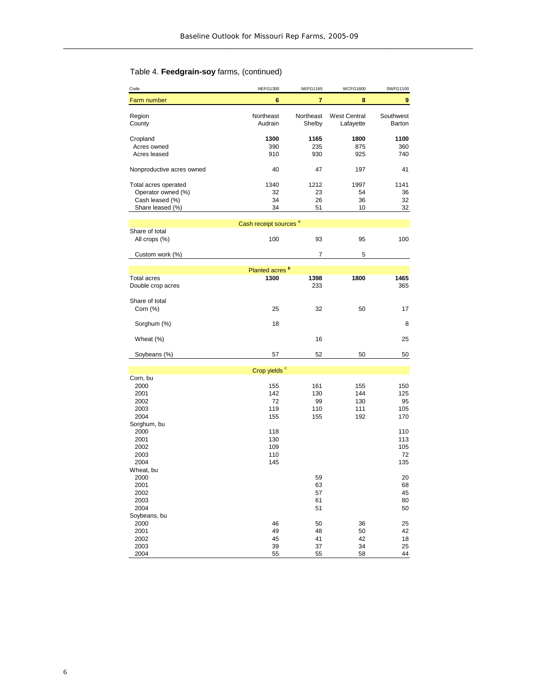#### Code NEFG1300 NEFG1165 WCFG1800 SWFG1100 Farm number **678 7 8** Region **Northeast** Northeast West Central Southwest<br>County **COUNTEN COUNTENT COUNTER COUNTER COUNTER COUNTER COUNTER ACTES AND ACTED ATTACK COUNTER COUNTER COUNTER** Audrain Shelby Lafayette Barton Cropland **1300 1165 1800 1100** Acres owned 390 235 875 360 Acres leased Nonproductive acres owned 40 47 197 41 Total acres operated 1340 1212 1997 1141 Operator owned (%) 32 33 54 36<br>
Cash leased (%) 34 34 36 32 Cash leased (%) 34 26 36 32<br>
Share leased (%) 34 51 10 32 Share leased (%) Share of total All crops (%) 100 93 95 100 Custom work (%) 5 Total acres **1300** 1398 1800 1465<br>Double crop acres **1300** 1398 1800 1865 Double crop acres Share of total<br>Corn (%) Corn (%) 25 32 50 1 Sorghum (%) 8 Wheat (%) 25 Soybeans (%) 57 52 50 Corn, bu<br>2000 2000 155 161 155 150 2001 142 130 144 125 2002 72 99 130 95 2003 119 110 111 105 2004 155 155 192 170 Sorghum, bu 2000 118 110 2001 130 113 2002 109 105 2003 110 72 2004 145 135 Wheat, bu<br>2000 2000 59 20 2001 63 68 2002 57 45 2003 61 80 2004 51 50 Soybeans, bu<br>2000 2000 46 50 36 2 2001 49 48 50 4 2002 45 41 42 1 2003 39 37 34 2 Cash receipt sources<sup>a</sup> Crop yields<sup>c</sup> Planted acres **<sup>b</sup> 9** 32 17 50 25 42 8 25

2004 55 55 58 4

4

#### Table 4. **Feedgrain-soy** farms, (continued)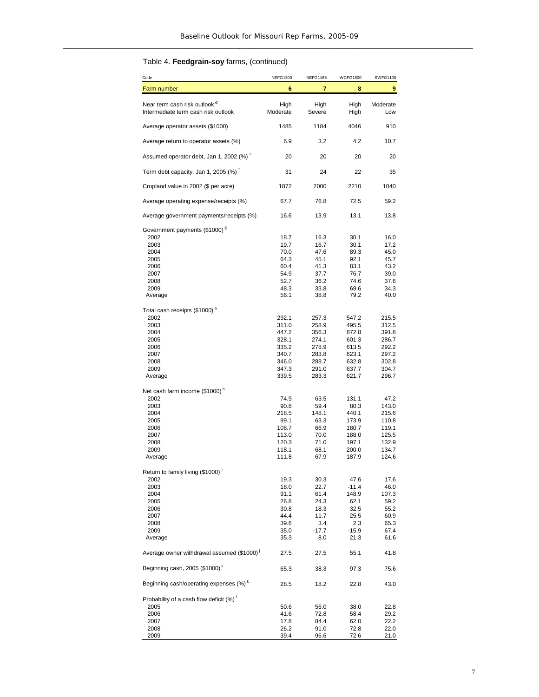## Table 4. **Feedgrain-soy** farms, (continued)

| Code                                                                            | <b>NEFG1300</b>  | <b>NEFG1165</b> | <b>WCFG1800</b> | <b>SWFG1100</b> |
|---------------------------------------------------------------------------------|------------------|-----------------|-----------------|-----------------|
| Farm number                                                                     | 6                | 7               | 8               | 9               |
| Near term cash risk outlook <sup>d</sup><br>Intermediate term cash risk outlook | High<br>Moderate | High<br>Severe  | High<br>High    | Moderate<br>Low |
| Average operator assets (\$1000)                                                | 1485             | 1184            | 4046            | 910             |
| Average return to operator assets (%)                                           | 6.9              | 3.2             | 4.2             | 10.7            |
| Assumed operator debt, Jan 1, 2002 (%) <sup>e</sup>                             | 20               | 20              | 20              | 20              |
| Term debt capacity, Jan 1, 2005 (%)                                             | 31               | 24              | 22              | 35              |
| Cropland value in 2002 (\$ per acre)                                            | 1872             | 2000            | 2210            | 1040            |
| Average operating expense/receipts (%)                                          | 67.7             | 76.8            | 72.5            | 59.2            |
| Average government payments/receipts (%)                                        | 16.6             | 13.9            | 13.1            | 13.8            |
| Government payments (\$1000) <sup>9</sup>                                       |                  |                 |                 |                 |
| 2002                                                                            | 18.7             | 16.3            | 30.1            | 16.0            |
| 2003                                                                            | 19.7             | 16.7            | 30.1            | 17.2            |
| 2004                                                                            | 70.0             | 47.6            | 89.3            | 45.0            |
| 2005                                                                            | 64.3             | 45.1            | 92.1            | 45.7            |
| 2006                                                                            | 60.4             | 41.3            | 83.1            | 43.2            |
| 2007                                                                            | 54.9             | 37.7            | 76.7            | 39.0            |
| 2008                                                                            | 52.7             | 36.2            | 74.6            | 37.6            |
| 2009                                                                            | 48.3             | 33.8            | 69.6            | 34.3            |
| Average                                                                         | 56.1             | 38.8            | 79.2            | 40.0            |
| Total cash receipts (\$1000) <sup>a</sup>                                       |                  |                 |                 |                 |
| 2002                                                                            | 292.1            | 257.3           | 547.2           | 215.5           |
| 2003                                                                            | 311.0            | 258.9           | 495.5           | 312.5           |
| 2004                                                                            | 447.2            | 356.3           | 872.8           | 391.8           |
| 2005                                                                            | 328.1            | 274.1           | 601.3           | 286.7           |
| 2006                                                                            | 335.2            | 278.9           | 613.5           | 292.2           |
| 2007                                                                            | 340.7            | 283.8           | 623.1           | 297.2           |
| 2008                                                                            | 346.0            | 288.7           | 632.8           | 302.8           |
| 2009                                                                            | 347.3            | 291.0           | 637.7           | 304.7           |
| Average                                                                         | 339.5            | 283.3           | 621.7           | 296.7           |
| Net cash farm income (\$1000) <sup>n</sup>                                      |                  |                 |                 |                 |
| 2002                                                                            | 74.9             | 63.5            | 131.1           | 47.2            |
| 2003                                                                            | 90.8             | 59.4            | 80.3            | 143.0           |
| 2004                                                                            | 218.5            | 148.1           | 440.1           | 215.6           |
| 2005                                                                            | 99.1             | 63.3            | 173.9           | 110.8           |
| 2006                                                                            | 108.7            | 66.9            | 180.7           | 119.1           |
| 2007                                                                            | 113.0            | 70.0            | 188.0           | 125.5           |
| 2008                                                                            | 120.3            | 71.0            | 197.1           | 132.9           |
| 2009                                                                            | 118.1            | 68.1            | 200.0           | 134.7           |
| Average                                                                         | 111.8            | 67.9            | 187.9           | 124.6           |
|                                                                                 |                  |                 |                 |                 |
| Return to family living (\$1000)<br>2002                                        | 19.3             | 30.3            | 47.6            | 17.6            |
| 2003                                                                            | 18.0             | 22.7            | $-11.4$         | 46.0            |
| 2004                                                                            | 91.1             | 61.4            | 148.9           | 107.3           |
| 2005                                                                            | 26.8             | 24.3            | 62.1            | 59.2            |
| 2006                                                                            | 30.8             | 18.3            | 32.5            | 55.2            |
| 2007                                                                            | 44.4             | 11.7            | 25.5            | 60.9            |
| 2008                                                                            | 39.6             | 3.4             | 2.3             | 65.3            |
| 2009                                                                            | 35.0             | $-17.7$         | $-15.9$         | 67.4            |
| Average                                                                         | 35.3             | 8.0             | 21.3            | 61.6            |
| Average owner withdrawal assumed (\$1000) <sup>j</sup>                          | 27.5             | 27.5            | 55.1            | 41.8            |
| Beginning cash, 2005 (\$1000) <sup>k</sup>                                      | 65.3             | 38.3            | 97.3            | 75.6            |
| Beginning cash/operating expenses (%) <sup>k</sup>                              | 28.5             | 18.2            | 22.8            | 43.0            |
| Probability of a cash flow deficit (%)                                          |                  |                 |                 |                 |
| 2005                                                                            | 50.6             | 56.0            | 38.0            | 22.8            |
| 2006                                                                            | 41.6             | 72.8            | 58.4            | 29.2            |
| 2007                                                                            | 17.8             | 84.4            | 62.0            | 22.2            |
| 2008                                                                            | 26.2             | 91.0            | 72.8            | 22.0            |
| 2009                                                                            | 39.4             | 96.6            | 72.6            | 21.0            |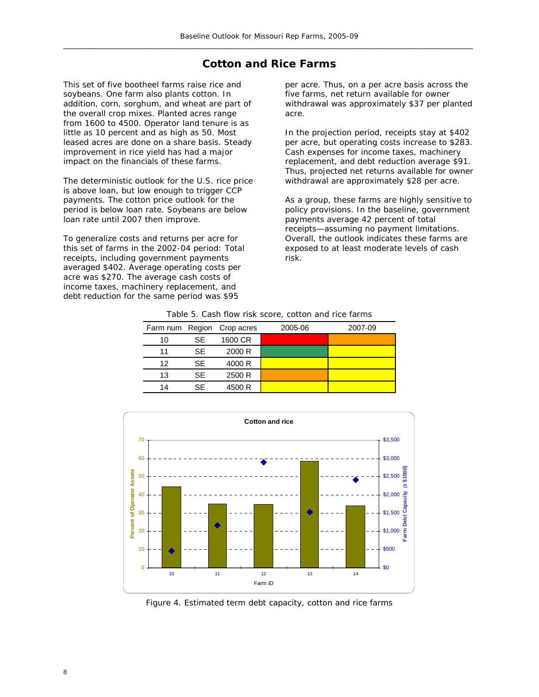### **Cotton and Rice Farms**

This set of five bootheel farms raise rice and soybeans. One farm also plants cotton. In addition, corn, sorghum, and wheat are part of the overall crop mixes. Planted acres range from 1600 to 4500. Operator land tenure is as little as 10 percent and as high as 50. Most leased acres are done on a share basis. Steady improvement in rice yield has had a major impact on the financials of these farms.

The deterministic outlook for the U.S. rice price is above loan, but low enough to trigger CCP payments. The cotton price outlook for the period is below loan rate. Soybeans are below loan rate until 2007 then improve.

To generalize costs and returns per acre for this set of farms in the 2002-04 period: Total receipts, including government payments averaged \$402. Average operating costs per acre was \$270. The average cash costs of income taxes, machinery replacement, and debt reduction for the same period was \$95

per acre. Thus, on a per acre basis across the five farms, net return available for owner withdrawal was approximately \$37 per planted acre.

In the projection period, receipts stay at \$402 per acre, but operating costs increase to \$283. Cash expenses for income taxes, machinery replacement, and debt reduction average \$91. Thus, projected net returns available for owner withdrawal are approximately \$28 per acre.

As a group, these farms are highly sensitive to policy provisions. In the baseline, government payments average 42 percent of total receipts—assuming no payment limitations. Overall, the outlook indicates these farms are exposed to at least moderate levels of cash risk.

|    |     | Farm num Region Crop acres | 2005-06 | 2007-09 |
|----|-----|----------------------------|---------|---------|
| 10 | SE. | 1600 CR                    |         |         |
| 11 | SЕ  | 2000 R                     |         |         |
| 12 | SЕ  | 4000 R                     |         |         |
| 13 | SЕ  | 2500 R                     |         |         |
| 14 | SF  | 4500 R                     |         |         |
|    |     |                            |         |         |

Table 5. Cash flow risk score, cotton and rice farms



Figure 4. Estimated term debt capacity, cotton and rice farms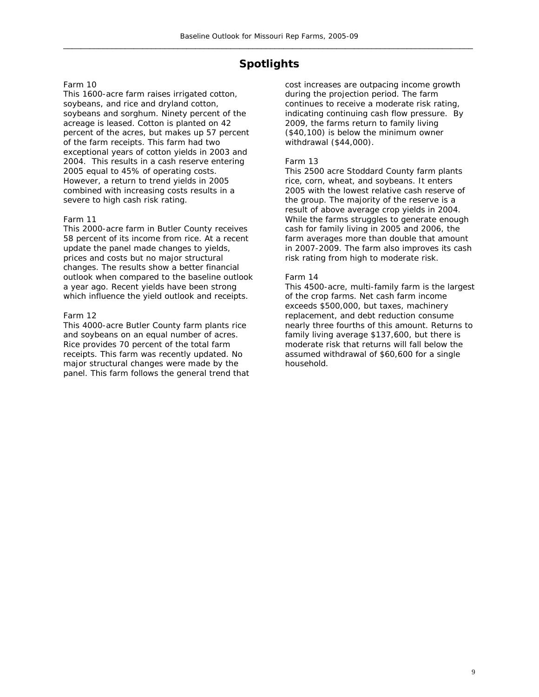## **Spotlights**

#### Farm 10

This 1600-acre farm raises irrigated cotton, soybeans, and rice and dryland cotton, soybeans and sorghum. Ninety percent of the acreage is leased. Cotton is planted on 42 percent of the acres, but makes up 57 percent of the farm receipts. This farm had two exceptional years of cotton yields in 2003 and 2004. This results in a cash reserve entering 2005 equal to 45% of operating costs. However, a return to trend yields in 2005 combined with increasing costs results in a severe to high cash risk rating.

#### Farm 11

This 2000-acre farm in Butler County receives 58 percent of its income from rice. At a recent update the panel made changes to yields, prices and costs but no major structural changes. The results show a better financial outlook when compared to the baseline outlook a year ago. Recent yields have been strong which influence the yield outlook and receipts.

#### Farm 12

This 4000-acre Butler County farm plants rice and soybeans on an equal number of acres. Rice provides 70 percent of the total farm receipts. This farm was recently updated. No major structural changes were made by the panel. This farm follows the general trend that cost increases are outpacing income growth during the projection period. The farm continues to receive a moderate risk rating, indicating continuing cash flow pressure. By 2009, the farms return to family living (\$40,100) is below the minimum owner withdrawal (\$44,000).

#### Farm 13

This 2500 acre Stoddard County farm plants rice, corn, wheat, and soybeans. It enters 2005 with the lowest relative cash reserve of the group. The majority of the reserve is a result of above average crop yields in 2004. While the farms struggles to generate enough cash for family living in 2005 and 2006, the farm averages more than double that amount in 2007-2009. The farm also improves its cash risk rating from high to moderate risk.

#### Farm 14

This 4500-acre, multi-family farm is the largest of the crop farms. Net cash farm income exceeds \$500,000, but taxes, machinery replacement, and debt reduction consume nearly three fourths of this amount. Returns to family living average \$137,600, but there is moderate risk that returns will fall below the assumed withdrawal of \$60,600 for a single household.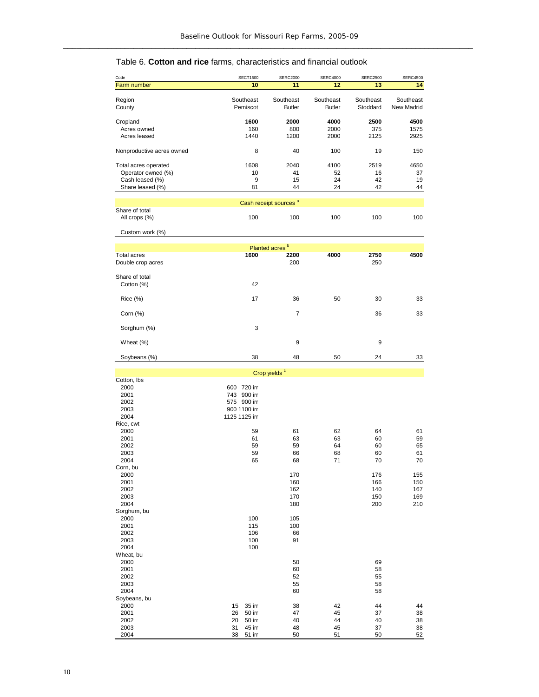## Table 6. **Cotton and rice** farms, characteristics and financial outlook

| Code                                    | <b>SECT1600</b>       | <b>SERC2000</b>                   | <b>SERC4000</b>            | <b>SERC2500</b>       | <b>SERC4500</b>         |
|-----------------------------------------|-----------------------|-----------------------------------|----------------------------|-----------------------|-------------------------|
| Farm number                             | 10                    | 11                                | 12                         | 13                    | 14                      |
| Region<br>County                        | Southeast<br>Pemiscot | Southeast<br><b>Butler</b>        | Southeast<br><b>Butler</b> | Southeast<br>Stoddard | Southeast<br>New Madrid |
| Cropland                                | 1600                  | 2000                              | 4000                       | 2500                  | 4500                    |
| Acres owned                             | 160                   | 800                               | 2000                       | 375                   | 1575                    |
| Acres leased                            | 1440                  | 1200                              | 2000                       | 2125                  | 2925                    |
| Nonproductive acres owned               | 8                     | 40                                | 100                        | 19                    | 150                     |
| Total acres operated                    | 1608                  | 2040                              | 4100                       | 2519                  | 4650                    |
| Operator owned (%)                      | 10                    | 41                                | 52                         | 16                    | 37                      |
| Cash leased (%)<br>Share leased (%)     | 9<br>81               | 15<br>44                          | 24<br>24                   | 42<br>42              | 19                      |
|                                         |                       |                                   |                            |                       | 44                      |
|                                         |                       | Cash receipt sources <sup>a</sup> |                            |                       |                         |
| Share of total<br>All crops (%)         | 100                   | 100                               | 100                        | 100                   | 100                     |
| Custom work (%)                         |                       |                                   |                            |                       |                         |
|                                         |                       |                                   |                            |                       |                         |
|                                         |                       | Planted acres <sup>b</sup>        |                            |                       |                         |
| <b>Total acres</b><br>Double crop acres | 1600                  | 2200<br>200                       | 4000                       | 2750<br>250           | 4500                    |
|                                         |                       |                                   |                            |                       |                         |
| Share of total<br>Cotton (%)            | 42                    |                                   |                            |                       |                         |
| $Rice$ $%$                              | 17                    | 36                                | 50                         | 30                    | 33                      |
| Corn $(\%)$                             |                       | 7                                 |                            | 36                    | 33                      |
| Sorghum (%)                             | 3                     |                                   |                            |                       |                         |
| Wheat (%)                               |                       | 9                                 |                            | 9                     |                         |
| Soybeans (%)                            | 38                    | 48                                | 50                         | 24                    | 33                      |
|                                         |                       |                                   |                            |                       |                         |
|                                         |                       | Crop yields <sup>c</sup>          |                            |                       |                         |
| Cotton, Ibs<br>2000                     | 600 720 irr           |                                   |                            |                       |                         |
| 2001                                    | 743 900 irr           |                                   |                            |                       |                         |
| 2002                                    | 575 900 irr           |                                   |                            |                       |                         |
| 2003                                    | 900 1100 irr          |                                   |                            |                       |                         |
| 2004                                    | 1125 1125 irr         |                                   |                            |                       |                         |
| Rice, cwt                               |                       |                                   |                            |                       |                         |
| 2000<br>2001                            | 59<br>61              | 61<br>63                          | 62<br>63                   | 64<br>60              | 61<br>59                |
| 2002                                    | 59                    | 59                                | 64                         | 60                    | 65                      |
| 2003                                    | 59                    | 66                                | 68                         | 60                    | 61                      |
| 2004                                    | 65                    | 68                                | 71                         | 70                    | 70                      |
| Corn, bu                                |                       | 170                               |                            |                       |                         |
| 2000<br>2001                            |                       | 160                               |                            | 176<br>166            | 155<br>150              |
| 2002                                    |                       | 162                               |                            | 140                   | 167                     |
| 2003                                    |                       | 170                               |                            | 150                   | 169                     |
| 2004                                    |                       | 180                               |                            | 200                   | 210                     |
| Sorghum, bu                             |                       |                                   |                            |                       |                         |
| 2000<br>2001                            | 100<br>115            | 105<br>100                        |                            |                       |                         |
| 2002                                    | 106                   | 66                                |                            |                       |                         |
| 2003                                    | 100                   | 91                                |                            |                       |                         |
| 2004                                    | 100                   |                                   |                            |                       |                         |
| Wheat, bu                               |                       | 50                                |                            | 69                    |                         |
| 2000<br>2001                            |                       | 60                                |                            | 58                    |                         |
| 2002                                    |                       | 52                                |                            | 55                    |                         |
| 2003                                    |                       | 55                                |                            | 58                    |                         |
| 2004                                    |                       | 60                                |                            | 58                    |                         |
| Soybeans, bu<br>2000                    | 15<br>35 irr          | 38                                | 42                         | 44                    | 44                      |
| 2001                                    | 26<br>50 irr          | 47                                | 45                         | 37                    | 38                      |
| 2002                                    | 20<br>50 irr          | 40                                | 44                         | 40                    | 38                      |
| 2003                                    | 31<br>45 irr          | 48                                | 45                         | 37                    | 38                      |
| 2004                                    | 38<br>51 irr          | 50                                | 51                         | 50                    | 52                      |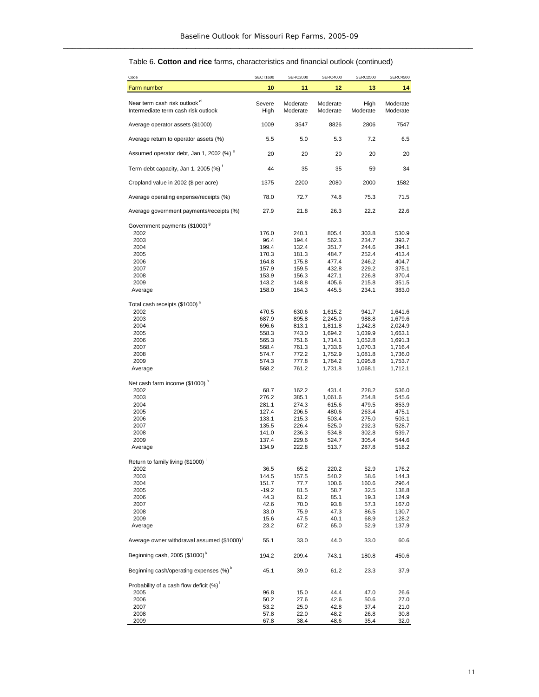#### Table 6. **Cotton and rice** farms, characteristics and financial outlook (continued)

| Code                                                                            | <b>SECT1600</b> | <b>SERC2000</b>      | <b>SERC4000</b>      | <b>SERC2500</b>    | <b>SERC4500</b>      |
|---------------------------------------------------------------------------------|-----------------|----------------------|----------------------|--------------------|----------------------|
| Farm number                                                                     | 10              | 11                   | 12                   | 13                 | 14                   |
| Near term cash risk outlook <sup>d</sup><br>Intermediate term cash risk outlook | Severe<br>High  | Moderate<br>Moderate | Moderate<br>Moderate | High<br>Moderate   | Moderate<br>Moderate |
| Average operator assets (\$1000)                                                | 1009            | 3547                 | 8826                 | 2806               | 7547                 |
| Average return to operator assets (%)                                           | 5.5             | 5.0                  | 5.3                  | 7.2                | 6.5                  |
| Assumed operator debt, Jan 1, 2002 (%) "                                        | 20              | 20                   | 20                   | 20                 | 20                   |
| Term debt capacity, Jan 1, 2005 (%) <sup>t</sup>                                | 44              | 35                   | 35                   | 59                 | 34                   |
| Cropland value in 2002 (\$ per acre)                                            | 1375            | 2200                 | 2080                 | 2000               | 1582                 |
| Average operating expense/receipts (%)                                          | 78.0            | 72.7                 | 74.8                 | 75.3               | 71.5                 |
| Average government payments/receipts (%)                                        | 27.9            | 21.8                 | 26.3                 | 22.2               | 22.6                 |
| Government payments (\$1000) <sup>9</sup>                                       |                 |                      |                      |                    |                      |
| 2002                                                                            | 176.0           | 240.1                | 805.4                | 303.8              | 530.9                |
| 2003                                                                            | 96.4            | 194.4                | 562.3                | 234.7              | 393.7                |
| 2004                                                                            | 199.4           | 132.4                | 351.7                | 244.6              | 394.1                |
| 2005                                                                            | 170.3           | 181.3                | 484.7                | 252.4              | 413.4                |
| 2006                                                                            | 164.8           | 175.8                | 477.4                | 246.2              | 404.7                |
| 2007                                                                            | 157.9           | 159.5                | 432.8                | 229.2              | 375.1                |
| 2008                                                                            | 153.9           | 156.3                | 427.1                | 226.8              | 370.4                |
| 2009                                                                            | 143.2           | 148.8                | 405.6                | 215.8              | 351.5                |
| Average                                                                         | 158.0           | 164.3                | 445.5                | 234.1              | 383.0                |
| Total cash receipts (\$1000) <sup>a</sup>                                       |                 |                      |                      |                    |                      |
| 2002                                                                            | 470.5           | 630.6                | 1,615.2              | 941.7              | 1,641.6              |
| 2003                                                                            | 687.9           | 895.8                | 2,245.0              | 988.8              | 1,679.6              |
| 2004                                                                            | 696.6           | 813.1                | 1,811.8              | 1,242.8            | 2,024.9              |
| 2005                                                                            | 558.3           | 743.0                | 1,694.2              | 1,039.9            | 1,663.1              |
| 2006                                                                            | 565.3           | 751.6                | 1,714.1              | 1,052.8            | 1,691.3              |
| 2007                                                                            | 568.4           | 761.3                | 1,733.6              | 1,070.3            | 1,716.4              |
| 2008                                                                            | 574.7           | 772.2                | 1,752.9              | 1,081.8            | 1,736.0              |
| 2009<br>Average                                                                 | 574.3<br>568.2  | 777.8<br>761.2       | 1,764.2<br>1,731.8   | 1,095.8<br>1,068.1 | 1,753.7<br>1,712.1   |
|                                                                                 |                 |                      |                      |                    |                      |
| Net cash farm income (\$1000) <sup>n</sup><br>2002                              | 68.7            | 162.2                | 431.4                | 228.2              | 536.0                |
| 2003                                                                            | 276.2           | 385.1                | 1,061.6              | 254.8              | 545.6                |
| 2004                                                                            | 281.1           | 274.3                | 615.6                | 479.5              | 853.9                |
| 2005                                                                            | 127.4           | 206.5                | 480.6                | 263.4              | 475.1                |
| 2006                                                                            | 133.1           | 215.3                | 503.4                | 275.0              | 503.1                |
| 2007                                                                            | 135.5           | 226.4                | 525.0                | 292.3              | 528.7                |
| 2008                                                                            | 141.0           | 236.3                | 534.8                | 302.8              | 539.7                |
| 2009                                                                            | 137.4           | 229.6                | 524.7                | 305.4              | 544.6                |
| Average                                                                         | 134.9           | 222.8                | 513.7                | 287.8              | 518.2                |
| Return to family living (\$1000)                                                |                 |                      |                      |                    |                      |
| 2002                                                                            | 36.5            | 65.2                 | 220.2                | 52.9               | 176.2                |
| 2003                                                                            | 144.5           | 157.5                | 540.2                | 58.6               | 144.3                |
| 2004                                                                            | 151.7           | 77.7                 | 100.6                | 160.6              | 296.4                |
| 2005                                                                            | $-19.2$         | 81.5                 | 58.7                 | 32.5               | 138.8                |
| 2006                                                                            | 44.3            | 61.2                 | 85.1                 | 19.3               | 124.9                |
| 2007                                                                            | 42.6            | 70.0                 | 93.8                 | 57.3               | 167.0                |
| 2008                                                                            | 33.0            | 75.9                 | 47.3                 | 86.5               | 130.7                |
| 2009                                                                            | 15.6            | 47.5                 | 40.1                 | 68.9               | 128.2                |
| Average                                                                         | 23.2            | 67.2                 | 65.0                 | 52.9               | 137.9                |
| Average owner withdrawal assumed (\$1000)                                       | 55.1            | 33.0                 | 44.0                 | 33.0               | 60.6                 |
| Beginning cash, 2005 (\$1000) <sup>k</sup>                                      | 194.2           | 209.4                | 743.1                | 180.8              | 450.6                |
| Beginning cash/operating expenses (%) <sup>k</sup>                              | 45.1            | 39.0                 | 61.2                 | 23.3               | 37.9                 |
| Probability of a cash flow deficit $(\%)^{\perp}$                               |                 |                      |                      |                    |                      |
| 2005                                                                            | 96.8            | 15.0                 | 44.4                 | 47.0               | 26.6                 |
| 2006                                                                            | 50.2            | 27.6                 | 42.6                 | 50.6               | 27.0                 |
| 2007                                                                            | 53.2            | 25.0                 | 42.8                 | 37.4               | 21.0                 |
| 2008<br>2009                                                                    | 57.8<br>67.8    | 22.0<br>38.4         | 48.2<br>48.6         | 26.8<br>35.4       | 30.8<br>32.0         |
|                                                                                 |                 |                      |                      |                    |                      |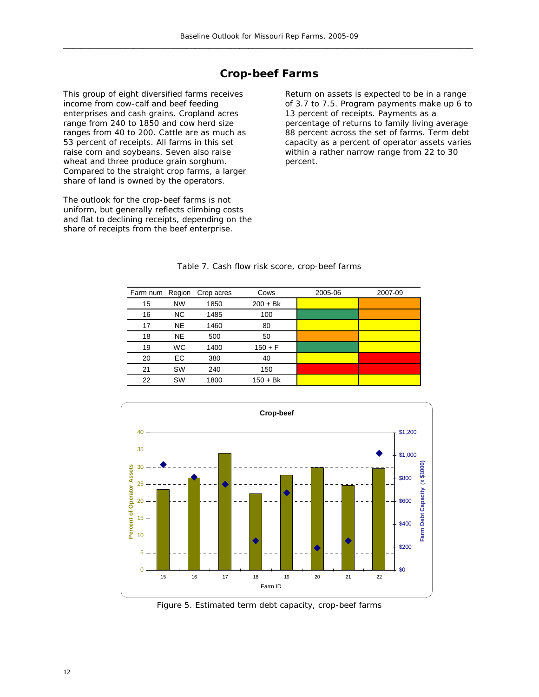### **Crop-beef Farms**

This group of eight diversified farms receives income from cow-calf and beef feeding enterprises and cash grains. Cropland acres range from 240 to 1850 and cow herd size ranges from 40 to 200. Cattle are as much as 53 percent of receipts. All farms in this set raise corn and soybeans. Seven also raise wheat and three produce grain sorghum. Compared to the straight crop farms, a larger share of land is owned by the operators.

The outlook for the crop-beef farms is not uniform, but generally reflects climbing costs and flat to declining receipts, depending on the share of receipts from the beef enterprise.

Return on assets is expected to be in a range of 3.7 to 7.5. Program payments make up 6 to 13 percent of receipts. Payments as a percentage of returns to family living average 88 percent across the set of farms. Term debt capacity as a percent of operator assets varies within a rather narrow range from 22 to 30 percent.

| Farm num Region |           | Crop acres | Cows       | 2005-06 | 2007-09 |
|-----------------|-----------|------------|------------|---------|---------|
| 15              | <b>NW</b> | 1850       | $200 + Bk$ |         |         |
| 16              | NC.       | 1485       | 100        |         |         |
| 17              | <b>NE</b> | 1460       | 80         |         |         |
| 18              | <b>NE</b> | 500        | 50         |         |         |
| 19              | <b>WC</b> | 1400       | $150 + F$  |         |         |
| 20              | EC.       | 380        | 40         |         |         |
| 21              | <b>SW</b> | 240        | 150        |         |         |
| 22              | <b>SW</b> | 1800       | $150 + Bk$ |         |         |
|                 |           |            |            |         |         |

#### Table 7. Cash flow risk score, crop-beef farms



Figure 5. Estimated term debt capacity, crop-beef farms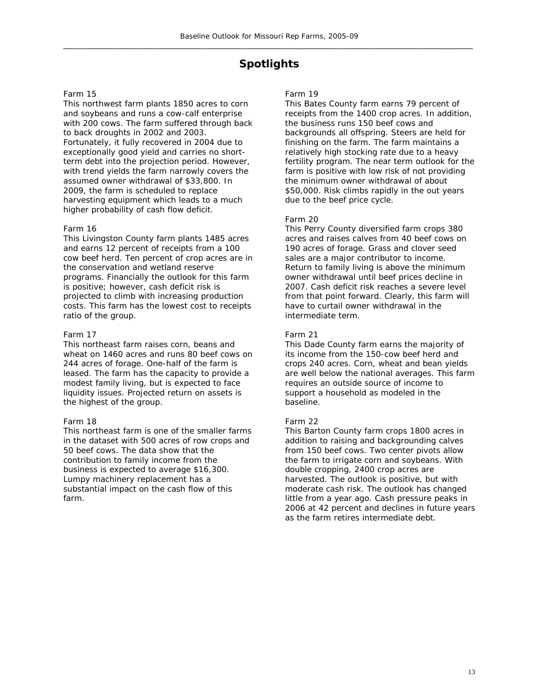## **Spotlights**

#### Farm 15

This northwest farm plants 1850 acres to corn and soybeans and runs a cow-calf enterprise with 200 cows. The farm suffered through back to back droughts in 2002 and 2003. Fortunately, it fully recovered in 2004 due to exceptionally good yield and carries no shortterm debt into the projection period. However, with trend yields the farm narrowly covers the assumed owner withdrawal of \$33,800. In 2009, the farm is scheduled to replace harvesting equipment which leads to a much higher probability of cash flow deficit.

#### Farm 16

This Livingston County farm plants 1485 acres and earns 12 percent of receipts from a 100 cow beef herd. Ten percent of crop acres are in the conservation and wetland reserve programs. Financially the outlook for this farm is positive; however, cash deficit risk is projected to climb with increasing production costs. This farm has the lowest cost to receipts ratio of the group.

#### Farm 17

This northeast farm raises corn, beans and wheat on 1460 acres and runs 80 beef cows on 244 acres of forage. One-half of the farm is leased. The farm has the capacity to provide a modest family living, but is expected to face liquidity issues. Projected return on assets is the highest of the group.

#### Farm 18

This northeast farm is one of the smaller farms in the dataset with 500 acres of row crops and 50 beef cows. The data show that the contribution to family income from the business is expected to average \$16,300. Lumpy machinery replacement has a substantial impact on the cash flow of this farm.

#### Farm 19

This Bates County farm earns 79 percent of receipts from the 1400 crop acres. In addition, the business runs 150 beef cows and backgrounds all offspring. Steers are held for finishing on the farm. The farm maintains a relatively high stocking rate due to a heavy fertility program. The near term outlook for the farm is positive with low risk of not providing the minimum owner withdrawal of about \$50,000. Risk climbs rapidly in the out years due to the beef price cycle.

#### Farm 20

This Perry County diversified farm crops 380 acres and raises calves from 40 beef cows on 190 acres of forage. Grass and clover seed sales are a major contributor to income. Return to family living is above the minimum owner withdrawal until beef prices decline in 2007. Cash deficit risk reaches a severe level from that point forward. Clearly, this farm will have to curtail owner withdrawal in the intermediate term.

#### Farm 21

This Dade County farm earns the majority of its income from the 150-cow beef herd and crops 240 acres. Corn, wheat and bean yields are well below the national averages. This farm requires an outside source of income to support a household as modeled in the baseline.

#### Farm 22

This Barton County farm crops 1800 acres in addition to raising and backgrounding calves from 150 beef cows. Two center pivots allow the farm to irrigate corn and soybeans. With double cropping, 2400 crop acres are harvested. The outlook is positive, but with moderate cash risk. The outlook has changed little from a year ago. Cash pressure peaks in 2006 at 42 percent and declines in future years as the farm retires intermediate debt.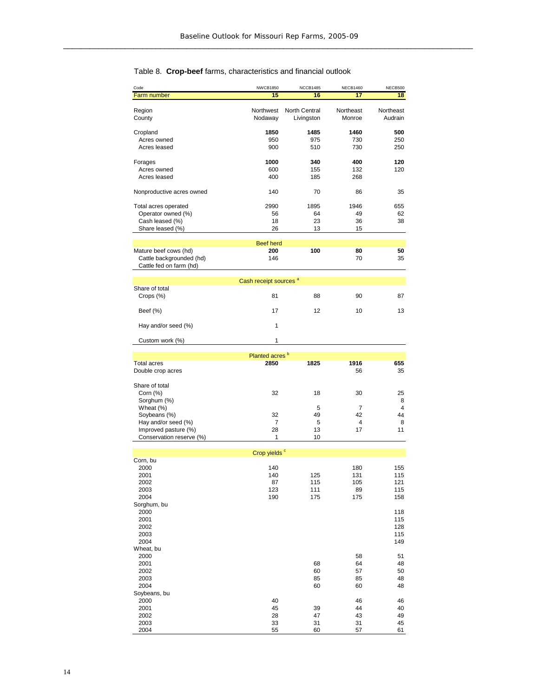#### Code NWCB1850 NCCB1485 NECB1460 NECB500 Farm number **15 16 17 18** Region **Northwest North Central Northeast** Northeast County Nodaway Livingston Monroe Audrain Cropland **1850 1485 1460 500** Acres owned 950 975 730 250 Acres leased 900 510 730 Forages **1000 340 400 120** Acres owned 600 155 132 120 Acres leased Nonproductive acres owned 140 70 86 35 Total acres operated 2990 1895 1946 655<br>
Operator owned (%) 36 64 49 62 Operator owned (%)  $\begin{array}{ccc} 66 & 64 & 49 \\ \text{Cash least} & \text{49} & 36 \end{array}$ Cash leased (%) Share leased (%) 26 13 15 Mature beef cows (hd) **200 100 80 50** Cattle backgrounded (hd) Cattle fed on farm (hd) Share of total Crops (%) 81 88 90 Beef (%) 17 12 10 1 Hay and/or seed (%) 1 Custom work  $(\%)$  1 Total acres **2850 1825 1916 655** Double crop acres 35 35 Share of total<br>Corn (%) Corn (%) 32 18 30 2 Sorghum (%)  $8$ <br>
Wheat (%)  $5$   $7$   $4$ Wheat (%) 5 7 4 Soybeans (%) 32 49 42 Hay and/or seed (%) <br>
Improved pasture (%) 13 4 5 4 4 8<br>
11 17 11 11 11 11 11 Improved pasture (%) 28 28 13<br>Conservation reserve (%) 1 1 10 Conservation reserve (%) 1 Corn, bu<br>2000 2000 140 180 155 2001 140 125 131 115 2002 87 115 105 121 2003 123 111 89 115 2004 190 175 175 158 Sorghum, bu<br>2000 2000 118 2001 115 2002 128 2003 115 2004 149 Wheat, bu<br>2000 2000 58 51 2001 68 64 48 2002 60 57 50 2003 85 85 48 2004 60 60 48 Soybeans, bu<br>2000 2000 40 46 46 2001 45 39 44 40 2002 28 47 43 49 2003 33 31 31 45 2004 55 60 57 61 Beef herd Cash receipt sources<sup>®</sup> Planted acres<sup>b</sup><br>2850 Crop yields<sup>c</sup> 8 87 3 25 4

#### Table 8. **Crop-beef** farms, characteristics and financial outlook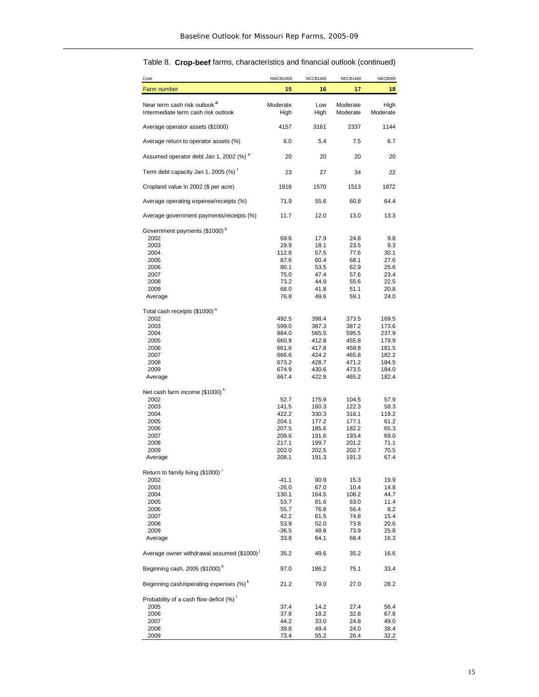| Code                                                                            | <b>NWCB1850</b>  | <b>NCCB1485</b> | <b>NECB1460</b>      | NECB500          |
|---------------------------------------------------------------------------------|------------------|-----------------|----------------------|------------------|
| Farm number                                                                     | 15               | 16              | 17                   | 18               |
| Near term cash risk outlook <sup>d</sup><br>Intermediate term cash risk outlook | Moderate<br>High | Low<br>High     | Moderate<br>Moderate | High<br>Moderate |
| Average operator assets (\$1000)                                                | 4157             | 3161            | 2337                 | 1144             |
| Average return to operator assets (%)                                           | 6.0              | 5.4             | 7.5                  | 6.7              |
| Assumed operator debt Jan 1, 2002 (%) <sup>e</sup>                              | 20               | 20              | 20                   | 20               |
| Term debt capacity Jan 1, 2005 (%) <sup>f</sup>                                 | 23               | 27              | 34                   | 22               |
| Cropland value in 2002 (\$ per acre)                                            | 1918             | 1570            | 1513                 | 1872             |
| Average operating expense/receipts (%)                                          | 71.9             | 55.6            | 60.8                 | 64.4             |
| Average government payments/receipts (%)                                        | 11.7             | 12.0            | 13.0                 | 13.3             |
| Government payments (\$1000) <sup>9</sup>                                       |                  |                 |                      |                  |
| 2002                                                                            | 69.6             | 17.9            | 24.8                 | 9.8              |
| 2003                                                                            | 29.9             | 18.1            | 23.5                 | 9.3              |
| 2004                                                                            | 112.8            | 57.5            | 77.6                 | 30.1             |
| 2005                                                                            | 87.6             | 60.4            | 68.1                 | 27.6             |
| 2006                                                                            | 80.1             | 53.5            | 62.9                 | 25.6             |
| 2007                                                                            | 75.0             | 47.4            | 57.6                 | 23.4             |
| 2008                                                                            | 73.2             | 44.9            | 55.6                 | 22.5             |
| 2009                                                                            | 68.0             | 41.8            | 51.1                 | 20.8             |
| Average                                                                         | 76.8             | 49.6            | 59.1                 | 24.0             |
| Total cash receipts (\$1000) <sup>ª</sup>                                       |                  |                 |                      |                  |
| 2002                                                                            | 492.5            | 398.4           | 373.5                | 169.5            |
| 2003                                                                            | 599.0            | 387.3           | 387.2                | 173.6            |
| 2004                                                                            | 884.0            | 565.5           | 595.5                | 237.9            |
| 2005                                                                            | 660.9            | 412.8           | 455.8                | 179.9            |
| 2006                                                                            | 661.6            | 417.8           | 459.8                | 181.5            |
| 2007                                                                            | 666.6            | 424.2           | 465.8                | 182.2            |
| 2008                                                                            | 673.2            | 428.7           | 471.2                | 184.5            |
| 2009                                                                            | 674.9            | 430.6           | 473.5                | 184.0            |
| Average                                                                         | 667.4            | 422.8           | 465.2                | 182.4            |
| Net cash farm income (\$1000) <sup>h</sup>                                      |                  |                 |                      |                  |
| 2002<br>2003                                                                    | 52.7<br>141.5    | 175.9<br>160.3  | 104.5<br>122.3       | 57.9<br>58.3     |
| 2004                                                                            | 422.2            | 330.3           | 316.1                | 119.2            |
| 2005                                                                            | 204.1            | 177.2           | 177.1                | 61.2             |
| 2006                                                                            | 207.5            | 185.6           | 182.2                | 65.3             |
| 2007                                                                            | 209.6            | 191.6           | 193.4                | 69.0             |
| 2008                                                                            | 217.1            | 199.7           | 201.2                | 71.1             |
| 2009                                                                            | 202.0            | 202.5           | 202.7                | 70.5             |
| Average                                                                         | 208.1            | 191.3           | 191.3                | 67.4             |
| Return to family living (\$1000)                                                |                  |                 |                      |                  |
| 2002                                                                            | -41.1            | 90.9            | 15.3                 | 19.9             |
| 2003                                                                            | $-26.0$          | 67.0            | 10.4                 | 14.8             |
| 2004                                                                            | 130.1            | 164.5           | 108.2                | 44.7             |
| 2005                                                                            | 53.7             | 81.6            | 63.0                 | 11.4             |
| 2006                                                                            | 55.7             | 76.8            | 56.4                 | 8.2              |
| 2007                                                                            | 42.2             | 61.5            | 74.8                 | 15.4             |
| 2008                                                                            | 53.9             | 52.0            | 73.8                 | 20.6             |
| 2009                                                                            | $-36.5$          | 48.8            | 73.9                 | 25.8             |
| Average                                                                         | 33.8             | 64.1            | 68.4                 | 16.3             |
| Average owner withdrawal assumed (\$1000) <sup>1</sup>                          | 35.2             | 49.6            | 35.2                 | 16.6             |
| Beginning cash, 2005 (\$1000) <sup>k</sup>                                      | 97.0             | 186.2           | 75.1                 | 33.4             |
| Beginning cash/operating expenses (%) <sup>k</sup>                              | 21.2             | 79.0            | 27.0                 | 28.2             |
| Probability of a cash flow deficit (%)                                          |                  |                 |                      |                  |
| 2005                                                                            | 37.4             | 14.2            | 27.4                 | 56.4             |
| 2006                                                                            | 37.8             | 18.2            | 32.8                 | 67.8             |
| 2007<br>2008                                                                    | 44.2<br>39.8     | 33.0<br>49.4    | 24.8<br>24.0         | 49.0<br>38.4     |
| 2009                                                                            | 73.4             | 55.2            | 26.4                 | <u>32.2</u>      |

#### Table 8. **Crop-beef** farms, characteristics and financial outlook (continued)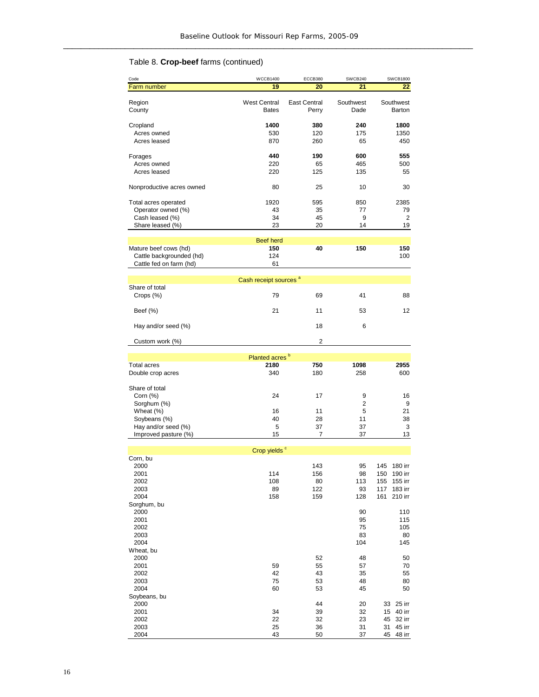## Table 8. **Crop-beef** farms (continued)

| Code                                                | <b>WCCB1400</b>                     | ECCB380                      | SWCB240           | <b>SWCB1800</b>              |
|-----------------------------------------------------|-------------------------------------|------------------------------|-------------------|------------------------------|
| Farm number                                         | 19                                  | 20                           | 21                | 22                           |
| Region<br>County                                    | <b>West Central</b><br><b>Bates</b> | <b>East Central</b><br>Perry | Southwest<br>Dade | Southwest<br>Barton          |
| Cropland                                            | 1400                                | 380                          | 240               | 1800                         |
| Acres owned                                         | 530                                 | 120                          | 175               | 1350                         |
| Acres leased                                        | 870                                 | 260                          | 65                | 450                          |
|                                                     |                                     |                              |                   |                              |
| Forages                                             | 440                                 | 190                          | 600               | 555                          |
| Acres owned<br>Acres leased                         | 220<br>220                          | 65<br>125                    | 465<br>135        | 500<br>55                    |
|                                                     |                                     |                              |                   |                              |
| Nonproductive acres owned                           | 80                                  | 25                           | 10                | 30                           |
| Total acres operated                                | 1920                                | 595                          | 850               | 2385                         |
| Operator owned (%)                                  | 43                                  | 35                           | 77                | 79                           |
| Cash leased (%)<br>Share leased (%)                 | 34<br>23                            | 45<br>20                     | 9<br>14           | 2<br>19                      |
|                                                     |                                     |                              |                   |                              |
|                                                     | <b>Beef herd</b>                    |                              |                   |                              |
| Mature beef cows (hd)                               | 150                                 | 40                           | 150               | 150                          |
| Cattle backgrounded (hd)<br>Cattle fed on farm (hd) | 124<br>61                           |                              |                   | 100                          |
|                                                     |                                     |                              |                   |                              |
|                                                     | Cash receipt sources <sup>a</sup>   |                              |                   |                              |
| Share of total<br>Crops (%)                         | 79                                  | 69                           | 41                | 88                           |
| Beef (%)                                            | 21                                  | 11                           | 53                | 12                           |
| Hay and/or seed (%)                                 |                                     | 18                           | 6                 |                              |
| Custom work (%)                                     |                                     | $\overline{2}$               |                   |                              |
|                                                     |                                     |                              |                   |                              |
|                                                     | Planted acres <sup>b</sup><br>2180  |                              |                   |                              |
| <b>Total acres</b><br>Double crop acres             | 340                                 | 750<br>180                   | 1098<br>258       | 2955<br>600                  |
|                                                     |                                     |                              |                   |                              |
| Share of total                                      |                                     |                              |                   |                              |
| Corn $(\%)$                                         | 24                                  | 17                           | 9                 | 16                           |
| Sorghum (%)                                         |                                     |                              | 2<br>5            | 9                            |
| Wheat (%)<br>Soybeans (%)                           | 16<br>40                            | 11<br>28                     | 11                | 21<br>38                     |
| Hay and/or seed (%)                                 | 5                                   | 37                           | 37                | 3                            |
| Improved pasture (%)                                | 15                                  | 7                            | 37                | 13                           |
|                                                     |                                     |                              |                   |                              |
|                                                     | Crop yields <sup>c</sup>            |                              |                   |                              |
| Corn, bu<br>2000                                    |                                     | 143                          | 95                | 145<br>180 irr               |
| 2001                                                | 114                                 | 156                          | 98                | 190 irr<br>150               |
| 2002                                                | 108                                 | 80                           | 113               | 155<br>155 irr               |
| 2003                                                | 89                                  | 122                          | 93                | 117<br>183 irr               |
| 2004                                                | 158                                 | 159                          | 128               | 161<br>210 irr               |
| Sorghum, bu<br>2000                                 |                                     |                              | 90                | 110                          |
| 2001                                                |                                     |                              | 95                | 115                          |
| 2002                                                |                                     |                              | 75                | 105                          |
| 2003                                                |                                     |                              | 83                | 80                           |
| 2004                                                |                                     |                              | 104               | 145                          |
| Wheat, bu                                           |                                     |                              |                   |                              |
| 2000<br>2001                                        | 59                                  | 52<br>55                     | 48<br>57          | 50<br>70                     |
| 2002                                                | 42                                  | 43                           | 35                | 55                           |
| 2003                                                | 75                                  | 53                           | 48                | 80                           |
| 2004                                                | 60                                  | 53                           | 45                | 50                           |
| Soybeans, bu                                        |                                     |                              |                   |                              |
| 2000                                                | 34                                  | 44                           | 20                | 25 irr<br>33                 |
| 2001<br>2002                                        | 22                                  | 39<br>32                     | 32<br>23          | 15<br>40 irr<br>45<br>32 irr |
| 2003                                                | 25                                  | 36                           | 31                | 31<br>45 irr                 |
| 2004                                                | 43                                  | 50                           | 37                | 45<br>48 irr                 |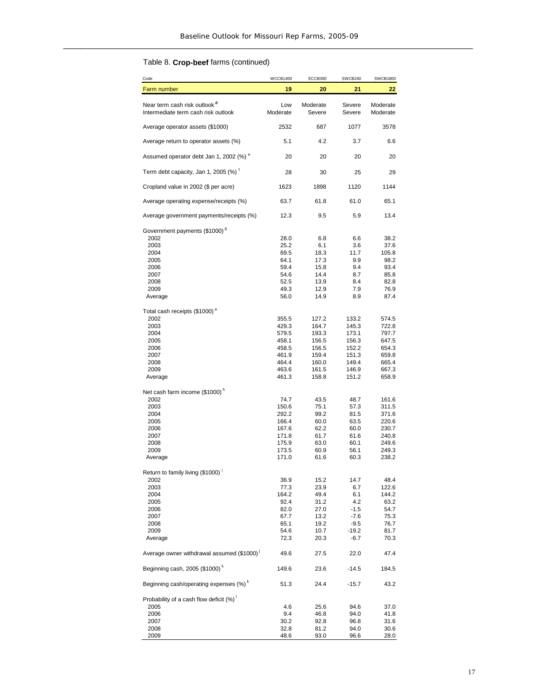### Table 8. **Crop-beef** farms (continued)

| 19<br>20<br>21<br>22<br>Farm number<br>Near term cash risk outlook <sup>d</sup><br>Moderate<br>Low<br>Severe<br>Moderate<br>Intermediate term cash risk outlook<br>Moderate<br>Severe<br>Severe<br>Moderate<br>Average operator assets (\$1000)<br>2532<br>687<br>1077<br>3578<br>Average return to operator assets (%)<br>5.1<br>4.2<br>3.7<br>6.6<br>Assumed operator debt Jan 1, 2002 (%) <sup>e</sup><br>20<br>20<br>20<br>20<br>Term debt capacity, Jan 1, 2005 (%) <sup>f</sup><br>28<br>30<br>25<br>29<br>1144<br>Cropland value in 2002 (\$ per acre)<br>1623<br>1898<br>1120<br>Average operating expense/receipts (%)<br>63.7<br>61.8<br>61.0<br>65.1<br>Average government payments/receipts (%)<br>12.3<br>9.5<br>5.9<br>13.4<br>Government payments (\$1000) <sup>9</sup><br>2002<br>28.0<br>6.8<br>6.6<br>38.2<br>25.2<br>2003<br>6.1<br>3.6<br>37.6<br>11.7<br>2004<br>69.5<br>18.3<br>105.8<br>64.1<br>17.3<br>9.9<br>2005<br>98.2<br>2006<br>59.4<br>15.8<br>9.4<br>93.4<br>54.6<br>14.4<br>8.7<br>85.8<br>2007<br>2008<br>52.5<br>13.9<br>8.4<br>82.8<br>12.9<br>2009<br>49.3<br>7.9<br>76.9<br>56.0<br>14.9<br>8.9<br>87.4<br>Average<br>Total cash receipts (\$1000) <sup>a</sup><br>2002<br>127.2<br>133.2<br>355.5<br>574.5<br>2003<br>429.3<br>164.7<br>145.3<br>722.8<br>2004<br>579.5<br>193.3<br>173.1<br>797.7<br>458.1<br>156.5<br>156.3<br>2005<br>647.5<br>458.5<br>156.5<br>152.2<br>2006<br>654.3<br>461.9<br>159.4<br>151.3<br>2007<br>659.8<br>2008<br>464.4<br>160.0<br>149.4<br>665.4<br>463.6<br>161.5<br>667.3<br>2009<br>146.9<br>461.3<br>158.8<br>151.2<br>Average<br>658.9<br>Net cash farm income (\$1000) <sup>n</sup><br>2002<br>74.7<br>43.5<br>48.7<br>161.6<br>2003<br>150.6<br>75.1<br>57.3<br>311.5<br>292.2<br>99.2<br>81.5<br>371.6<br>2004<br>2005<br>60.0<br>63.5<br>220.6<br>166.4<br>167.6<br>62.2<br>60.0<br>230.7<br>2006<br>2007<br>171.8<br>61.7<br>61.6<br>240.8<br>175.9<br>60.1<br>2008<br>63.0<br>249.6<br>2009<br>173.5<br>56.1<br>60.9<br>249.3<br>171.0<br>60.3<br>61.6<br>238.2<br>Average<br>Return to family living (\$1000) <sup>i</sup><br>15.2<br>14.7<br>2002<br>36.9<br>48.4<br>2003<br>77.3<br>23.9<br>6.7<br>122.6<br>2004<br>164.2<br>49.4<br>6.1<br>144.2<br>2005<br>92.4<br>31.2<br>4.2<br>63.2<br>82.0<br>27.0<br>$-1.5$<br>54.7<br>2006<br>2007<br>67.7<br>13.2<br>$-7.6$<br>75.3<br>$-9.5$<br>76.7<br>2008<br>65.1<br>19.2<br>2009<br>54.6<br>10.7<br>$-19.2$<br>81.7<br>72.3<br>20.3<br>$-6.7$<br>70.3<br>Average<br>Average owner withdrawal assumed (\$1000)<br>49.6<br>27.5<br>22.0<br>47.4<br>Beginning cash, 2005 (\$1000) <sup>k</sup><br>149.6<br>23.6<br>$-14.5$<br>184.5<br>Beginning cash/operating expenses (%) <sup>k</sup><br>24.4<br>51.3<br>$-15.7$<br>43.2<br>Probability of a cash flow deficit (%)<br>2005<br>4.6<br>25.6<br>94.6<br>37.0<br>2006<br>9.4<br>46.8<br>94.0<br>41.8<br>30.2<br>31.6<br>2007<br>92.8<br>96.8<br>2008<br>32.8<br>81.2<br>94.0<br>30.6 | Code | <b>WCCB1400</b> | ECCB380 | SWCB240 | <b>SWCB1800</b> |
|------------------------------------------------------------------------------------------------------------------------------------------------------------------------------------------------------------------------------------------------------------------------------------------------------------------------------------------------------------------------------------------------------------------------------------------------------------------------------------------------------------------------------------------------------------------------------------------------------------------------------------------------------------------------------------------------------------------------------------------------------------------------------------------------------------------------------------------------------------------------------------------------------------------------------------------------------------------------------------------------------------------------------------------------------------------------------------------------------------------------------------------------------------------------------------------------------------------------------------------------------------------------------------------------------------------------------------------------------------------------------------------------------------------------------------------------------------------------------------------------------------------------------------------------------------------------------------------------------------------------------------------------------------------------------------------------------------------------------------------------------------------------------------------------------------------------------------------------------------------------------------------------------------------------------------------------------------------------------------------------------------------------------------------------------------------------------------------------------------------------------------------------------------------------------------------------------------------------------------------------------------------------------------------------------------------------------------------------------------------------------------------------------------------------------------------------------------------------------------------------------------------------------------------------------------------------------------------------------------------------------------------------------------------------------------------------------------------------------------------------------------------------------------------------------------------------------------------------------------------------------------------------------------------------------------------------------------------------|------|-----------------|---------|---------|-----------------|
|                                                                                                                                                                                                                                                                                                                                                                                                                                                                                                                                                                                                                                                                                                                                                                                                                                                                                                                                                                                                                                                                                                                                                                                                                                                                                                                                                                                                                                                                                                                                                                                                                                                                                                                                                                                                                                                                                                                                                                                                                                                                                                                                                                                                                                                                                                                                                                                                                                                                                                                                                                                                                                                                                                                                                                                                                                                                                                                                                                        |      |                 |         |         |                 |
|                                                                                                                                                                                                                                                                                                                                                                                                                                                                                                                                                                                                                                                                                                                                                                                                                                                                                                                                                                                                                                                                                                                                                                                                                                                                                                                                                                                                                                                                                                                                                                                                                                                                                                                                                                                                                                                                                                                                                                                                                                                                                                                                                                                                                                                                                                                                                                                                                                                                                                                                                                                                                                                                                                                                                                                                                                                                                                                                                                        |      |                 |         |         |                 |
|                                                                                                                                                                                                                                                                                                                                                                                                                                                                                                                                                                                                                                                                                                                                                                                                                                                                                                                                                                                                                                                                                                                                                                                                                                                                                                                                                                                                                                                                                                                                                                                                                                                                                                                                                                                                                                                                                                                                                                                                                                                                                                                                                                                                                                                                                                                                                                                                                                                                                                                                                                                                                                                                                                                                                                                                                                                                                                                                                                        |      |                 |         |         |                 |
|                                                                                                                                                                                                                                                                                                                                                                                                                                                                                                                                                                                                                                                                                                                                                                                                                                                                                                                                                                                                                                                                                                                                                                                                                                                                                                                                                                                                                                                                                                                                                                                                                                                                                                                                                                                                                                                                                                                                                                                                                                                                                                                                                                                                                                                                                                                                                                                                                                                                                                                                                                                                                                                                                                                                                                                                                                                                                                                                                                        |      |                 |         |         |                 |
|                                                                                                                                                                                                                                                                                                                                                                                                                                                                                                                                                                                                                                                                                                                                                                                                                                                                                                                                                                                                                                                                                                                                                                                                                                                                                                                                                                                                                                                                                                                                                                                                                                                                                                                                                                                                                                                                                                                                                                                                                                                                                                                                                                                                                                                                                                                                                                                                                                                                                                                                                                                                                                                                                                                                                                                                                                                                                                                                                                        |      |                 |         |         |                 |
|                                                                                                                                                                                                                                                                                                                                                                                                                                                                                                                                                                                                                                                                                                                                                                                                                                                                                                                                                                                                                                                                                                                                                                                                                                                                                                                                                                                                                                                                                                                                                                                                                                                                                                                                                                                                                                                                                                                                                                                                                                                                                                                                                                                                                                                                                                                                                                                                                                                                                                                                                                                                                                                                                                                                                                                                                                                                                                                                                                        |      |                 |         |         |                 |
|                                                                                                                                                                                                                                                                                                                                                                                                                                                                                                                                                                                                                                                                                                                                                                                                                                                                                                                                                                                                                                                                                                                                                                                                                                                                                                                                                                                                                                                                                                                                                                                                                                                                                                                                                                                                                                                                                                                                                                                                                                                                                                                                                                                                                                                                                                                                                                                                                                                                                                                                                                                                                                                                                                                                                                                                                                                                                                                                                                        |      |                 |         |         |                 |
|                                                                                                                                                                                                                                                                                                                                                                                                                                                                                                                                                                                                                                                                                                                                                                                                                                                                                                                                                                                                                                                                                                                                                                                                                                                                                                                                                                                                                                                                                                                                                                                                                                                                                                                                                                                                                                                                                                                                                                                                                                                                                                                                                                                                                                                                                                                                                                                                                                                                                                                                                                                                                                                                                                                                                                                                                                                                                                                                                                        |      |                 |         |         |                 |
|                                                                                                                                                                                                                                                                                                                                                                                                                                                                                                                                                                                                                                                                                                                                                                                                                                                                                                                                                                                                                                                                                                                                                                                                                                                                                                                                                                                                                                                                                                                                                                                                                                                                                                                                                                                                                                                                                                                                                                                                                                                                                                                                                                                                                                                                                                                                                                                                                                                                                                                                                                                                                                                                                                                                                                                                                                                                                                                                                                        |      |                 |         |         |                 |
|                                                                                                                                                                                                                                                                                                                                                                                                                                                                                                                                                                                                                                                                                                                                                                                                                                                                                                                                                                                                                                                                                                                                                                                                                                                                                                                                                                                                                                                                                                                                                                                                                                                                                                                                                                                                                                                                                                                                                                                                                                                                                                                                                                                                                                                                                                                                                                                                                                                                                                                                                                                                                                                                                                                                                                                                                                                                                                                                                                        |      |                 |         |         |                 |
|                                                                                                                                                                                                                                                                                                                                                                                                                                                                                                                                                                                                                                                                                                                                                                                                                                                                                                                                                                                                                                                                                                                                                                                                                                                                                                                                                                                                                                                                                                                                                                                                                                                                                                                                                                                                                                                                                                                                                                                                                                                                                                                                                                                                                                                                                                                                                                                                                                                                                                                                                                                                                                                                                                                                                                                                                                                                                                                                                                        |      |                 |         |         |                 |
|                                                                                                                                                                                                                                                                                                                                                                                                                                                                                                                                                                                                                                                                                                                                                                                                                                                                                                                                                                                                                                                                                                                                                                                                                                                                                                                                                                                                                                                                                                                                                                                                                                                                                                                                                                                                                                                                                                                                                                                                                                                                                                                                                                                                                                                                                                                                                                                                                                                                                                                                                                                                                                                                                                                                                                                                                                                                                                                                                                        |      |                 |         |         |                 |
|                                                                                                                                                                                                                                                                                                                                                                                                                                                                                                                                                                                                                                                                                                                                                                                                                                                                                                                                                                                                                                                                                                                                                                                                                                                                                                                                                                                                                                                                                                                                                                                                                                                                                                                                                                                                                                                                                                                                                                                                                                                                                                                                                                                                                                                                                                                                                                                                                                                                                                                                                                                                                                                                                                                                                                                                                                                                                                                                                                        |      |                 |         |         |                 |
|                                                                                                                                                                                                                                                                                                                                                                                                                                                                                                                                                                                                                                                                                                                                                                                                                                                                                                                                                                                                                                                                                                                                                                                                                                                                                                                                                                                                                                                                                                                                                                                                                                                                                                                                                                                                                                                                                                                                                                                                                                                                                                                                                                                                                                                                                                                                                                                                                                                                                                                                                                                                                                                                                                                                                                                                                                                                                                                                                                        |      |                 |         |         |                 |
|                                                                                                                                                                                                                                                                                                                                                                                                                                                                                                                                                                                                                                                                                                                                                                                                                                                                                                                                                                                                                                                                                                                                                                                                                                                                                                                                                                                                                                                                                                                                                                                                                                                                                                                                                                                                                                                                                                                                                                                                                                                                                                                                                                                                                                                                                                                                                                                                                                                                                                                                                                                                                                                                                                                                                                                                                                                                                                                                                                        |      |                 |         |         |                 |
|                                                                                                                                                                                                                                                                                                                                                                                                                                                                                                                                                                                                                                                                                                                                                                                                                                                                                                                                                                                                                                                                                                                                                                                                                                                                                                                                                                                                                                                                                                                                                                                                                                                                                                                                                                                                                                                                                                                                                                                                                                                                                                                                                                                                                                                                                                                                                                                                                                                                                                                                                                                                                                                                                                                                                                                                                                                                                                                                                                        |      |                 |         |         |                 |
|                                                                                                                                                                                                                                                                                                                                                                                                                                                                                                                                                                                                                                                                                                                                                                                                                                                                                                                                                                                                                                                                                                                                                                                                                                                                                                                                                                                                                                                                                                                                                                                                                                                                                                                                                                                                                                                                                                                                                                                                                                                                                                                                                                                                                                                                                                                                                                                                                                                                                                                                                                                                                                                                                                                                                                                                                                                                                                                                                                        |      |                 |         |         |                 |
|                                                                                                                                                                                                                                                                                                                                                                                                                                                                                                                                                                                                                                                                                                                                                                                                                                                                                                                                                                                                                                                                                                                                                                                                                                                                                                                                                                                                                                                                                                                                                                                                                                                                                                                                                                                                                                                                                                                                                                                                                                                                                                                                                                                                                                                                                                                                                                                                                                                                                                                                                                                                                                                                                                                                                                                                                                                                                                                                                                        |      |                 |         |         |                 |
|                                                                                                                                                                                                                                                                                                                                                                                                                                                                                                                                                                                                                                                                                                                                                                                                                                                                                                                                                                                                                                                                                                                                                                                                                                                                                                                                                                                                                                                                                                                                                                                                                                                                                                                                                                                                                                                                                                                                                                                                                                                                                                                                                                                                                                                                                                                                                                                                                                                                                                                                                                                                                                                                                                                                                                                                                                                                                                                                                                        |      |                 |         |         |                 |
|                                                                                                                                                                                                                                                                                                                                                                                                                                                                                                                                                                                                                                                                                                                                                                                                                                                                                                                                                                                                                                                                                                                                                                                                                                                                                                                                                                                                                                                                                                                                                                                                                                                                                                                                                                                                                                                                                                                                                                                                                                                                                                                                                                                                                                                                                                                                                                                                                                                                                                                                                                                                                                                                                                                                                                                                                                                                                                                                                                        |      |                 |         |         |                 |
|                                                                                                                                                                                                                                                                                                                                                                                                                                                                                                                                                                                                                                                                                                                                                                                                                                                                                                                                                                                                                                                                                                                                                                                                                                                                                                                                                                                                                                                                                                                                                                                                                                                                                                                                                                                                                                                                                                                                                                                                                                                                                                                                                                                                                                                                                                                                                                                                                                                                                                                                                                                                                                                                                                                                                                                                                                                                                                                                                                        |      |                 |         |         |                 |
|                                                                                                                                                                                                                                                                                                                                                                                                                                                                                                                                                                                                                                                                                                                                                                                                                                                                                                                                                                                                                                                                                                                                                                                                                                                                                                                                                                                                                                                                                                                                                                                                                                                                                                                                                                                                                                                                                                                                                                                                                                                                                                                                                                                                                                                                                                                                                                                                                                                                                                                                                                                                                                                                                                                                                                                                                                                                                                                                                                        |      |                 |         |         |                 |
|                                                                                                                                                                                                                                                                                                                                                                                                                                                                                                                                                                                                                                                                                                                                                                                                                                                                                                                                                                                                                                                                                                                                                                                                                                                                                                                                                                                                                                                                                                                                                                                                                                                                                                                                                                                                                                                                                                                                                                                                                                                                                                                                                                                                                                                                                                                                                                                                                                                                                                                                                                                                                                                                                                                                                                                                                                                                                                                                                                        |      |                 |         |         |                 |
|                                                                                                                                                                                                                                                                                                                                                                                                                                                                                                                                                                                                                                                                                                                                                                                                                                                                                                                                                                                                                                                                                                                                                                                                                                                                                                                                                                                                                                                                                                                                                                                                                                                                                                                                                                                                                                                                                                                                                                                                                                                                                                                                                                                                                                                                                                                                                                                                                                                                                                                                                                                                                                                                                                                                                                                                                                                                                                                                                                        |      |                 |         |         |                 |
|                                                                                                                                                                                                                                                                                                                                                                                                                                                                                                                                                                                                                                                                                                                                                                                                                                                                                                                                                                                                                                                                                                                                                                                                                                                                                                                                                                                                                                                                                                                                                                                                                                                                                                                                                                                                                                                                                                                                                                                                                                                                                                                                                                                                                                                                                                                                                                                                                                                                                                                                                                                                                                                                                                                                                                                                                                                                                                                                                                        |      |                 |         |         |                 |
|                                                                                                                                                                                                                                                                                                                                                                                                                                                                                                                                                                                                                                                                                                                                                                                                                                                                                                                                                                                                                                                                                                                                                                                                                                                                                                                                                                                                                                                                                                                                                                                                                                                                                                                                                                                                                                                                                                                                                                                                                                                                                                                                                                                                                                                                                                                                                                                                                                                                                                                                                                                                                                                                                                                                                                                                                                                                                                                                                                        |      |                 |         |         |                 |
|                                                                                                                                                                                                                                                                                                                                                                                                                                                                                                                                                                                                                                                                                                                                                                                                                                                                                                                                                                                                                                                                                                                                                                                                                                                                                                                                                                                                                                                                                                                                                                                                                                                                                                                                                                                                                                                                                                                                                                                                                                                                                                                                                                                                                                                                                                                                                                                                                                                                                                                                                                                                                                                                                                                                                                                                                                                                                                                                                                        |      |                 |         |         |                 |
|                                                                                                                                                                                                                                                                                                                                                                                                                                                                                                                                                                                                                                                                                                                                                                                                                                                                                                                                                                                                                                                                                                                                                                                                                                                                                                                                                                                                                                                                                                                                                                                                                                                                                                                                                                                                                                                                                                                                                                                                                                                                                                                                                                                                                                                                                                                                                                                                                                                                                                                                                                                                                                                                                                                                                                                                                                                                                                                                                                        |      |                 |         |         |                 |
|                                                                                                                                                                                                                                                                                                                                                                                                                                                                                                                                                                                                                                                                                                                                                                                                                                                                                                                                                                                                                                                                                                                                                                                                                                                                                                                                                                                                                                                                                                                                                                                                                                                                                                                                                                                                                                                                                                                                                                                                                                                                                                                                                                                                                                                                                                                                                                                                                                                                                                                                                                                                                                                                                                                                                                                                                                                                                                                                                                        |      |                 |         |         |                 |
|                                                                                                                                                                                                                                                                                                                                                                                                                                                                                                                                                                                                                                                                                                                                                                                                                                                                                                                                                                                                                                                                                                                                                                                                                                                                                                                                                                                                                                                                                                                                                                                                                                                                                                                                                                                                                                                                                                                                                                                                                                                                                                                                                                                                                                                                                                                                                                                                                                                                                                                                                                                                                                                                                                                                                                                                                                                                                                                                                                        |      |                 |         |         |                 |
|                                                                                                                                                                                                                                                                                                                                                                                                                                                                                                                                                                                                                                                                                                                                                                                                                                                                                                                                                                                                                                                                                                                                                                                                                                                                                                                                                                                                                                                                                                                                                                                                                                                                                                                                                                                                                                                                                                                                                                                                                                                                                                                                                                                                                                                                                                                                                                                                                                                                                                                                                                                                                                                                                                                                                                                                                                                                                                                                                                        |      |                 |         |         |                 |
|                                                                                                                                                                                                                                                                                                                                                                                                                                                                                                                                                                                                                                                                                                                                                                                                                                                                                                                                                                                                                                                                                                                                                                                                                                                                                                                                                                                                                                                                                                                                                                                                                                                                                                                                                                                                                                                                                                                                                                                                                                                                                                                                                                                                                                                                                                                                                                                                                                                                                                                                                                                                                                                                                                                                                                                                                                                                                                                                                                        |      |                 |         |         |                 |
|                                                                                                                                                                                                                                                                                                                                                                                                                                                                                                                                                                                                                                                                                                                                                                                                                                                                                                                                                                                                                                                                                                                                                                                                                                                                                                                                                                                                                                                                                                                                                                                                                                                                                                                                                                                                                                                                                                                                                                                                                                                                                                                                                                                                                                                                                                                                                                                                                                                                                                                                                                                                                                                                                                                                                                                                                                                                                                                                                                        |      |                 |         |         |                 |
|                                                                                                                                                                                                                                                                                                                                                                                                                                                                                                                                                                                                                                                                                                                                                                                                                                                                                                                                                                                                                                                                                                                                                                                                                                                                                                                                                                                                                                                                                                                                                                                                                                                                                                                                                                                                                                                                                                                                                                                                                                                                                                                                                                                                                                                                                                                                                                                                                                                                                                                                                                                                                                                                                                                                                                                                                                                                                                                                                                        |      |                 |         |         |                 |
|                                                                                                                                                                                                                                                                                                                                                                                                                                                                                                                                                                                                                                                                                                                                                                                                                                                                                                                                                                                                                                                                                                                                                                                                                                                                                                                                                                                                                                                                                                                                                                                                                                                                                                                                                                                                                                                                                                                                                                                                                                                                                                                                                                                                                                                                                                                                                                                                                                                                                                                                                                                                                                                                                                                                                                                                                                                                                                                                                                        |      |                 |         |         |                 |
|                                                                                                                                                                                                                                                                                                                                                                                                                                                                                                                                                                                                                                                                                                                                                                                                                                                                                                                                                                                                                                                                                                                                                                                                                                                                                                                                                                                                                                                                                                                                                                                                                                                                                                                                                                                                                                                                                                                                                                                                                                                                                                                                                                                                                                                                                                                                                                                                                                                                                                                                                                                                                                                                                                                                                                                                                                                                                                                                                                        |      |                 |         |         |                 |
|                                                                                                                                                                                                                                                                                                                                                                                                                                                                                                                                                                                                                                                                                                                                                                                                                                                                                                                                                                                                                                                                                                                                                                                                                                                                                                                                                                                                                                                                                                                                                                                                                                                                                                                                                                                                                                                                                                                                                                                                                                                                                                                                                                                                                                                                                                                                                                                                                                                                                                                                                                                                                                                                                                                                                                                                                                                                                                                                                                        |      |                 |         |         |                 |
|                                                                                                                                                                                                                                                                                                                                                                                                                                                                                                                                                                                                                                                                                                                                                                                                                                                                                                                                                                                                                                                                                                                                                                                                                                                                                                                                                                                                                                                                                                                                                                                                                                                                                                                                                                                                                                                                                                                                                                                                                                                                                                                                                                                                                                                                                                                                                                                                                                                                                                                                                                                                                                                                                                                                                                                                                                                                                                                                                                        |      |                 |         |         |                 |
|                                                                                                                                                                                                                                                                                                                                                                                                                                                                                                                                                                                                                                                                                                                                                                                                                                                                                                                                                                                                                                                                                                                                                                                                                                                                                                                                                                                                                                                                                                                                                                                                                                                                                                                                                                                                                                                                                                                                                                                                                                                                                                                                                                                                                                                                                                                                                                                                                                                                                                                                                                                                                                                                                                                                                                                                                                                                                                                                                                        |      |                 |         |         |                 |
|                                                                                                                                                                                                                                                                                                                                                                                                                                                                                                                                                                                                                                                                                                                                                                                                                                                                                                                                                                                                                                                                                                                                                                                                                                                                                                                                                                                                                                                                                                                                                                                                                                                                                                                                                                                                                                                                                                                                                                                                                                                                                                                                                                                                                                                                                                                                                                                                                                                                                                                                                                                                                                                                                                                                                                                                                                                                                                                                                                        |      |                 |         |         |                 |
|                                                                                                                                                                                                                                                                                                                                                                                                                                                                                                                                                                                                                                                                                                                                                                                                                                                                                                                                                                                                                                                                                                                                                                                                                                                                                                                                                                                                                                                                                                                                                                                                                                                                                                                                                                                                                                                                                                                                                                                                                                                                                                                                                                                                                                                                                                                                                                                                                                                                                                                                                                                                                                                                                                                                                                                                                                                                                                                                                                        |      |                 |         |         |                 |
|                                                                                                                                                                                                                                                                                                                                                                                                                                                                                                                                                                                                                                                                                                                                                                                                                                                                                                                                                                                                                                                                                                                                                                                                                                                                                                                                                                                                                                                                                                                                                                                                                                                                                                                                                                                                                                                                                                                                                                                                                                                                                                                                                                                                                                                                                                                                                                                                                                                                                                                                                                                                                                                                                                                                                                                                                                                                                                                                                                        |      |                 |         |         |                 |
|                                                                                                                                                                                                                                                                                                                                                                                                                                                                                                                                                                                                                                                                                                                                                                                                                                                                                                                                                                                                                                                                                                                                                                                                                                                                                                                                                                                                                                                                                                                                                                                                                                                                                                                                                                                                                                                                                                                                                                                                                                                                                                                                                                                                                                                                                                                                                                                                                                                                                                                                                                                                                                                                                                                                                                                                                                                                                                                                                                        |      |                 |         |         |                 |
|                                                                                                                                                                                                                                                                                                                                                                                                                                                                                                                                                                                                                                                                                                                                                                                                                                                                                                                                                                                                                                                                                                                                                                                                                                                                                                                                                                                                                                                                                                                                                                                                                                                                                                                                                                                                                                                                                                                                                                                                                                                                                                                                                                                                                                                                                                                                                                                                                                                                                                                                                                                                                                                                                                                                                                                                                                                                                                                                                                        |      |                 |         |         |                 |
|                                                                                                                                                                                                                                                                                                                                                                                                                                                                                                                                                                                                                                                                                                                                                                                                                                                                                                                                                                                                                                                                                                                                                                                                                                                                                                                                                                                                                                                                                                                                                                                                                                                                                                                                                                                                                                                                                                                                                                                                                                                                                                                                                                                                                                                                                                                                                                                                                                                                                                                                                                                                                                                                                                                                                                                                                                                                                                                                                                        |      |                 |         |         |                 |
|                                                                                                                                                                                                                                                                                                                                                                                                                                                                                                                                                                                                                                                                                                                                                                                                                                                                                                                                                                                                                                                                                                                                                                                                                                                                                                                                                                                                                                                                                                                                                                                                                                                                                                                                                                                                                                                                                                                                                                                                                                                                                                                                                                                                                                                                                                                                                                                                                                                                                                                                                                                                                                                                                                                                                                                                                                                                                                                                                                        |      |                 |         |         |                 |
|                                                                                                                                                                                                                                                                                                                                                                                                                                                                                                                                                                                                                                                                                                                                                                                                                                                                                                                                                                                                                                                                                                                                                                                                                                                                                                                                                                                                                                                                                                                                                                                                                                                                                                                                                                                                                                                                                                                                                                                                                                                                                                                                                                                                                                                                                                                                                                                                                                                                                                                                                                                                                                                                                                                                                                                                                                                                                                                                                                        |      |                 |         |         |                 |
|                                                                                                                                                                                                                                                                                                                                                                                                                                                                                                                                                                                                                                                                                                                                                                                                                                                                                                                                                                                                                                                                                                                                                                                                                                                                                                                                                                                                                                                                                                                                                                                                                                                                                                                                                                                                                                                                                                                                                                                                                                                                                                                                                                                                                                                                                                                                                                                                                                                                                                                                                                                                                                                                                                                                                                                                                                                                                                                                                                        |      |                 |         |         |                 |
|                                                                                                                                                                                                                                                                                                                                                                                                                                                                                                                                                                                                                                                                                                                                                                                                                                                                                                                                                                                                                                                                                                                                                                                                                                                                                                                                                                                                                                                                                                                                                                                                                                                                                                                                                                                                                                                                                                                                                                                                                                                                                                                                                                                                                                                                                                                                                                                                                                                                                                                                                                                                                                                                                                                                                                                                                                                                                                                                                                        |      |                 |         |         |                 |
|                                                                                                                                                                                                                                                                                                                                                                                                                                                                                                                                                                                                                                                                                                                                                                                                                                                                                                                                                                                                                                                                                                                                                                                                                                                                                                                                                                                                                                                                                                                                                                                                                                                                                                                                                                                                                                                                                                                                                                                                                                                                                                                                                                                                                                                                                                                                                                                                                                                                                                                                                                                                                                                                                                                                                                                                                                                                                                                                                                        |      |                 |         |         |                 |
|                                                                                                                                                                                                                                                                                                                                                                                                                                                                                                                                                                                                                                                                                                                                                                                                                                                                                                                                                                                                                                                                                                                                                                                                                                                                                                                                                                                                                                                                                                                                                                                                                                                                                                                                                                                                                                                                                                                                                                                                                                                                                                                                                                                                                                                                                                                                                                                                                                                                                                                                                                                                                                                                                                                                                                                                                                                                                                                                                                        |      |                 |         |         |                 |
|                                                                                                                                                                                                                                                                                                                                                                                                                                                                                                                                                                                                                                                                                                                                                                                                                                                                                                                                                                                                                                                                                                                                                                                                                                                                                                                                                                                                                                                                                                                                                                                                                                                                                                                                                                                                                                                                                                                                                                                                                                                                                                                                                                                                                                                                                                                                                                                                                                                                                                                                                                                                                                                                                                                                                                                                                                                                                                                                                                        |      |                 |         |         |                 |
|                                                                                                                                                                                                                                                                                                                                                                                                                                                                                                                                                                                                                                                                                                                                                                                                                                                                                                                                                                                                                                                                                                                                                                                                                                                                                                                                                                                                                                                                                                                                                                                                                                                                                                                                                                                                                                                                                                                                                                                                                                                                                                                                                                                                                                                                                                                                                                                                                                                                                                                                                                                                                                                                                                                                                                                                                                                                                                                                                                        |      |                 |         |         |                 |
|                                                                                                                                                                                                                                                                                                                                                                                                                                                                                                                                                                                                                                                                                                                                                                                                                                                                                                                                                                                                                                                                                                                                                                                                                                                                                                                                                                                                                                                                                                                                                                                                                                                                                                                                                                                                                                                                                                                                                                                                                                                                                                                                                                                                                                                                                                                                                                                                                                                                                                                                                                                                                                                                                                                                                                                                                                                                                                                                                                        |      |                 |         |         |                 |
|                                                                                                                                                                                                                                                                                                                                                                                                                                                                                                                                                                                                                                                                                                                                                                                                                                                                                                                                                                                                                                                                                                                                                                                                                                                                                                                                                                                                                                                                                                                                                                                                                                                                                                                                                                                                                                                                                                                                                                                                                                                                                                                                                                                                                                                                                                                                                                                                                                                                                                                                                                                                                                                                                                                                                                                                                                                                                                                                                                        |      |                 |         |         |                 |
|                                                                                                                                                                                                                                                                                                                                                                                                                                                                                                                                                                                                                                                                                                                                                                                                                                                                                                                                                                                                                                                                                                                                                                                                                                                                                                                                                                                                                                                                                                                                                                                                                                                                                                                                                                                                                                                                                                                                                                                                                                                                                                                                                                                                                                                                                                                                                                                                                                                                                                                                                                                                                                                                                                                                                                                                                                                                                                                                                                        |      |                 |         |         |                 |
|                                                                                                                                                                                                                                                                                                                                                                                                                                                                                                                                                                                                                                                                                                                                                                                                                                                                                                                                                                                                                                                                                                                                                                                                                                                                                                                                                                                                                                                                                                                                                                                                                                                                                                                                                                                                                                                                                                                                                                                                                                                                                                                                                                                                                                                                                                                                                                                                                                                                                                                                                                                                                                                                                                                                                                                                                                                                                                                                                                        | 2009 | 48.6            | 93.0    | 96.6    | 28.0            |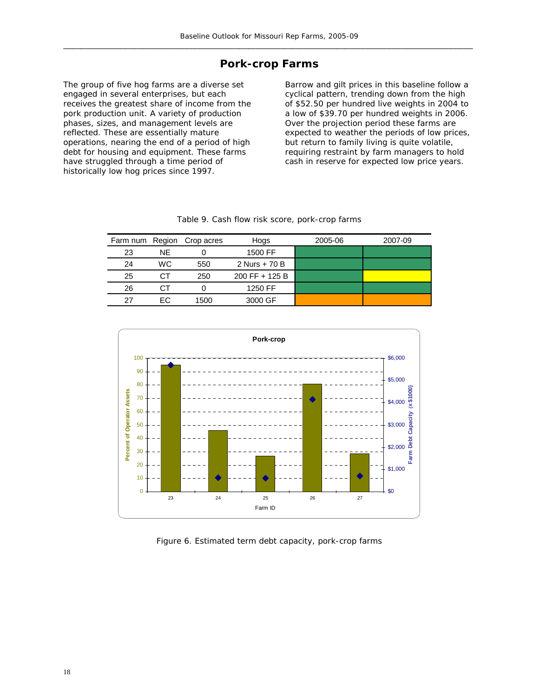### **Pork-crop Farms**

The group of five hog farms are a diverse set engaged in several enterprises, but each receives the greatest share of income from the pork production unit. A variety of production phases, sizes, and management levels are reflected. These are essentially mature operations, nearing the end of a period of high debt for housing and equipment. These farms have struggled through a time period of historically low hog prices since 1997.

Barrow and gilt prices in this baseline follow a cyclical pattern, trending down from the high of \$52.50 per hundred live weights in 2004 to a low of \$39.70 per hundred weights in 2006. Over the projection period these farms are expected to weather the periods of low prices, but return to family living is quite volatile, requiring restraint by farm managers to hold cash in reserve for expected low price years.

|    |           | Farm num Region Crop acres | Hogs           | 2005-06 | 2007-09 |
|----|-----------|----------------------------|----------------|---------|---------|
| 23 | NF.       |                            | 1500 FF        |         |         |
| 24 | <b>WC</b> | 550                        | 2 Nurs + 70 B  |         |         |
| 25 | СT        | 250                        | 200 FF + 125 B |         |         |
| 26 |           |                            | 1250 FF        |         |         |
| 27 | FC.       | 1500                       | 3000 GF        |         |         |

|  |  |  |  |  | Table 9. Cash flow risk score, pork-crop farms |  |
|--|--|--|--|--|------------------------------------------------|--|
|--|--|--|--|--|------------------------------------------------|--|



Figure 6. Estimated term debt capacity, pork-crop farms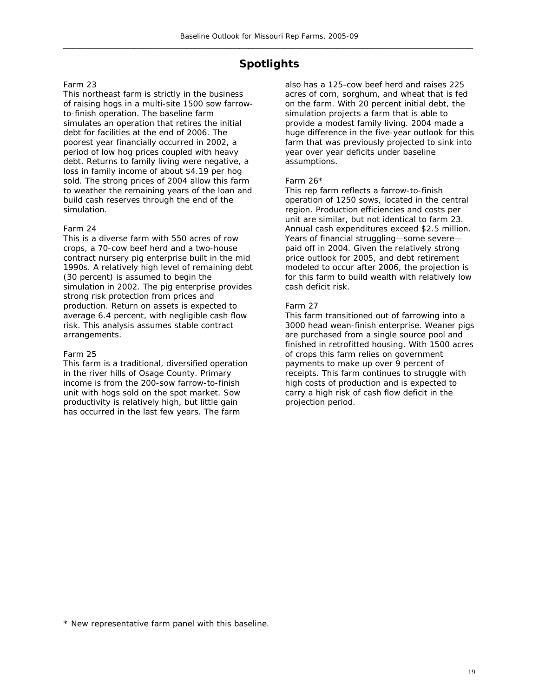## **Spotlights**

#### Farm 23

This northeast farm is strictly in the business of raising hogs in a multi-site 1500 sow farrowto-finish operation. The baseline farm simulates an operation that retires the initial debt for facilities at the end of 2006. The poorest year financially occurred in 2002, a period of low hog prices coupled with heavy debt. Returns to family living were negative, a loss in family income of about \$4.19 per hog sold. The strong prices of 2004 allow this farm to weather the remaining years of the loan and build cash reserves through the end of the simulation.

#### Farm 24

This is a diverse farm with 550 acres of row crops, a 70-cow beef herd and a two-house contract nursery pig enterprise built in the mid 1990s. A relatively high level of remaining debt (30 percent) is assumed to begin the simulation in 2002. The pig enterprise provides strong risk protection from prices and production. Return on assets is expected to average 6.4 percent, with negligible cash flow risk. This analysis assumes stable contract arrangements.

#### Farm 25

This farm is a traditional, diversified operation in the river hills of Osage County. Primary income is from the 200-sow farrow-to-finish unit with hogs sold on the spot market. Sow productivity is relatively high, but little gain has occurred in the last few years. The farm

also has a 125-cow beef herd and raises 225 acres of corn, sorghum, and wheat that is fed on the farm. With 20 percent initial debt, the simulation projects a farm that is able to provide a modest family living. 2004 made a huge difference in the five-year outlook for this farm that was previously projected to sink into year over year deficits under baseline assumptions.

#### Farm 26\*

This rep farm reflects a farrow-to-finish operation of 1250 sows, located in the central region. Production efficiencies and costs per unit are similar, but not identical to farm 23. Annual cash expenditures exceed \$2.5 million. Years of financial struggling—some severe paid off in 2004. Given the relatively strong price outlook for 2005, and debt retirement modeled to occur after 2006, the projection is for this farm to build wealth with relatively low cash deficit risk.

#### Farm 27

This farm transitioned out of farrowing into a 3000 head wean-finish enterprise. Weaner pigs are purchased from a single source pool and finished in retrofitted housing. With 1500 acres of crops this farm relies on government payments to make up over 9 percent of receipts. This farm continues to struggle with high costs of production and is expected to carry a high risk of cash flow deficit in the projection period.

\* New representative farm panel with this baseline.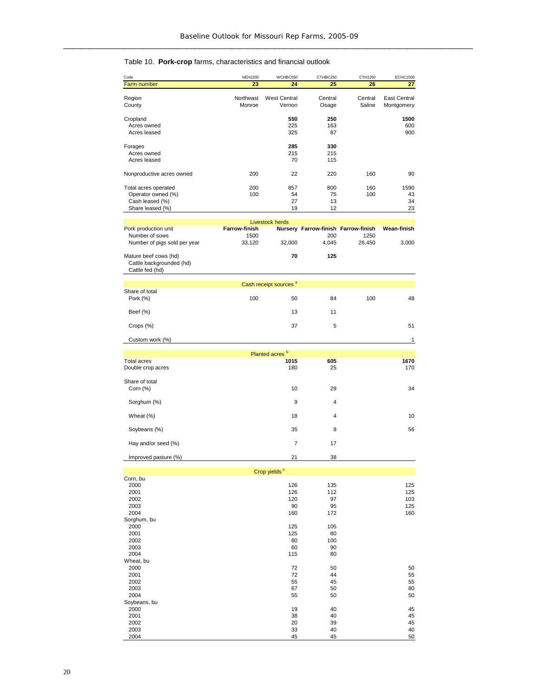#### Table 10. **Pork-crop** farms, characteristics and financial outlook

| Code                                                                 | <b>NEH1500</b>       | WCHBC550                          | CTHBC250                            | CTH1250           | <b>ECHC1500</b>                   |
|----------------------------------------------------------------------|----------------------|-----------------------------------|-------------------------------------|-------------------|-----------------------------------|
| Farm number                                                          | 23                   | 24                                | 25                                  | 26                | 27                                |
| Region<br>County                                                     | Northeast<br>Monroe  | <b>West Central</b><br>Vernon     | Central<br>Osage                    | Central<br>Saline | <b>East Central</b><br>Montgomery |
| Cropland                                                             |                      | 550                               | 250                                 |                   | 1500                              |
| Acres owned                                                          |                      | 225                               | 163                                 |                   | 600                               |
| Acres leased                                                         |                      | 325                               | 87                                  |                   | 900                               |
| Forages                                                              |                      | 285                               | 330                                 |                   |                                   |
| Acres owned                                                          |                      | 215                               | 215                                 |                   |                                   |
| Acres leased                                                         |                      | 70                                | 115                                 |                   |                                   |
| Nonproductive acres owned                                            | 200                  | 22                                | 220                                 | 160               | 90                                |
| Total acres operated<br>Operator owned (%)                           | 200<br>100           | 857<br>54                         | 800<br>75                           | 160<br>100        | 1590<br>43                        |
| Cash leased (%)                                                      |                      | 27                                | 13                                  |                   | 34                                |
| Share leased (%)                                                     |                      | 19                                | 12                                  |                   | 23                                |
|                                                                      |                      | <b>Livestock herds</b>            |                                     |                   |                                   |
| Pork production unit                                                 | <b>Farrow-finish</b> |                                   | Nursery Farrow-finish Farrow-finish |                   | Wean-finish                       |
| Number of sows<br>Number of pigs sold per year                       | 1500<br>33,120       | 32,000                            | 200<br>4,045                        | 1250<br>26,450    | 3,000                             |
| Mature beef cows (hd)<br>Cattle backgrounded (hd)<br>Cattle fed (hd) |                      | 70                                | 125                                 |                   |                                   |
|                                                                      |                      | Cash receipt sources <sup>a</sup> |                                     |                   |                                   |
| Share of total                                                       |                      |                                   |                                     |                   |                                   |
| Pork (%)                                                             | 100                  | 50                                | 84                                  | 100               | 48                                |
| Beef (%)                                                             |                      | 13                                | 11                                  |                   |                                   |
| Crops (%)                                                            |                      | 37                                | 5                                   |                   | 51                                |
| Custom work (%)                                                      |                      |                                   |                                     |                   | 1                                 |
|                                                                      |                      | Planted acres <sup>b</sup>        |                                     |                   |                                   |
| <b>Total acres</b>                                                   |                      | 1015                              | 605                                 |                   | 1670                              |
| Double crop acres                                                    |                      | 180                               | 25                                  |                   | 170                               |
| Share of total<br>Corn $(\%)$                                        |                      | 10                                | 29                                  |                   | 34                                |
| Sorghum (%)                                                          |                      | 9                                 | $\overline{4}$                      |                   |                                   |
| Wheat (%)                                                            |                      | 18                                | 4                                   |                   | 10                                |
| Soybeans (%)                                                         |                      | 35                                | 8                                   |                   | 56                                |
| Hay and/or seed (%)                                                  |                      | $\overline{7}$                    | 17                                  |                   |                                   |
| Improved pasture (%)                                                 |                      | 21                                | 38                                  |                   |                                   |
|                                                                      |                      |                                   |                                     |                   |                                   |
|                                                                      |                      | Crop yields <sup>c</sup>          |                                     |                   |                                   |
| Corn, bu<br>2000                                                     |                      | 126                               | 135                                 |                   | 125                               |
| 2001                                                                 |                      | 126                               | 112                                 |                   | 125                               |
| 2002                                                                 |                      | 120                               | 97                                  |                   | 103                               |
| 2003<br>2004                                                         |                      | 90<br>160                         | 95<br>172                           |                   | 125<br>160                        |
| Sorghum, bu                                                          |                      |                                   |                                     |                   |                                   |
| 2000                                                                 |                      | 125                               | 105                                 |                   |                                   |
| 2001                                                                 |                      | 125                               | 80                                  |                   |                                   |
| 2002<br>2003                                                         |                      | 80<br>60                          | 100<br>90                           |                   |                                   |
| 2004                                                                 |                      | 115                               | 80                                  |                   |                                   |
| Wheat, bu                                                            |                      |                                   |                                     |                   |                                   |
| 2000                                                                 |                      | 72                                | 50                                  |                   | 50                                |
| 2001<br>2002                                                         |                      | 72<br>55                          | 44<br>45                            |                   | 55<br>55                          |
| 2003                                                                 |                      | 67                                | 50                                  |                   | 80                                |
| 2004                                                                 |                      | 55                                | 50                                  |                   | 50                                |
| Soybeans, bu                                                         |                      |                                   |                                     |                   |                                   |
| 2000<br>2001                                                         |                      | 19<br>38                          | 40<br>40                            |                   | 45<br>45                          |
| 2002                                                                 |                      | 20                                | 39                                  |                   | 45                                |
| 2003                                                                 |                      | 33                                | 40                                  |                   | 40                                |
| 2004                                                                 |                      | 45                                | 45                                  |                   | 50                                |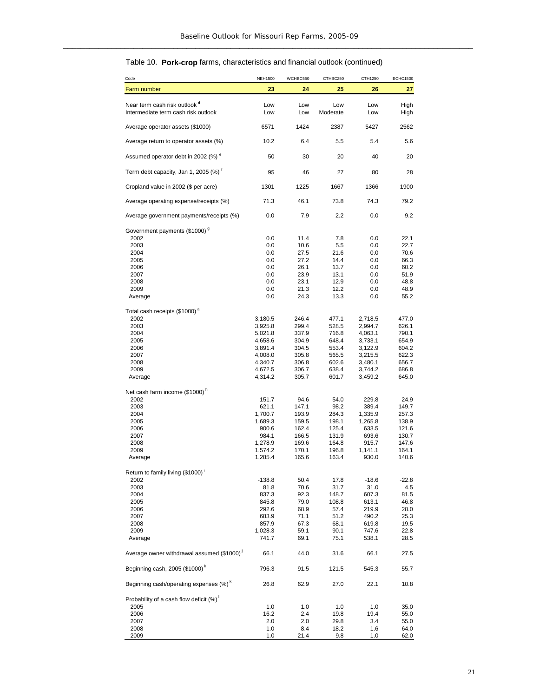#### Table 10. **Pork-crop** farms, characteristics and financial outlook (continued)

| Code                                                                            | <b>NEH1500</b>     | WCHBC550       | CTHBC250        | CTH1250            | <b>ECHC1500</b> |
|---------------------------------------------------------------------------------|--------------------|----------------|-----------------|--------------------|-----------------|
| Farm number                                                                     | 23                 | 24             | 25              | 26                 | 27              |
| Near term cash risk outlook <sup>d</sup><br>Intermediate term cash risk outlook | Low<br>Low         | Low<br>Low     | Low<br>Moderate | Low<br>Low         | High<br>High    |
| Average operator assets (\$1000)                                                | 6571               | 1424           | 2387            | 5427               | 2562            |
| Average return to operator assets (%)                                           | 10.2               | 6.4            | 5.5             | 5.4                | 5.6             |
| Assumed operator debt in 2002 (%) <sup>e</sup>                                  | 50                 | 30             | 20              | 40                 | 20              |
| Term debt capacity, Jan 1, 2005 (%) <sup>t</sup>                                | 95                 | 46             | 27              | 80                 | 28              |
| Cropland value in 2002 (\$ per acre)                                            | 1301               | 1225           | 1667            | 1366               | 1900            |
| Average operating expense/receipts (%)                                          | 71.3               | 46.1           | 73.8            | 74.3               | 79.2            |
| Average government payments/receipts (%)                                        | 0.0                | 7.9            | 2.2             | 0.0                | 9.2             |
| Government payments (\$1000) <sup>9</sup>                                       |                    |                |                 |                    |                 |
| 2002                                                                            | 0.0                | 11.4           | 7.8             | 0.0                | 22.1            |
| 2003                                                                            | 0.0                | 10.6           | 5.5             | 0.0                | 22.7<br>70.6    |
| 2004                                                                            | $0.0\,$            | 27.5           | 21.6            | 0.0                |                 |
| 2005                                                                            | 0.0                | 27.2           | 14.4<br>13.7    | 0.0                | 66.3<br>60.2    |
| 2006                                                                            | 0.0                | 26.1           |                 | 0.0                |                 |
| 2007                                                                            | 0.0                | 23.9           | 13.1            | 0.0                | 51.9            |
| 2008<br>2009                                                                    | $0.0\,$<br>$0.0\,$ | 23.1<br>21.3   | 12.9<br>12.2    | 0.0<br>0.0         | 48.8<br>48.9    |
| Average                                                                         | 0.0                | 24.3           | 13.3            | 0.0                | 55.2            |
|                                                                                 |                    |                |                 |                    |                 |
| Total cash receipts (\$1000) <sup>a</sup>                                       |                    |                |                 |                    |                 |
| 2002                                                                            | 3,180.5            | 246.4          | 477.1<br>528.5  | 2,718.5            | 477.0           |
| 2003                                                                            | 3,925.8            | 299.4          |                 | 2,994.7            | 626.1           |
| 2004<br>2005                                                                    | 5,021.8<br>4,658.6 | 337.9<br>304.9 | 716.8<br>648.4  | 4,063.1<br>3,733.1 | 790.1<br>654.9  |
| 2006                                                                            | 3,891.4            | 304.5          | 553.4           | 3,122.9            | 604.2           |
| 2007                                                                            | 4,008.0            | 305.8          | 565.5           | 3,215.5            | 622.3           |
| 2008                                                                            | 4,340.7            | 306.8          | 602.6           | 3,480.1            | 656.7           |
| 2009                                                                            | 4,672.5            | 306.7          | 638.4           | 3,744.2            | 686.8           |
| Average                                                                         | 4,314.2            | 305.7          | 601.7           | 3,459.2            | 645.0           |
| Net cash farm income (\$1000) <sup>n</sup>                                      |                    |                |                 |                    |                 |
| 2002                                                                            | 151.7              | 94.6           | 54.0            | 229.8              | 24.9            |
| 2003                                                                            | 621.1              | 147.1          | 98.2            | 389.4              | 149.7           |
| 2004                                                                            | 1,700.7            | 193.9          | 284.3           | 1,335.9            | 257.3           |
| 2005                                                                            | 1,689.3            | 159.5          | 198.1           | 1,265.8            | 138.9           |
| 2006                                                                            | 900.6              | 162.4          | 125.4           | 633.5              | 121.6           |
| 2007                                                                            | 984.1              | 166.5          | 131.9           | 693.6              | 130.7           |
| 2008                                                                            | 1,278.9            | 169.6          | 164.8           | 915.7              | 147.6           |
| 2009                                                                            | 1,574.2            | 170.1          | 196.8           | 1,141.1            | 164.1           |
| Average                                                                         | 1,285.4            | 165.6          | 163.4           | 930.0              | 140.6           |
| Return to family living (\$1000)                                                |                    |                |                 |                    |                 |
| 2002                                                                            | $-138.8$           | 50.4           | 17.8            | $-18.6$            | $-22.8$         |
| 2003                                                                            | 81.8               | 70.6           | 31.7            | 31.0               | 4.5             |
| 2004                                                                            | 837.3              | 92.3           | 148.7           | 607.3              | 81.5            |
| 2005                                                                            | 845.8              | 79.0           | 108.8           | 613.1              | 46.8            |
| 2006                                                                            | 292.6              | 68.9           | 57.4            | 219.9              | 28.0            |
| 2007                                                                            | 683.9              | 71.1           | 51.2            | 490.2              | 25.3            |
| 2008                                                                            | 857.9              | 67.3           | 68.1            | 619.8              | 19.5            |
| 2009<br>Average                                                                 | 1,028.3<br>741.7   | 59.1<br>69.1   | 90.1<br>75.1    | 747.6<br>538.1     | 22.8<br>28.5    |
|                                                                                 |                    |                |                 |                    |                 |
| Average owner withdrawal assumed (\$1000) <sup>1</sup>                          | 66.1               | 44.0           | 31.6            | 66.1               | 27.5            |
| Beginning cash, 2005 (\$1000) <sup>k</sup>                                      | 796.3              | 91.5           | 121.5           | 545.3              | 55.7            |
| Beginning cash/operating expenses (%) <sup>k</sup>                              | 26.8               | 62.9           | 27.0            | 22.1               | 10.8            |
| Probability of a cash flow deficit (%)                                          |                    |                |                 |                    |                 |
| 2005                                                                            | 1.0                | 1.0            | 1.0             | 1.0                | 35.0            |
| 2006                                                                            | 16.2               | 2.4            | 19.8            | 19.4               | 55.0            |
| 2007<br>2008                                                                    | 2.0<br>1.0         | 2.0<br>8.4     | 29.8<br>18.2    | 3.4                | 55.0            |
| 2009                                                                            | 1.0                | 21.4           | 9.8             | 1.6<br>1.0         | 64.0<br>62.0    |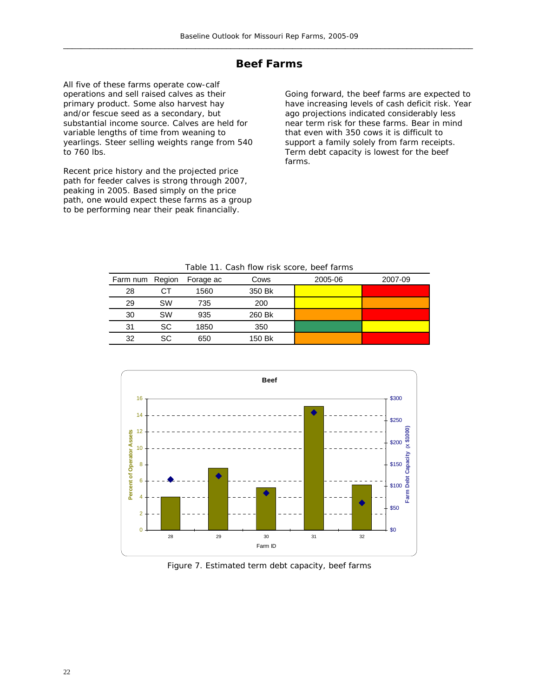## **Beef Farms**

All five of these farms operate cow-calf operations and sell raised calves as their primary product. Some also harvest hay and/or fescue seed as a secondary, but substantial income source. Calves are held for variable lengths of time from weaning to yearlings. Steer selling weights range from 540 to 760 lbs.

Recent price history and the projected price path for feeder calves is strong through 2007, peaking in 2005. Based simply on the price path, one would expect these farms as a group to be performing near their peak financially.

Going forward, the beef farms are expected to have increasing levels of cash deficit risk. Year ago projections indicated considerably less near term risk for these farms. Bear in mind that even with 350 cows it is difficult to support a family solely from farm receipts. Term debt capacity is lowest for the beef farms.

#### Table 11. Cash flow risk score, beef farms

| Farm num Region |    | Forage ac | Cows   | 2005-06 | 2007-09 |
|-----------------|----|-----------|--------|---------|---------|
| 28              | CТ | 1560      | 350 Bk |         |         |
| 29              | SW | 735       | 200    |         |         |
| 30              | SW | 935       | 260 Bk |         |         |
| 31              | SC | 1850      | 350    |         |         |
| 32              | SC | 650       | 150 Bk |         |         |



Figure 7. Estimated term debt capacity, beef farms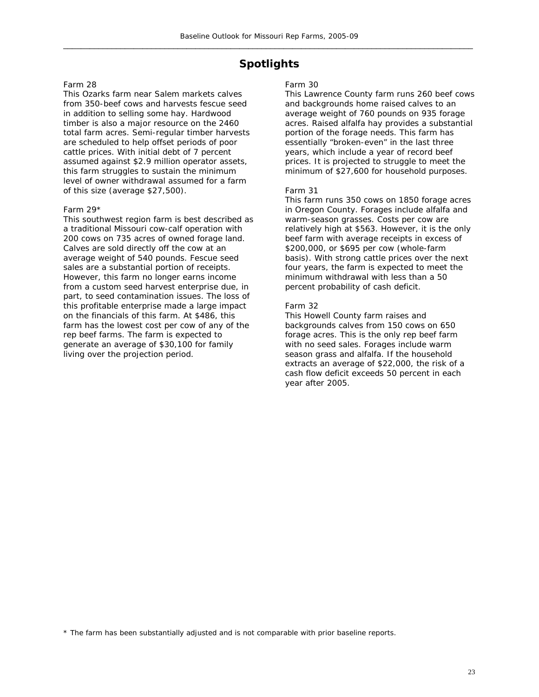## **Spotlights**

#### Farm 28

This Ozarks farm near Salem markets calves from 350-beef cows and harvests fescue seed in addition to selling some hay. Hardwood timber is also a major resource on the 2460 total farm acres. Semi-regular timber harvests are scheduled to help offset periods of poor cattle prices. With initial debt of 7 percent assumed against \$2.9 million operator assets, this farm struggles to sustain the minimum level of owner withdrawal assumed for a farm of this size (average \$27,500).

#### Farm 29\*

This southwest region farm is best described as a traditional Missouri cow-calf operation with 200 cows on 735 acres of owned forage land. Calves are sold directly off the cow at an average weight of 540 pounds. Fescue seed sales are a substantial portion of receipts. However, this farm no longer earns income from a custom seed harvest enterprise due, in part, to seed contamination issues. The loss of this profitable enterprise made a large impact on the financials of this farm. At \$486, this farm has the lowest cost per cow of any of the rep beef farms. The farm is expected to generate an average of \$30,100 for family living over the projection period.

#### Farm 30

This Lawrence County farm runs 260 beef cows and backgrounds home raised calves to an average weight of 760 pounds on 935 forage acres. Raised alfalfa hay provides a substantial portion of the forage needs. This farm has essentially "broken-even" in the last three years, which include a year of record beef prices. It is projected to struggle to meet the minimum of \$27,600 for household purposes.

#### Farm 31

This farm runs 350 cows on 1850 forage acres in Oregon County. Forages include alfalfa and warm-season grasses. Costs per cow are relatively high at \$563. However, it is the only beef farm with average receipts in excess of \$200,000, or \$695 per cow (whole-farm basis). With strong cattle prices over the next four years, the farm is expected to meet the minimum withdrawal with less than a 50 percent probability of cash deficit.

#### Farm 32

This Howell County farm raises and backgrounds calves from 150 cows on 650 forage acres. This is the only rep beef farm with no seed sales. Forages include warm season grass and alfalfa. If the household extracts an average of \$22,000, the risk of a cash flow deficit exceeds 50 percent in each year after 2005.

\* The farm has been substantially adjusted and is not comparable with prior baseline reports.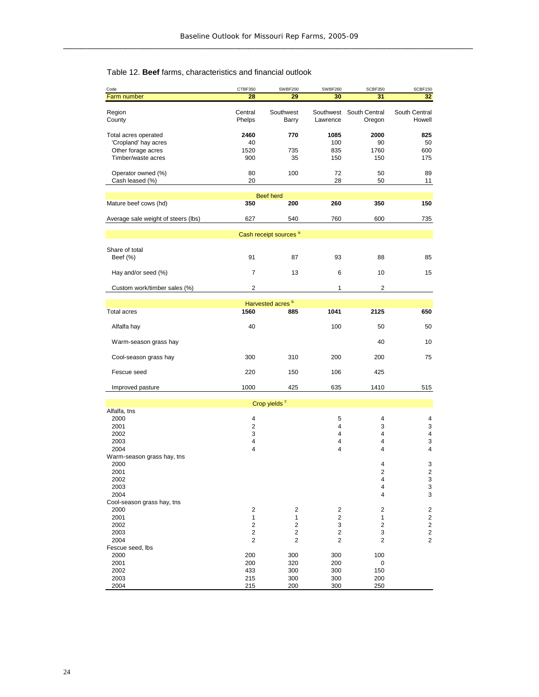#### Table 12. **Beef** farms, characteristics and financial outlook

| Code                                       | CTBF350                 | <b>SWBF200</b>                    | SWBF260                 | SCBF350        | SCBF150                 |
|--------------------------------------------|-------------------------|-----------------------------------|-------------------------|----------------|-------------------------|
| Farm number                                | 28                      | 29                                | 30                      | 31             | 32                      |
|                                            |                         |                                   |                         |                |                         |
| Region                                     | Central                 | Southwest                         | Southwest               | South Central  | South Central           |
| County                                     | Phelps                  | Barry                             | Lawrence                | Oregon         | Howell                  |
|                                            |                         |                                   |                         |                |                         |
| Total acres operated                       | 2460                    | 770                               | 1085                    | 2000           | 825                     |
| 'Cropland' hay acres<br>Other forage acres | 40<br>1520              | 735                               | 100<br>835              | 90<br>1760     | 50<br>600               |
| Timber/waste acres                         | 900                     | 35                                | 150                     | 150            | 175                     |
|                                            |                         |                                   |                         |                |                         |
| Operator owned (%)                         | 80                      | 100                               | 72                      | 50             | 89                      |
| Cash leased (%)                            | 20                      |                                   | 28                      | 50             | 11                      |
|                                            |                         |                                   |                         |                |                         |
|                                            |                         | <b>Beef herd</b>                  |                         |                |                         |
| Mature beef cows (hd)                      | 350                     | 200                               | 260                     | 350            | 150                     |
|                                            |                         |                                   |                         |                |                         |
| Average sale weight of steers (lbs)        | 627                     | 540                               | 760                     | 600            | 735                     |
|                                            |                         |                                   |                         |                |                         |
|                                            |                         | Cash receipt sources <sup>a</sup> |                         |                |                         |
|                                            |                         |                                   |                         |                |                         |
| Share of total                             |                         |                                   |                         |                |                         |
| Beef (%)                                   | 91                      | 87                                | 93                      | 88             | 85                      |
|                                            |                         |                                   |                         |                |                         |
| Hay and/or seed (%)                        | $\overline{7}$          | 13                                | 6                       | 10             | 15                      |
| Custom work/timber sales (%)               | $\overline{2}$          |                                   | 1                       | $\overline{2}$ |                         |
|                                            |                         |                                   |                         |                |                         |
|                                            |                         | Harvested acres <sup>b</sup>      |                         |                |                         |
| <b>Total acres</b>                         | 1560                    | 885                               | 1041                    | 2125           | 650                     |
|                                            |                         |                                   |                         |                |                         |
| Alfalfa hay                                | 40                      |                                   | 100                     | 50             | 50                      |
|                                            |                         |                                   |                         |                |                         |
| Warm-season grass hay                      |                         |                                   |                         | 40             | 10                      |
|                                            |                         |                                   |                         |                |                         |
| Cool-season grass hay                      | 300                     | 310                               | 200                     | 200            | 75                      |
|                                            |                         |                                   |                         |                |                         |
| Fescue seed                                | 220                     | 150                               | 106                     | 425            |                         |
|                                            |                         |                                   |                         |                |                         |
| Improved pasture                           | 1000                    | 425                               | 635                     | 1410           | 515                     |
|                                            |                         |                                   |                         |                |                         |
|                                            |                         | Crop yields <sup>c</sup>          |                         |                |                         |
| Alfalfa, tns<br>2000                       | 4                       |                                   |                         |                |                         |
| 2001                                       | $\overline{2}$          |                                   | 5<br>4                  | 4<br>3         | 4<br>3                  |
| 2002                                       | 3                       |                                   | 4                       | 4              | 4                       |
| 2003                                       | 4                       |                                   | 4                       | 4              | 3                       |
| 2004                                       | 4                       |                                   | 4                       | 4              | 4                       |
| Warm-season grass hay, tns                 |                         |                                   |                         |                |                         |
| 2000                                       |                         |                                   |                         | 4              | 3                       |
| 2001                                       |                         |                                   |                         | 2              | 2                       |
| 2002                                       |                         |                                   |                         | 4              | 3                       |
| 2003                                       |                         |                                   |                         | 4              | 3                       |
| 2004                                       |                         |                                   |                         | 4              | 3                       |
| Cool-season grass hay, tns                 |                         |                                   |                         |                |                         |
| 2000                                       | $\overline{\mathbf{c}}$ | $\sqrt{2}$                        | 2                       | 2              | $\overline{\mathbf{c}}$ |
| 2001                                       | $\mathbf{1}$            | $\mathbf{1}$                      | $\mathbf 2$             | 1              | $\overline{2}$          |
| 2002                                       | $\mathbf 2$             | $\mathbf 2$                       | 3                       | 2              | $\overline{\mathbf{c}}$ |
| 2003                                       | $\sqrt{2}$              | 2                                 | $\overline{\mathbf{c}}$ | 3              | $\overline{\mathbf{c}}$ |
| 2004                                       | $\overline{\mathbf{c}}$ | 2                                 | 2                       | 2              | 2                       |
| Fescue seed, lbs                           |                         |                                   |                         |                |                         |
| 2000                                       | 200                     | 300                               | 300                     | 100            |                         |
| 2001<br>2002                               | 200                     | 320                               | 200<br>300              | 0              |                         |
| 2003                                       | 433<br>215              | 300<br>300                        | 300                     | 150<br>200     |                         |
| 2004                                       | 215                     | 200                               | 300                     | 250            |                         |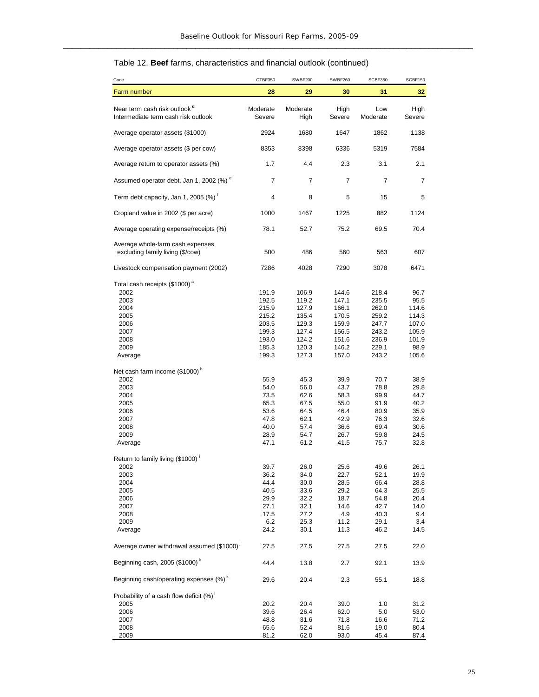### Table 12. **Beef** farms, characteristics and financial outlook (continued)

| Code                                                                                                                 | CTBF350                                                                       | SWBF200                                                                       | SWBF260                                                                       | SCBF350                                                                       | SCBF150                                                                    |
|----------------------------------------------------------------------------------------------------------------------|-------------------------------------------------------------------------------|-------------------------------------------------------------------------------|-------------------------------------------------------------------------------|-------------------------------------------------------------------------------|----------------------------------------------------------------------------|
| Farm number                                                                                                          | 28                                                                            | 29                                                                            | 30                                                                            | 31                                                                            | 32 <sub>2</sub>                                                            |
| Near term cash risk outlook <sup>d</sup><br>Intermediate term cash risk outlook                                      | Moderate<br>Severe                                                            | Moderate<br>High                                                              | High<br>Severe                                                                | Low<br>Moderate                                                               | High<br>Severe                                                             |
| Average operator assets (\$1000)                                                                                     | 2924                                                                          | 1680                                                                          | 1647                                                                          | 1862                                                                          | 1138                                                                       |
| Average operator assets (\$ per cow)                                                                                 | 8353                                                                          | 8398                                                                          | 6336                                                                          | 5319                                                                          | 7584                                                                       |
| Average return to operator assets (%)                                                                                | 1.7                                                                           | 4.4                                                                           | 2.3                                                                           | 3.1                                                                           | 2.1                                                                        |
| Assumed operator debt, Jan 1, 2002 (%) <sup>e</sup>                                                                  | $\overline{7}$                                                                | $\overline{7}$                                                                | 7                                                                             | $\overline{7}$                                                                | $\overline{7}$                                                             |
| Term debt capacity, Jan 1, 2005 (%) <sup>t</sup>                                                                     | 4                                                                             | 8                                                                             | 5                                                                             | 15                                                                            | 5                                                                          |
| Cropland value in 2002 (\$ per acre)                                                                                 | 1000                                                                          | 1467                                                                          | 1225                                                                          | 882                                                                           | 1124                                                                       |
| Average operating expense/receipts (%)                                                                               | 78.1                                                                          | 52.7                                                                          | 75.2                                                                          | 69.5                                                                          | 70.4                                                                       |
| Average whole-farm cash expenses<br>excluding family living (\$/cow)                                                 | 500                                                                           | 486                                                                           | 560                                                                           | 563                                                                           | 607                                                                        |
| Livestock compensation payment (2002)                                                                                | 7286                                                                          | 4028                                                                          | 7290                                                                          | 3078                                                                          | 6471                                                                       |
| Total cash receipts (\$1000) <sup>a</sup><br>2002<br>2003<br>2004<br>2005<br>2006<br>2007<br>2008<br>2009<br>Average | 191.9<br>192.5<br>215.9<br>215.2<br>203.5<br>199.3<br>193.0<br>185.3<br>199.3 | 106.9<br>119.2<br>127.9<br>135.4<br>129.3<br>127.4<br>124.2<br>120.3<br>127.3 | 144.6<br>147.1<br>166.1<br>170.5<br>159.9<br>156.5<br>151.6<br>146.2<br>157.0 | 218.4<br>235.5<br>262.0<br>259.2<br>247.7<br>243.2<br>236.9<br>229.1<br>243.2 | 96.7<br>95.5<br>114.6<br>114.3<br>107.0<br>105.9<br>101.9<br>98.9<br>105.6 |
| Net cash farm income (\$1000)"<br>2002<br>2003<br>2004<br>2005<br>2006<br>2007<br>2008<br>2009<br>Average            | 55.9<br>54.0<br>73.5<br>65.3<br>53.6<br>47.8<br>40.0<br>28.9<br>47.1          | 45.3<br>56.0<br>62.6<br>67.5<br>64.5<br>62.1<br>57.4<br>54.7<br>61.2          | 39.9<br>43.7<br>58.3<br>55.0<br>46.4<br>42.9<br>36.6<br>26.7<br>41.5          | 70.7<br>78.8<br>99.9<br>91.9<br>80.9<br>76.3<br>69.4<br>59.8<br>75.7          | 38.9<br>29.8<br>44.7<br>40.2<br>35.9<br>32.6<br>30.6<br>24.5<br>32.8       |
| Return to family living (\$1000)<br>2002<br>2003<br>2004<br>2005<br>2006<br>2007<br>2008<br>2009<br>Average          | 39.7<br>36.2<br>44.4<br>40.5<br>29.9<br>27.1<br>17.5<br>6.2<br>24.2           | 26.0<br>34.0<br>30.0<br>33.6<br>32.2<br>32.1<br>27.2<br>25.3<br>30.1          | 25.6<br>22.7<br>28.5<br>29.2<br>18.7<br>14.6<br>4.9<br>$-11.2$<br>11.3        | 49.6<br>52.1<br>66.4<br>64.3<br>54.8<br>42.7<br>40.3<br>29.1<br>46.2          | 26.1<br>19.9<br>28.8<br>25.5<br>20.4<br>14.0<br>9.4<br>3.4<br>14.5         |
| Average owner withdrawal assumed (\$1000) <sup>1</sup>                                                               | 27.5                                                                          | 27.5                                                                          | 27.5                                                                          | 27.5                                                                          | 22.0                                                                       |
| Beginning cash, 2005 (\$1000) <sup>k</sup>                                                                           | 44.4                                                                          | 13.8                                                                          | 2.7                                                                           | 92.1                                                                          | 13.9                                                                       |
| Beginning cash/operating expenses (%) <sup>k</sup>                                                                   | 29.6                                                                          | 20.4                                                                          | 2.3                                                                           | 55.1                                                                          | 18.8                                                                       |
| Probability of a cash flow deficit $(\%)^{\perp}$<br>2005<br>2006<br>2007<br>2008<br>2009                            | 20.2<br>39.6<br>48.8<br>65.6<br>81.2                                          | 20.4<br>26.4<br>31.6<br>52.4<br>62.0                                          | 39.0<br>62.0<br>71.8<br>81.6<br>93.0                                          | 1.0<br>5.0<br>16.6<br>19.0<br>45.4                                            | 31.2<br>53.0<br>71.2<br>80.4<br>87.4                                       |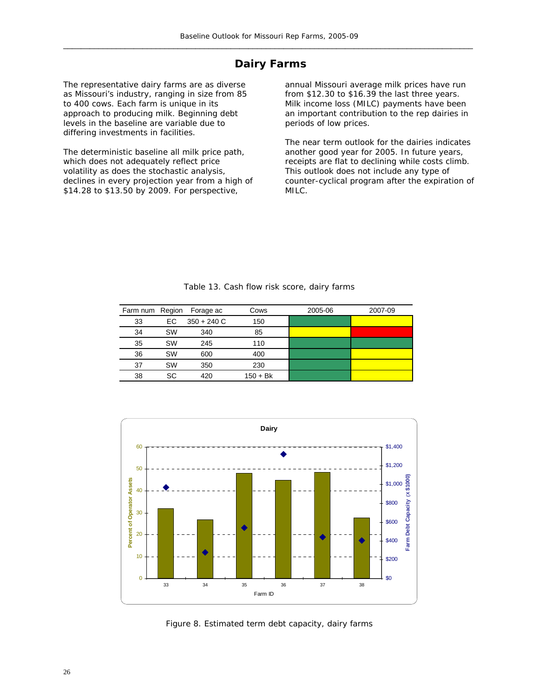## **Dairy Farms**

The representative dairy farms are as diverse as Missouri's industry, ranging in size from 85 to 400 cows. Each farm is unique in its approach to producing milk. Beginning debt levels in the baseline are variable due to differing investments in facilities.

The deterministic baseline all milk price path, which does not adequately reflect price volatility as does the stochastic analysis, declines in every projection year from a high of \$14.28 to \$13.50 by 2009. For perspective,

annual Missouri average milk prices have run from \$12.30 to \$16.39 the last three years. Milk income loss (MILC) payments have been an important contribution to the rep dairies in periods of low prices.

The near term outlook for the dairies indicates another good year for 2005. In future years, receipts are flat to declining while costs climb. This outlook does not include any type of counter-cyclical program after the expiration of MILC.

|    |           | Farm num Region Forage ac | Cows       | 2005-06 | 2007-09 |
|----|-----------|---------------------------|------------|---------|---------|
| 33 | EC.       | $350 + 240$ C             | 150        |         |         |
| 34 | <b>SW</b> | 340                       | 85         |         |         |
| 35 | <b>SW</b> | 245                       | 110        |         |         |
| 36 | <b>SW</b> | 600                       | 400        |         |         |
| 37 | <b>SW</b> | 350                       | 230        |         |         |
| 38 | SC        | 420                       | $150 + Bk$ |         |         |

Table 13. Cash flow risk score, dairy farms



Figure 8. Estimated term debt capacity, dairy farms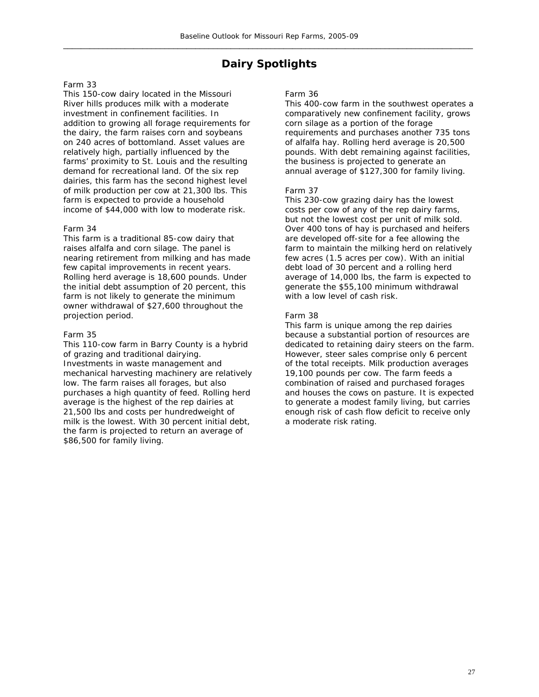## **Dairy Spotlights**

#### Farm 33

This 150-cow dairy located in the Missouri River hills produces milk with a moderate investment in confinement facilities. In addition to growing all forage requirements for the dairy, the farm raises corn and soybeans on 240 acres of bottomland. Asset values are relatively high, partially influenced by the farms' proximity to St. Louis and the resulting demand for recreational land. Of the six rep dairies, this farm has the second highest level of milk production per cow at 21,300 lbs. This farm is expected to provide a household income of \$44,000 with low to moderate risk.

#### Farm 34

This farm is a traditional 85-cow dairy that raises alfalfa and corn silage. The panel is nearing retirement from milking and has made few capital improvements in recent years. Rolling herd average is 18,600 pounds. Under the initial debt assumption of 20 percent, this farm is not likely to generate the minimum owner withdrawal of \$27,600 throughout the projection period.

#### Farm 35

This 110-cow farm in Barry County is a hybrid of grazing and traditional dairying. Investments in waste management and mechanical harvesting machinery are relatively low. The farm raises all forages, but also purchases a high quantity of feed. Rolling herd average is the highest of the rep dairies at 21,500 lbs and costs per hundredweight of milk is the lowest. With 30 percent initial debt, the farm is projected to return an average of \$86,500 for family living.

#### Farm 36

This 400-cow farm in the southwest operates a comparatively new confinement facility, grows corn silage as a portion of the forage requirements and purchases another 735 tons of alfalfa hay. Rolling herd average is 20,500 pounds. With debt remaining against facilities, the business is projected to generate an annual average of \$127,300 for family living.

#### Farm 37

This 230-cow grazing dairy has the lowest costs per cow of any of the rep dairy farms, but not the lowest cost per unit of milk sold. Over 400 tons of hay is purchased and heifers are developed off-site for a fee allowing the farm to maintain the milking herd on relatively few acres (1.5 acres per cow). With an initial debt load of 30 percent and a rolling herd average of 14,000 lbs, the farm is expected to generate the \$55,100 minimum withdrawal with a low level of cash risk.

#### Farm 38

This farm is unique among the rep dairies because a substantial portion of resources are dedicated to retaining dairy steers on the farm. However, steer sales comprise only 6 percent of the total receipts. Milk production averages 19,100 pounds per cow. The farm feeds a combination of raised and purchased forages and houses the cows on pasture. It is expected to generate a modest family living, but carries enough risk of cash flow deficit to receive only a moderate risk rating.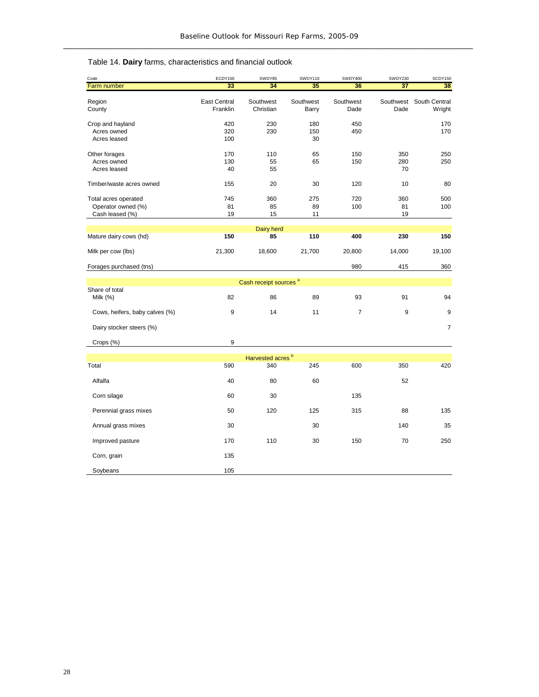| Code                           | ECDY150             | SWDY85                            | SWDY110   | SWDY400        | SWDY230   | SCDY150        |
|--------------------------------|---------------------|-----------------------------------|-----------|----------------|-----------|----------------|
| Farm number                    | 33                  | 34                                | 35        | 36             | 37        | 38             |
|                                | <b>East Central</b> | Southwest                         | Southwest | Southwest      | Southwest | South Central  |
| Region<br>County               | Franklin            | Christian                         | Barry     | Dade           | Dade      | Wright         |
|                                |                     |                                   |           |                |           |                |
| Crop and hayland               | 420                 | 230                               | 180       | 450            |           | 170            |
| Acres owned                    | 320                 | 230                               | 150       | 450            |           | 170            |
| Acres leased                   | 100                 |                                   | 30        |                |           |                |
| Other forages                  | 170                 | 110                               | 65        | 150            | 350       | 250            |
| Acres owned                    | 130                 | 55                                | 65        | 150            | 280       | 250            |
| Acres leased                   | 40                  | 55                                |           |                | 70        |                |
|                                |                     |                                   |           |                |           |                |
| Timber/waste acres owned       | 155                 | 20                                | 30        | 120            | 10        | 80             |
|                                |                     |                                   |           |                |           |                |
| Total acres operated           | 745                 | 360                               | 275       | 720            | 360       | 500            |
| Operator owned (%)             | 81                  | 85                                | 89        | 100            | 81        | 100            |
| Cash leased (%)                | 19                  | 15                                | 11        |                | 19        |                |
|                                |                     | Dairy herd                        |           |                |           |                |
| Mature dairy cows (hd)         | 150                 | 85                                | 110       | 400            | 230       | 150            |
|                                |                     |                                   |           |                |           |                |
| Milk per cow (lbs)             | 21,300              | 18,600                            | 21,700    | 20,800         | 14,000    | 19,100         |
| Forages purchased (tns)        |                     |                                   |           | 980            | 415       | 360            |
|                                |                     |                                   |           |                |           |                |
|                                |                     | Cash receipt sources <sup>a</sup> |           |                |           |                |
| Share of total                 |                     |                                   |           |                |           |                |
| Milk (%)                       | 82                  | 86                                | 89        | 93             | 91        | 94             |
| Cows, heifers, baby calves (%) | 9                   | 14                                | 11        | $\overline{7}$ | 9         | 9              |
|                                |                     |                                   |           |                |           |                |
| Dairy stocker steers (%)       |                     |                                   |           |                |           | $\overline{7}$ |
|                                | 9                   |                                   |           |                |           |                |
| Crops (%)                      |                     |                                   |           |                |           |                |
|                                |                     | Harvested acres <sup>b</sup>      |           |                |           |                |
| Total                          | 590                 | 340                               | 245       | 600            | 350       | 420            |
|                                |                     |                                   |           |                |           |                |
| Alfalfa                        | 40                  | 80                                | 60        |                | 52        |                |
| Corn silage                    | 60                  | 30                                |           | 135            |           |                |
|                                |                     |                                   |           |                |           |                |
| Perennial grass mixes          | 50                  | 120                               | 125       | 315            | 88        | 135            |
| Annual grass mixes             | 30                  |                                   | 30        |                | 140       | 35             |
|                                |                     |                                   |           |                |           |                |
| Improved pasture               | 170                 | 110                               | 30        | 150            | 70        | 250            |
| Corn, grain                    | 135                 |                                   |           |                |           |                |
|                                |                     |                                   |           |                |           |                |
| Soybeans                       | 105                 |                                   |           |                |           |                |

## Table 14. **Dairy** farms, characteristics and financial outlook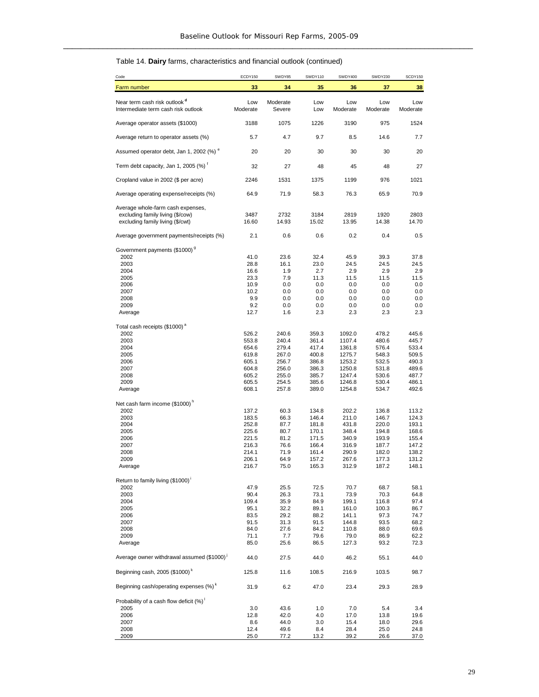#### Table 14. **Dairy** farms, characteristics and financial outlook (continued)

| Code                                                                                                                  | ECDY150                                                                       | SWDY85                                                                        | SWDY110                                                                       | SWDY400                                                                                | SWDY230                                                                       | SCDY150                                                                       |
|-----------------------------------------------------------------------------------------------------------------------|-------------------------------------------------------------------------------|-------------------------------------------------------------------------------|-------------------------------------------------------------------------------|----------------------------------------------------------------------------------------|-------------------------------------------------------------------------------|-------------------------------------------------------------------------------|
| Farm number                                                                                                           | 33                                                                            | 34                                                                            | 35                                                                            | 36                                                                                     | 37                                                                            | 38                                                                            |
| Near term cash risk outlook <sup>d</sup><br>Intermediate term cash risk outlook                                       | Low<br>Moderate                                                               | Moderate<br>Severe                                                            | Low<br>Low                                                                    | Low<br>Moderate                                                                        | Low<br>Moderate                                                               | Low<br>Moderate                                                               |
| Average operator assets (\$1000)                                                                                      | 3188                                                                          | 1075                                                                          | 1226                                                                          | 3190                                                                                   | 975                                                                           | 1524                                                                          |
| Average return to operator assets (%)                                                                                 | 5.7                                                                           | 4.7                                                                           | 9.7                                                                           | 8.5                                                                                    | 14.6                                                                          | 7.7                                                                           |
| Assumed operator debt, Jan 1, 2002 (%) "                                                                              | 20                                                                            | 20                                                                            | 30                                                                            | 30                                                                                     | 30                                                                            | 20                                                                            |
| Term debt capacity, Jan 1, 2005 (%) <sup>†</sup>                                                                      | 32                                                                            | 27                                                                            | 48                                                                            | 45                                                                                     | 48                                                                            | 27                                                                            |
| Cropland value in 2002 (\$ per acre)                                                                                  | 2246                                                                          | 1531                                                                          | 1375                                                                          | 1199                                                                                   | 976                                                                           | 1021                                                                          |
| Average operating expense/receipts (%)                                                                                | 64.9                                                                          | 71.9                                                                          | 58.3                                                                          | 76.3                                                                                   | 65.9                                                                          | 70.9                                                                          |
| Average whole-farm cash expenses,<br>excluding family living (\$/cow)<br>excluding family living (\$/cwt)             | 3487<br>16.60                                                                 | 2732<br>14.93                                                                 | 3184<br>15.02                                                                 | 2819<br>13.95                                                                          | 1920<br>14.38                                                                 | 2803<br>14.70                                                                 |
| Average government payments/receipts (%)                                                                              | 2.1                                                                           | 0.6                                                                           | 0.6                                                                           | 0.2                                                                                    | 0.4                                                                           | 0.5                                                                           |
| Government payments (\$1000) <sup>9</sup><br>2002<br>2003<br>2004<br>2005<br>2006<br>2007<br>2008<br>2009<br>Average  | 41.0<br>28.8<br>16.6<br>23.3<br>10.9<br>10.2<br>9.9<br>9.2<br>12.7            | 23.6<br>16.1<br>1.9<br>7.9<br>0.0<br>0.0<br>0.0<br>0.0<br>1.6                 | 32.4<br>23.0<br>2.7<br>11.3<br>0.0<br>0.0<br>0.0<br>0.0<br>2.3                | 45.9<br>24.5<br>2.9<br>11.5<br>0.0<br>0.0<br>0.0<br>0.0<br>2.3                         | 39.3<br>24.5<br>2.9<br>11.5<br>0.0<br>0.0<br>0.0<br>0.0<br>2.3                | 37.8<br>24.5<br>2.9<br>11.5<br>0.0<br>$0.0\,$<br>$0.0\,$<br>$0.0\,$<br>2.3    |
| Total cash receipts (\$1000) <sup>ª</sup><br>2002<br>2003<br>2004<br>2005<br>2006<br>2007<br>2008<br>2009<br>Average  | 526.2<br>553.8<br>654.6<br>619.8<br>605.1<br>604.8<br>605.2<br>605.5<br>608.1 | 240.6<br>240.4<br>279.4<br>267.0<br>256.7<br>256.0<br>255.0<br>254.5<br>257.8 | 359.3<br>361.4<br>417.4<br>400.8<br>386.8<br>386.3<br>385.7<br>385.6<br>389.0 | 1092.0<br>1107.4<br>1361.8<br>1275.7<br>1253.2<br>1250.8<br>1247.4<br>1246.8<br>1254.8 | 478.2<br>480.6<br>576.4<br>548.3<br>532.5<br>531.8<br>530.6<br>530.4<br>534.7 | 445.6<br>445.7<br>533.4<br>509.5<br>490.3<br>489.6<br>487.7<br>486.1<br>492.6 |
| Net cash farm income (\$1000) <sup>h</sup><br>2002<br>2003<br>2004<br>2005<br>2006<br>2007<br>2008<br>2009<br>Average | 137.2<br>183.5<br>252.8<br>225.6<br>221.5<br>216.3<br>214.1<br>206.1<br>216.7 | 60.3<br>66.3<br>87.7<br>80.7<br>81.2<br>76.6<br>71.9<br>64.9<br>75.0          | 134.8<br>146.4<br>181.8<br>170.1<br>171.5<br>166.4<br>161.4<br>157.2<br>165.3 | 202.2<br>211.0<br>431.8<br>348.4<br>340.9<br>316.9<br>290.9<br>267.6<br>312.9          | 136.8<br>146.7<br>220.0<br>194.8<br>193.9<br>187.7<br>182.0<br>177.3<br>187.2 | 113.2<br>124.3<br>193.1<br>168.6<br>155.4<br>147.2<br>138.2<br>131.2<br>148.1 |
| Return to family living (\$1000)<br>2002<br>2003<br>2004<br>2005<br>2006<br>2007<br>2008<br>2009<br>Average           | 47.9<br>90.4<br>109.4<br>95.1<br>83.5<br>91.5<br>84.0<br>71.1<br>85.0         | 25.5<br>26.3<br>35.9<br>32.2<br>29.2<br>31.3<br>27.6<br>7.7<br>25.6           | 72.5<br>73.1<br>84.9<br>89.1<br>88.2<br>91.5<br>84.2<br>79.6<br>86.5          | 70.7<br>73.9<br>199.1<br>161.0<br>141.1<br>144.8<br>110.8<br>79.0<br>127.3             | 68.7<br>70.3<br>116.8<br>100.3<br>97.3<br>93.5<br>88.0<br>86.9<br>93.2        | 58.1<br>64.8<br>97.4<br>86.7<br>74.7<br>68.2<br>69.6<br>62.2<br>72.3          |
| Average owner withdrawal assumed (\$1000) <sup>1</sup>                                                                | 44.0                                                                          | 27.5                                                                          | 44.0                                                                          | 46.2                                                                                   | 55.1                                                                          | 44.0                                                                          |
| Beginning cash, 2005 (\$1000) <sup>k</sup>                                                                            | 125.8                                                                         | 11.6                                                                          | 108.5                                                                         | 216.9                                                                                  | 103.5                                                                         | 98.7                                                                          |
| Beginning cash/operating expenses (%) <sup>k</sup>                                                                    | 31.9                                                                          | 6.2                                                                           | 47.0                                                                          | 23.4                                                                                   | 29.3                                                                          | 28.9                                                                          |
| Probability of a cash flow deficit (%)<br>2005<br>2006<br>2007<br>2008<br>2009                                        | 3.0<br>12.8<br>8.6<br>12.4<br>25.0                                            | 43.6<br>42.0<br>44.0<br>49.6<br>77.2                                          | 1.0<br>4.0<br>3.0<br>8.4<br>13.2                                              | 7.0<br>17.0<br>15.4<br>28.4<br>39.2                                                    | 5.4<br>13.8<br>18.0<br>25.0<br>26.6                                           | 3.4<br>19.6<br>29.6<br>24.8<br>37.0                                           |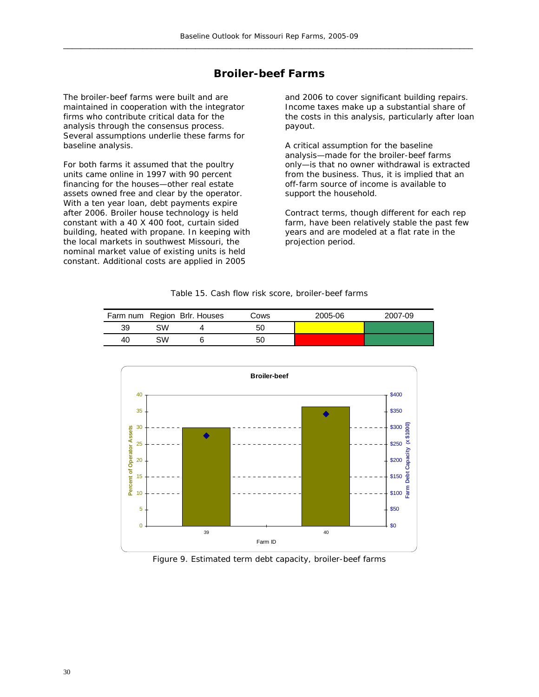## **Broiler-beef Farms**

The broiler-beef farms were built and are maintained in cooperation with the integrator firms who contribute critical data for the analysis through the consensus process. Several assumptions underlie these farms for baseline analysis.

For both farms it assumed that the poultry units came online in 1997 with 90 percent financing for the houses—other real estate assets owned free and clear by the operator. With a ten year loan, debt payments expire after 2006. Broiler house technology is held constant with a 40 X 400 foot, curtain sided building, heated with propane. In keeping with the local markets in southwest Missouri, the nominal market value of existing units is held constant. Additional costs are applied in 2005

and 2006 to cover significant building repairs. Income taxes make up a substantial share of the costs in this analysis, particularly after loan payout.

A critical assumption for the baseline analysis—made for the broiler-beef farms only—is that no owner withdrawal is extracted from the business. Thus, it is implied that an off-farm source of income is available to support the household.

Contract terms, though different for each rep farm, have been relatively stable the past few years and are modeled at a flat rate in the projection period.

|    |    | Farm num Region Brlr. Houses | Cows | 2005-06 | 2007-09 |
|----|----|------------------------------|------|---------|---------|
| 39 | SW |                              | 50   |         |         |
| 40 | SW |                              | 50   |         |         |



Figure 9. Estimated term debt capacity, broiler-beef farms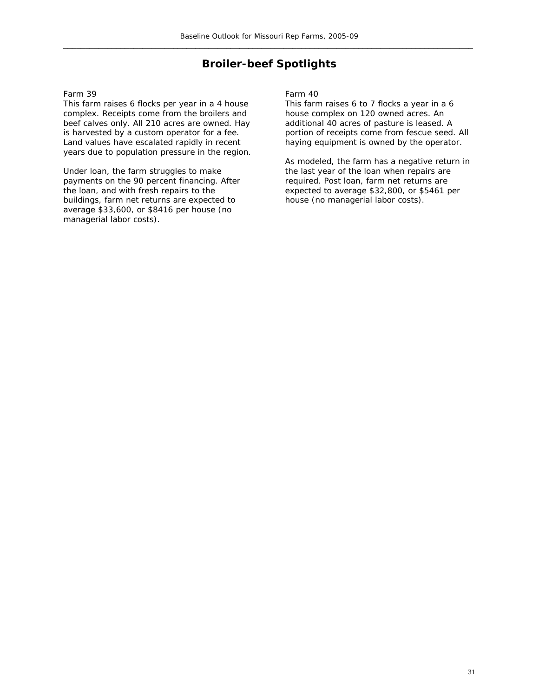## **Broiler-beef Spotlights**

#### Farm 39

This farm raises 6 flocks per year in a 4 house complex. Receipts come from the broilers and beef calves only. All 210 acres are owned. Hay is harvested by a custom operator for a fee. Land values have escalated rapidly in recent years due to population pressure in the region.

Under loan, the farm struggles to make payments on the 90 percent financing. After the loan, and with fresh repairs to the buildings, farm net returns are expected to average \$33,600, or \$8416 per house (no managerial labor costs).

Farm 40

This farm raises 6 to 7 flocks a year in a 6 house complex on 120 owned acres. An additional 40 acres of pasture is leased. A portion of receipts come from fescue seed. All haying equipment is owned by the operator.

As modeled, the farm has a negative return in the last year of the loan when repairs are required. Post loan, farm net returns are expected to average \$32,800, or \$5461 per house (no managerial labor costs).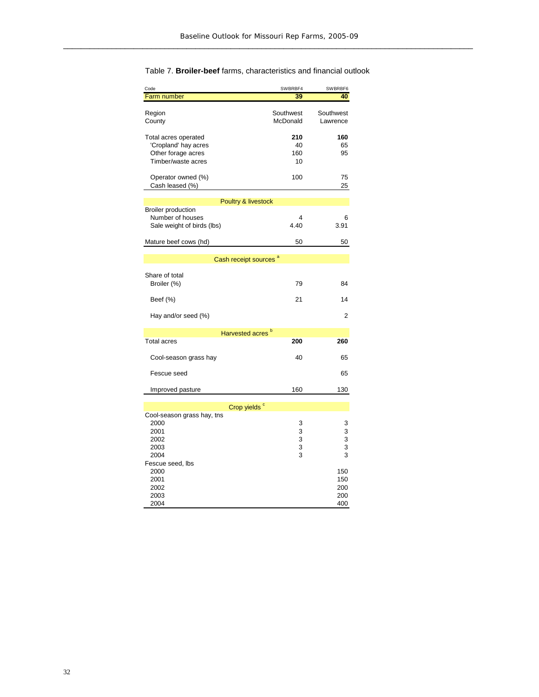| Code                                  | SWBRBF4               | SWBRBF6               |
|---------------------------------------|-----------------------|-----------------------|
| Farm number                           | 39                    | 40                    |
| Region<br>County                      | Southwest<br>McDonald | Southwest<br>Lawrence |
| Total acres operated                  | 210                   | 160                   |
| 'Cropland' hay acres                  | 40                    | 65                    |
| Other forage acres                    | 160                   | 95                    |
| Timber/waste acres                    | 10                    |                       |
| Operator owned (%)<br>Cash leased (%) | 100                   | 75<br>25              |
| Poultry & livestock                   |                       |                       |
| <b>Broiler production</b>             |                       |                       |
| Number of houses                      | 4                     | 6                     |
| Sale weight of birds (lbs)            | 4.40                  | 3.91                  |
| Mature beef cows (hd)                 | 50                    | 50                    |
| Cash receipt sources <sup>a</sup>     |                       |                       |
|                                       |                       |                       |
| Share of total<br>Broiler (%)         | 79                    | 84                    |
| Beef (%)                              | 21                    | 14                    |
| Hay and/or seed (%)                   |                       | 2                     |
| Harvested acres <sup>b</sup>          |                       |                       |
| <b>Total acres</b>                    | 200                   | 260                   |
| Cool-season grass hay                 | 40                    | 65                    |
| Fescue seed                           |                       | 65                    |
| Improved pasture                      | 160                   | 130                   |
|                                       |                       |                       |
| Crop yields <sup>c</sup>              |                       |                       |
| Cool-season grass hay, tns<br>2000    | 3                     | 3                     |
| 2001                                  | 3                     | 3                     |
| 2002                                  | 3                     | 3                     |
| 2003                                  | 3                     | 3                     |
| 2004                                  | 3                     | 3                     |
| Fescue seed, Ibs                      |                       |                       |
| 2000                                  |                       | 150                   |
| 2001                                  |                       | 150                   |
| 2002                                  |                       | 200                   |
| 2003                                  |                       | 200                   |
| 2004                                  |                       | 400                   |

#### Table 7. **Broiler-beef** farms, characteristics and financial outlook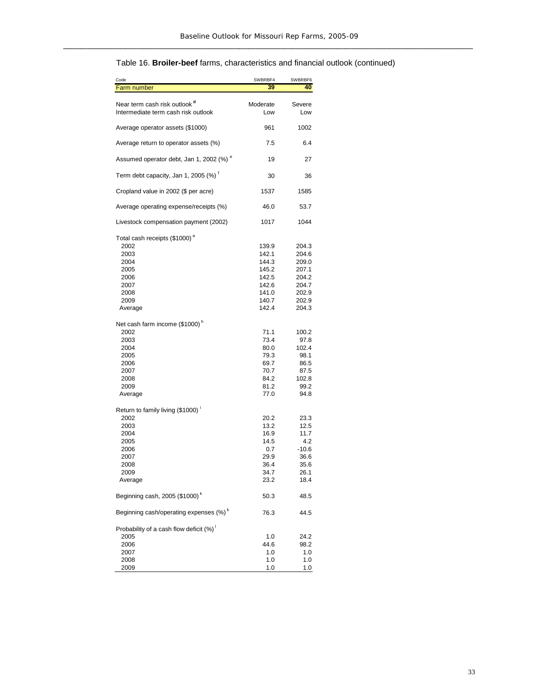### Table 16. **Broiler-beef** farms, characteristics and financial outlook (continued)

| Code                                                                            | SWBRBF4         | SWBRBF6       |
|---------------------------------------------------------------------------------|-----------------|---------------|
| Farm number                                                                     | 39              | 40            |
| Near term cash risk outlook <sup>a</sup><br>Intermediate term cash risk outlook | Moderate<br>Low | Severe<br>Low |
| Average operator assets (\$1000)                                                | 961             | 1002          |
| Average return to operator assets (%)                                           | 7.5             | 6.4           |
| Assumed operator debt, Jan 1, 2002 (%) <sup>e</sup>                             | 19              | 27            |
| Term debt capacity, Jan 1, 2005 (%) <sup>f</sup>                                | 30              | 36            |
| Cropland value in 2002 (\$ per acre)                                            | 1537            | 1585          |
| Average operating expense/receipts (%)                                          | 46.0            | 53.7          |
| Livestock compensation payment (2002)                                           | 1017            | 1044          |
| Total cash receipts (\$1000) <sup>a</sup>                                       |                 |               |
| 2002                                                                            | 139.9           | 204.3         |
| 2003                                                                            | 142.1           | 204.6         |
| 2004                                                                            | 144.3           | 209.0         |
| 2005                                                                            | 145.2           | 207.1         |
| 2006                                                                            | 142.5           | 204.2         |
| 2007                                                                            | 142.6           | 204.7         |
| 2008                                                                            | 141.0           | 202.9         |
| 2009                                                                            | 140.7           | 202.9         |
| Average                                                                         | 142.4           | 204.3         |
| Net cash farm income (\$1000) <sup>n</sup><br>2002                              | 71.1            | 100.2         |
| 2003                                                                            | 73.4            | 97.8          |
| 2004                                                                            | 80.0            | 102.4         |
| 2005                                                                            | 79.3            | 98.1          |
| 2006                                                                            | 69.7            | 86.5          |
| 2007                                                                            | 70.7            | 87.5          |
| 2008                                                                            | 84.2            | 102.8         |
| 2009                                                                            | 81.2            | 99.2          |
| Average                                                                         | 77.0            | 94.8          |
| Return to family living (\$1000)                                                |                 |               |
| 2002                                                                            | 20.2            | 23.3          |
| 2003                                                                            | 13.2            | 12.5          |
| 2004                                                                            | 16.9            | 11.7          |
| 2005                                                                            | 14.5            | 4.2           |
| 2006                                                                            | 0.7             | $-10.6$       |
| 2007                                                                            | 29.9            | 36.6          |
| 2008                                                                            | 36.4            | 35.6          |
| 2009                                                                            | 34.7            | 26.1          |
| Average                                                                         | 23.2            | 18.4          |
| Beginning cash, 2005 (\$1000) <sup>k</sup>                                      | 50.3            | 48.5          |
| Beginning cash/operating expenses (%) <sup>k</sup>                              | 76.3            | 44.5          |
| Probability of a cash flow deficit (%)<br>2005                                  | 1.0             | 24.2          |
| 2006                                                                            | 44.6            | 98.2          |
| 2007                                                                            | 1.0             | 1.0           |
| 2008                                                                            | 1.0             | 1.0           |
| 2009                                                                            | 1.0             | 1.0           |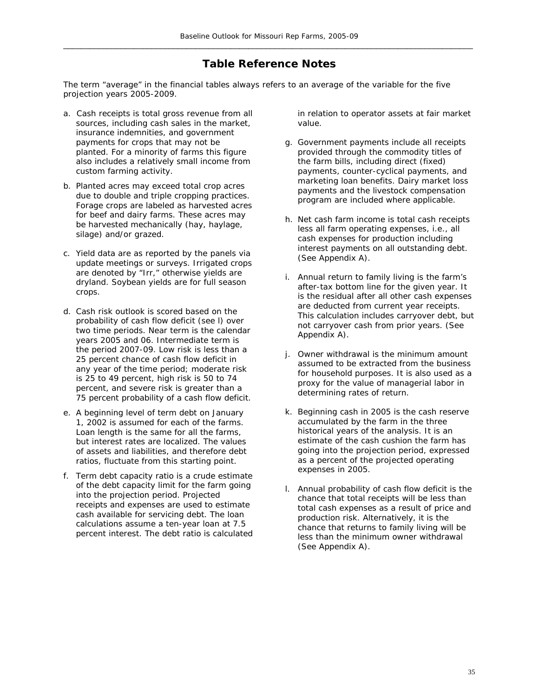## **Table Reference Notes**

The term "average" in the financial tables always refers to an average of the variable for the five projection years 2005-2009.

- a. Cash receipts is total gross revenue from all sources, including cash sales in the market, insurance indemnities, and government payments for crops that may not be planted. For a minority of farms this figure also includes a relatively small income from custom farming activity.
- b. Planted acres may exceed total crop acres due to double and triple cropping practices. Forage crops are labeled as harvested acres for beef and dairy farms. These acres may be harvested mechanically (hay, haylage, silage) and/or grazed.
- c. Yield data are as reported by the panels via update meetings or surveys. Irrigated crops are denoted by "Irr," otherwise yields are dryland. Soybean yields are for full season crops.
- d. Cash risk outlook is scored based on the probability of cash flow deficit (see l) over two time periods. Near term is the calendar years 2005 and 06. Intermediate term is the period 2007-09. Low risk is less than a 25 percent chance of cash flow deficit in any year of the time period; moderate risk is 25 to 49 percent, high risk is 50 to 74 percent, and severe risk is greater than a 75 percent probability of a cash flow deficit.
- e. A beginning level of term debt on January 1, 2002 is assumed for each of the farms. Loan length is the same for all the farms, but interest rates are localized. The values of assets and liabilities, and therefore debt ratios, fluctuate from this starting point.
- f. Term debt capacity ratio is a crude estimate of the debt capacity limit for the farm going into the projection period. Projected receipts and expenses are used to estimate cash available for servicing debt. The loan calculations assume a ten-year loan at 7.5 percent interest. The debt ratio is calculated

in relation to operator assets at fair market value.

- g. Government payments include all receipts provided through the commodity titles of the farm bills, including direct (fixed) payments, counter-cyclical payments, and marketing loan benefits. Dairy market loss payments and the livestock compensation program are included where applicable.
- h. Net cash farm income is total cash receipts less all farm operating expenses, i.e., all cash expenses for production including interest payments on all outstanding debt. (See Appendix A).
- i. Annual return to family living is the farm's after-tax bottom line for the given year. It is the residual after all other cash expenses are deducted from current year receipts. This calculation includes carryover debt, but not carryover cash from prior years. (See Appendix A).
- j. Owner withdrawal is the minimum amount assumed to be extracted from the business for household purposes. It is also used as a proxy for the value of managerial labor in determining rates of return.
- k. Beginning cash in 2005 is the cash reserve accumulated by the farm in the three historical years of the analysis. It is an estimate of the cash cushion the farm has going into the projection period, expressed as a percent of the projected operating expenses in 2005.
- l. Annual probability of cash flow deficit is the chance that total receipts will be less than total cash expenses as a result of price and production risk. Alternatively, it is the chance that returns to family living will be less than the minimum owner withdrawal (See Appendix A).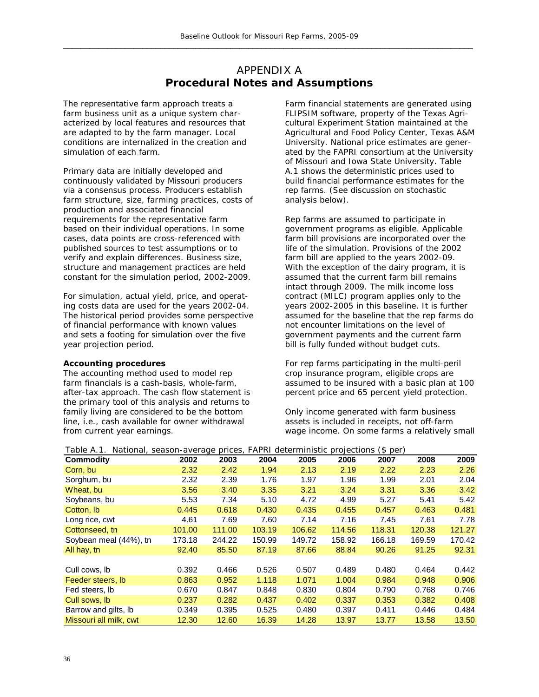## APPENDIX A **Procedural Notes and Assumptions**

The representative farm approach treats a farm business unit as a unique system characterized by local features and resources that are adapted to by the farm manager. Local conditions are internalized in the creation and simulation of each farm.

Primary data are initially developed and continuously validated by Missouri producers via a consensus process. Producers establish farm structure, size, farming practices, costs of production and associated financial requirements for the representative farm based on their individual operations. In some cases, data points are cross-referenced with published sources to test assumptions or to verify and explain differences. Business size, structure and management practices are held constant for the simulation period, 2002-2009.

For simulation, actual yield, price, and operating costs data are used for the years 2002-04. The historical period provides some perspective of financial performance with known values and sets a footing for simulation over the five year projection period.

#### **Accounting procedures**

The accounting method used to model rep farm financials is a cash-basis, whole-farm, after-tax approach. The cash flow statement is the primary tool of this analysis and returns to family living are considered to be the bottom line, i.e., cash *available* for owner withdrawal from *current year* earnings.

Farm financial statements are generated using FLIPSIM software, property of the Texas Agricultural Experiment Station maintained at the Agricultural and Food Policy Center, Texas A&M University. National price estimates are generated by the FAPRI consortium at the University of Missouri and Iowa State University. Table A.1 shows the deterministic prices used to build financial performance estimates for the rep farms. (See discussion on stochastic analysis below).

Rep farms are assumed to participate in government programs as eligible. Applicable farm bill provisions are incorporated over the life of the simulation. Provisions of the 2002 farm bill are applied to the years 2002-09. With the exception of the dairy program, it is assumed that the current farm bill remains intact through 2009. The milk income loss contract (MILC) program applies only to the years 2002-2005 in this baseline. It is further assumed for the baseline that the rep farms do not encounter limitations on the level of government payments and the current farm bill is fully funded without budget cuts.

For rep farms participating in the multi-peril crop insurance program, eligible crops are assumed to be insured with a basic plan at 100 percent price and 65 percent yield protection.

Only income generated with farm business assets is included in receipts, not off-farm wage income. On some farms a relatively small

| rapie A.T.             | National, season-average prices, FAPRI deterministic |        |        |        | projections | (\$ per) |        |        |
|------------------------|------------------------------------------------------|--------|--------|--------|-------------|----------|--------|--------|
| <b>Commodity</b>       | 2002                                                 | 2003   | 2004   | 2005   | 2006        | 2007     | 2008   | 2009   |
| Corn, bu               | 2.32                                                 | 2.42   | 1.94   | 2.13   | 2.19        | 2.22     | 2.23   | 2.26   |
| Sorghum, bu            | 2.32                                                 | 2.39   | 1.76   | 1.97   | 1.96        | 1.99     | 2.01   | 2.04   |
| Wheat, bu              | 3.56                                                 | 3.40   | 3.35   | 3.21   | 3.24        | 3.31     | 3.36   | 3.42   |
| Soybeans, bu           | 5.53                                                 | 7.34   | 5.10   | 4.72   | 4.99        | 5.27     | 5.41   | 5.42   |
| Cotton, Ib             | 0.445                                                | 0.618  | 0.430  | 0.435  | 0.455       | 0.457    | 0.463  | 0.481  |
| Long rice, cwt         | 4.61                                                 | 7.69   | 7.60   | 7.14   | 7.16        | 7.45     | 7.61   | 7.78   |
| Cottonseed, tn         | 101.00                                               | 111.00 | 103.19 | 106.62 | 114.56      | 118.31   | 120.38 | 121.27 |
| Soybean meal (44%), tn | 173.18                                               | 244.22 | 150.99 | 149.72 | 158.92      | 166.18   | 169.59 | 170.42 |
| All hay, tn            | 92.40                                                | 85.50  | 87.19  | 87.66  | 88.84       | 90.26    | 91.25  | 92.31  |
|                        |                                                      |        |        |        |             |          |        |        |
| Cull cows, lb          | 0.392                                                | 0.466  | 0.526  | 0.507  | 0.489       | 0.480    | 0.464  | 0.442  |
| Feeder steers, Ib      | 0.863                                                | 0.952  | 1.118  | 1.071  | 1.004       | 0.984    | 0.948  | 0.906  |
| Fed steers, lb         | 0.670                                                | 0.847  | 0.848  | 0.830  | 0.804       | 0.790    | 0.768  | 0.746  |
| Cull sows, lb          | 0.237                                                | 0.282  | 0.437  | 0.402  | 0.337       | 0.353    | 0.382  | 0.408  |
| Barrow and gilts, Ib   | 0.349                                                | 0.395  | 0.525  | 0.480  | 0.397       | 0.411    | 0.446  | 0.484  |
| Missouri all milk, cwt | 12.30                                                | 12.60  | 16.39  | 14.28  | 13.97       | 13.77    | 13.58  | 13.50  |

Table A.1. National, season-average prices, FAPRI deterministic projections (\$ per)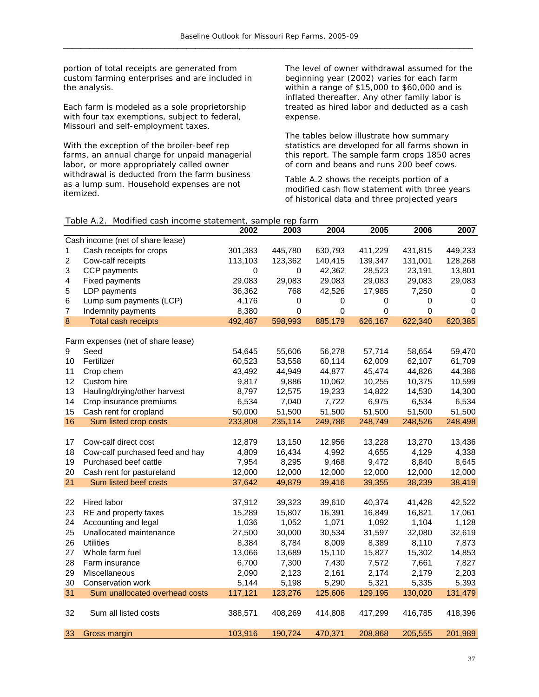portion of total receipts are generated from custom farming enterprises and are included in the analysis.

Each farm is modeled as a sole proprietorship with four tax exemptions, subject to federal, Missouri and self-employment taxes.

With the exception of the broiler-beef rep farms, an annual charge for unpaid managerial labor, or more appropriately called owner withdrawal is deducted from the farm business as a lump sum. Household expenses are not itemized.

The level of owner withdrawal assumed for the beginning year (2002) varies for each farm within a range of \$15,000 to \$60,000 and is inflated thereafter. Any other family labor is treated as hired labor and deducted as a cash expense.

The tables below illustrate how summary statistics are developed for all farms shown in this report. The sample farm crops 1850 acres of corn and beans and runs 200 beef cows.

Table A.2 shows the receipts portion of a modified cash flow statement with three years of historical data and three projected years

#### Table A.2. Modified cash income statement, sample rep farm

|                |                                    | 2002        | 2003    | 2004      | 2005        | 2006        | 2007        |
|----------------|------------------------------------|-------------|---------|-----------|-------------|-------------|-------------|
|                | Cash income (net of share lease)   |             |         |           |             |             |             |
| 1              | Cash receipts for crops            | 301,383     | 445,780 | 630,793   | 411,229     | 431,815     | 449,233     |
| 2              | Cow-calf receipts                  | 113,103     | 123,362 | 140,415   | 139,347     | 131,001     | 128,268     |
| 3              | CCP payments                       | $\mathbf 0$ | 0       | 42,362    | 28,523      | 23,191      | 13,801      |
| 4              | <b>Fixed payments</b>              | 29,083      | 29,083  | 29,083    | 29,083      | 29,083      | 29,083      |
| 5              | LDP payments                       | 36,362      | 768     | 42,526    | 17,985      | 7,250       | 0           |
| $\,6$          | Lump sum payments (LCP)            | 4,176       | 0       | $\pmb{0}$ | 0           | 0           | $\mathbf 0$ |
| $\overline{7}$ | Indemnity payments                 | 8,380       | 0       | 0         | $\mathbf 0$ | $\mathbf 0$ | 0           |
| $\bf{8}$       | <b>Total cash receipts</b>         | 492,487     | 598,993 | 885,179   | 626,167     | 622,340     | 620,385     |
|                |                                    |             |         |           |             |             |             |
|                | Farm expenses (net of share lease) |             |         |           |             |             |             |
| 9              | Seed                               | 54,645      | 55,606  | 56,278    | 57,714      | 58,654      | 59,470      |
| 10             | Fertilizer                         | 60,523      | 53,558  | 60,114    | 62,009      | 62,107      | 61,709      |
| 11             | Crop chem                          | 43,492      | 44,949  | 44,877    | 45,474      | 44,826      | 44,386      |
| 12             | Custom hire                        | 9,817       | 9,886   | 10,062    | 10,255      | 10,375      | 10,599      |
| 13             | Hauling/drying/other harvest       | 8,797       | 12,575  | 19,233    | 14,822      | 14,530      | 14,300      |
| 14             | Crop insurance premiums            | 6,534       | 7,040   | 7,722     | 6,975       | 6,534       | 6,534       |
| 15             | Cash rent for cropland             | 50,000      | 51,500  | 51,500    | 51,500      | 51,500      | 51,500      |
| 16             | Sum listed crop costs              | 233,808     | 235,114 | 249,786   | 248,749     | 248,526     | 248,498     |
|                |                                    |             |         |           |             |             |             |
| 17             | Cow-calf direct cost               | 12,879      | 13,150  | 12,956    | 13,228      | 13,270      | 13,436      |
| 18             | Cow-calf purchased feed and hay    | 4,809       | 16,434  | 4,992     | 4,655       | 4,129       | 4,338       |
| 19             | Purchased beef cattle              | 7,954       | 8,295   | 9,468     | 9,472       | 8,840       | 8,645       |
| 20             | Cash rent for pastureland          | 12,000      | 12,000  | 12,000    | 12,000      | 12,000      | 12,000      |
| 21             | Sum listed beef costs              | 37,642      | 49,879  | 39,416    | 39,355      | 38,239      | 38,419      |
|                |                                    |             |         |           |             |             |             |
| 22             | Hired labor                        | 37,912      | 39,323  | 39,610    | 40,374      | 41,428      | 42,522      |
| 23             | RE and property taxes              | 15,289      | 15,807  | 16,391    | 16,849      | 16,821      | 17,061      |
| 24             | Accounting and legal               | 1,036       | 1,052   | 1,071     | 1,092       | 1,104       | 1,128       |
| 25             | Unallocated maintenance            | 27,500      | 30,000  | 30,534    | 31,597      | 32,080      | 32,619      |
| 26             | <b>Utilities</b>                   | 8,384       | 8,784   | 8,009     | 8,389       | 8,110       | 7,873       |
| 27             | Whole farm fuel                    | 13,066      | 13,689  | 15,110    | 15,827      | 15,302      | 14,853      |
| 28             | Farm insurance                     | 6,700       | 7,300   | 7,430     | 7,572       | 7,661       | 7,827       |
| 29             | Miscellaneous                      | 2,090       | 2,123   | 2,161     | 2,174       | 2,179       | 2,203       |
| 30             | Conservation work                  | 5,144       | 5,198   | 5,290     | 5,321       | 5,335       | 5,393       |
| 31             | Sum unallocated overhead costs     | 117,121     | 123,276 | 125,606   | 129,195     | 130,020     | 131,479     |
|                |                                    |             |         |           |             |             |             |
| 32             | Sum all listed costs               | 388,571     | 408,269 | 414,808   | 417,299     | 416,785     | 418,396     |
|                |                                    |             |         |           |             |             |             |
| 33             | Gross margin                       | 103,916     | 190,724 | 470,371   | 208,868     | 205,555     | 201,989     |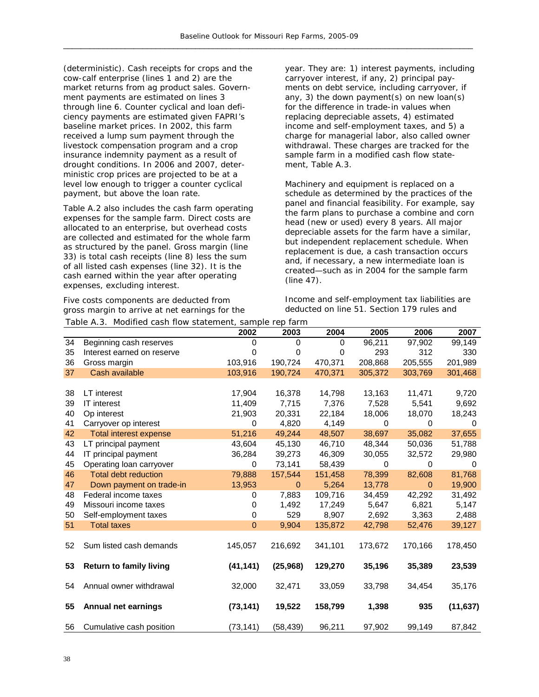(deterministic). Cash receipts for crops and the cow-calf enterprise (lines 1 and 2) are the market returns from ag product sales. Government payments are estimated on lines 3 through line 6. Counter cyclical and loan deficiency payments are estimated given FAPRI's baseline market prices. In 2002, this farm received a lump sum payment through the livestock compensation program and a crop insurance indemnity payment as a result of drought conditions. In 2006 and 2007, deterministic crop prices are projected to be at a level low enough to trigger a counter cyclical payment, but above the loan rate.

Table A.2 also includes the cash farm operating expenses for the sample farm. Direct costs are allocated to an enterprise, but overhead costs are collected and estimated for the whole farm as structured by the panel. Gross margin (line 33) is total cash receipts (line 8) less the sum of all listed cash expenses (line 32). It is the cash earned within the year after operating expenses, excluding interest.

Five costs components are deducted from gross margin to arrive at net earnings for the  $T$ able A.3. Modified cash flo

year. They are: 1) interest payments, including carryover interest, if any, 2) principal payments on debt service, including carryover, if any, 3) the down payment(s) on new loan(s) for the difference in trade-in values when replacing depreciable assets, 4) estimated income and self-employment taxes, and 5) a charge for managerial labor, also called owner withdrawal. These charges are tracked for the sample farm in a modified cash flow statement, Table A.3.

Machinery and equipment is replaced on a schedule as determined by the practices of the panel and financial feasibility. For example, say the farm plans to purchase a combine and corn head (new or used) every 8 years. All major depreciable assets for the farm have a similar, but independent replacement schedule. When replacement is due, a cash transaction occurs and, if necessary, a new intermediate loan is created—such as in 2004 for the sample farm (line 47).

Income and self-employment tax liabilities are deducted on line 51. Section 179 rules and

| Table A.3. Modified cash flow statement, sample rep farm |                                |             |              |         |         |             |           |
|----------------------------------------------------------|--------------------------------|-------------|--------------|---------|---------|-------------|-----------|
|                                                          |                                | 2002        | 2003         | 2004    | 2005    | 2006        | 2007      |
| 34                                                       | Beginning cash reserves        | 0           | $\mathbf 0$  | 0       | 96,211  | 97,902      | 99,149    |
| 35                                                       | Interest earned on reserve     | 0           | 0            | 0       | 293     | 312         | 330       |
| 36                                                       | Gross margin                   | 103,916     | 190,724      | 470,371 | 208,868 | 205,555     | 201,989   |
| 37                                                       | Cash available                 | 103,916     | 190,724      | 470,371 | 305,372 | 303,769     | 301,468   |
|                                                          |                                |             |              |         |         |             |           |
| 38                                                       | LT interest                    | 17,904      | 16,378       | 14,798  | 13,163  | 11,471      | 9,720     |
| 39                                                       | <b>IT</b> interest             | 11,409      | 7,715        | 7,376   | 7,528   | 5,541       | 9,692     |
| 40                                                       | Op interest                    | 21,903      | 20,331       | 22,184  | 18,006  | 18,070      | 18,243    |
| 41                                                       | Carryover op interest          | 0           | 4,820        | 4,149   | 0       | 0           | $\Omega$  |
| 42                                                       | <b>Total interest expense</b>  | 51,216      | 49,244       | 48,507  | 38,697  | 35,082      | 37,655    |
| 43                                                       | LT principal payment           | 43,604      | 45,130       | 46,710  | 48,344  | 50,036      | 51,788    |
| 44                                                       | IT principal payment           | 36,284      | 39,273       | 46,309  | 30,055  | 32,572      | 29,980    |
| 45                                                       | Operating loan carryover       | 0           | 73,141       | 58,439  | 0       | $\mathbf 0$ | $\Omega$  |
| 46                                                       | <b>Total debt reduction</b>    | 79,888      | 157,544      | 151,458 | 78,399  | 82,608      | 81,768    |
| 47                                                       | Down payment on trade-in       | 13,953      | $\mathbf{0}$ | 5,264   | 13,778  | $\Omega$    | 19,900    |
| 48                                                       | Federal income taxes           | 0           | 7,883        | 109,716 | 34,459  | 42,292      | 31,492    |
| 49                                                       | Missouri income taxes          | 0           | 1,492        | 17,249  | 5,647   | 6,821       | 5,147     |
| 50                                                       | Self-employment taxes          | 0           | 529          | 8,907   | 2,692   | 3,363       | 2,488     |
| 51                                                       | <b>Total taxes</b>             | $\mathbf 0$ | 9,904        | 135,872 | 42,798  | 52,476      | 39,127    |
|                                                          |                                |             |              |         |         |             |           |
| 52                                                       | Sum listed cash demands        | 145,057     | 216,692      | 341,101 | 173,672 | 170,166     | 178,450   |
|                                                          |                                |             |              |         |         |             |           |
| 53                                                       | <b>Return to family living</b> | (41, 141)   | (25,968)     | 129,270 | 35,196  | 35,389      | 23,539    |
|                                                          |                                |             |              |         |         |             |           |
| 54                                                       | Annual owner withdrawal        | 32,000      | 32,471       | 33,059  | 33,798  | 34,454      | 35,176    |
|                                                          |                                |             |              |         |         |             |           |
| 55                                                       | <b>Annual net earnings</b>     | (73, 141)   | 19,522       | 158,799 | 1,398   | 935         | (11, 637) |
|                                                          |                                |             |              |         |         |             |           |
| 56                                                       | Cumulative cash position       | (73, 141)   | (58, 439)    | 96,211  | 97,902  | 99,149      | 87,842    |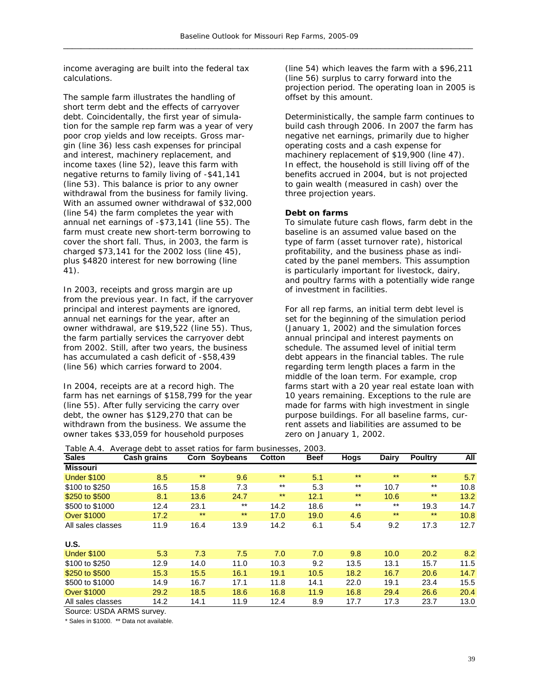income averaging are built into the federal tax calculations.

The sample farm illustrates the handling of short term debt and the effects of carryover debt. Coincidentally, the first year of simulation for the sample rep farm was a year of very poor crop yields and low receipts. Gross margin (line 36) less cash expenses for principal and interest, machinery replacement, and income taxes (line 52), leave this farm with negative returns to family living of -\$41,141 (line 53). This balance is prior to any owner withdrawal from the business for family living. With an assumed owner withdrawal of \$32,000 (line 54) the farm completes the year with annual net earnings of -\$73,141 (line 55). The farm must create new short-term borrowing to cover the short fall. Thus, in 2003, the farm is charged \$73,141 for the 2002 loss (line 45), plus \$4820 interest for new borrowing (line 41).

In 2003, receipts and gross margin are up from the previous year. In fact, if the carryover principal and interest payments are ignored, annual net earnings for the year, after an owner withdrawal, are \$19,522 (line 55). Thus, the farm partially services the carryover debt from 2002. Still, after two years, the business has accumulated a cash deficit of -\$58,439 (line 56) which carries forward to 2004.

In 2004, receipts are at a record high. The farm has net earnings of \$158,799 for the year (line 55). After fully servicing the carry over debt, the owner has \$129,270 that can be withdrawn from the business. We assume the owner takes \$33,059 for household purposes

(line 54) which leaves the farm with a \$96,211 (line 56) surplus to carry forward into the projection period. The operating loan in 2005 is offset by this amount.

Deterministically, the sample farm continues to build cash through 2006. In 2007 the farm has negative net earnings, primarily due to higher operating costs and a cash expense for machinery replacement of \$19,900 (line 47). In effect, the household is still living off of the benefits accrued in 2004, but is not projected to gain wealth (measured in cash) over the three projection years.

#### **Debt on farms**

To simulate future cash flows, farm debt in the baseline is an assumed value based on the type of farm (asset turnover rate), historical profitability, and the business phase as indicated by the panel members. This assumption is particularly important for livestock, dairy, and poultry farms with a potentially wide range of investment in facilities.

For all rep farms, an initial term debt level is set for the beginning of the simulation period (January 1, 2002) and the simulation forces annual principal and interest payments on schedule. The assumed level of initial term debt appears in the financial tables. The rule regarding term length places a farm in the middle of the loan term. For example, crop farms start with a 20 year real estate loan with 10 years remaining. Exceptions to the rule are made for farms with high investment in single purpose buildings. For all baseline farms, current assets and liabilities are assumed to be zero on January 1, 2002.

| Table A.4.         | Average debt to asset ratios for farm businesses, 2003. |       |               |        |             |       |              |                |      |
|--------------------|---------------------------------------------------------|-------|---------------|--------|-------------|-------|--------------|----------------|------|
| <b>Sales</b>       | Cash grains                                             |       | Corn Soybeans | Cotton | <b>Beef</b> | Hogs  | <b>Dairy</b> | <b>Poultry</b> | All  |
| <b>Missouri</b>    |                                                         |       |               |        |             |       |              |                |      |
| <b>Under \$100</b> | 8.5                                                     | $***$ | 9.6           | $***$  | 5.1         | $***$ | $***$        | $***$          | 5.7  |
| \$100 to \$250     | 16.5                                                    | 15.8  | 7.3           | $***$  | 5.3         | $***$ | 10.7         | $***$          | 10.8 |
| \$250 to \$500     | 8.1                                                     | 13.6  | 24.7          | $***$  | 12.1        | $***$ | 10.6         | $***$          | 13.2 |
| \$500 to \$1000    | 12.4                                                    | 23.1  | $***$         | 14.2   | 18.6        | $***$ | $***$        | 19.3           | 14.7 |
| <b>Over \$1000</b> | 17.2                                                    | $***$ | $***$         | 17.0   | 19.0        | 4.6   | $***$        | $***$          | 10.8 |
| All sales classes  | 11.9                                                    | 16.4  | 13.9          | 14.2   | 6.1         | 5.4   | 9.2          | 17.3           | 12.7 |
| U.S.               |                                                         |       |               |        |             |       |              |                |      |
| <b>Under \$100</b> | 5.3                                                     | 7.3   | 7.5           | 7.0    | 7.0         | 9.8   | 10.0         | 20.2           | 8.2  |
| \$100 to \$250     | 12.9                                                    | 14.0  | 11.0          | 10.3   | 9.2         | 13.5  | 13.1         | 15.7           | 11.5 |
| \$250 to \$500     | 15.3                                                    | 15.5  | 16.1          | 19.1   | 10.5        | 18.2  | 16.7         | 20.6           | 14.7 |
| \$500 to \$1000    | 14.9                                                    | 16.7  | 17.1          | 11.8   | 14.1        | 22.0  | 19.1         | 23.4           | 15.5 |
| <b>Over \$1000</b> | 29.2                                                    | 18.5  | 18.6          | 16.8   | 11.9        | 16.8  | 29.4         | 26.6           | 20.4 |
| All sales classes  | 14.2                                                    | 14.1  | 11.9          | 12.4   | 8.9         | 17.7  | 17.3         | 23.7           | 13.0 |

Source: USDA ARMS survey.

\* Sales in \$1000. \*\* Data not available.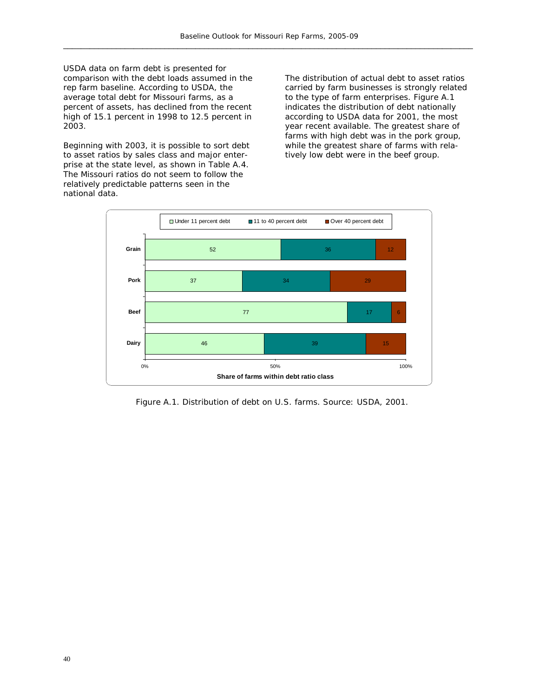USDA data on farm debt is presented for comparison with the debt loads assumed in the rep farm baseline. According to USDA, the average total debt for Missouri farms, as a percent of assets, has declined from the recent high of 15.1 percent in 1998 to 12.5 percent in 2003.

Beginning with 2003, it is possible to sort debt to asset ratios by sales class and major enterprise at the state level, as shown in Table A.4. The Missouri ratios do not seem to follow the relatively predictable patterns seen in the national data.

The distribution of actual debt to asset ratios carried by farm businesses is strongly related to the type of farm enterprises. Figure A.1 indicates the distribution of debt nationally according to USDA data for 2001, the most year recent available. The greatest share of farms with high debt was in the pork group, while the greatest share of farms with relatively low debt were in the beef group.



Figure A.1. Distribution of debt on U.S. farms. Source: USDA, 2001.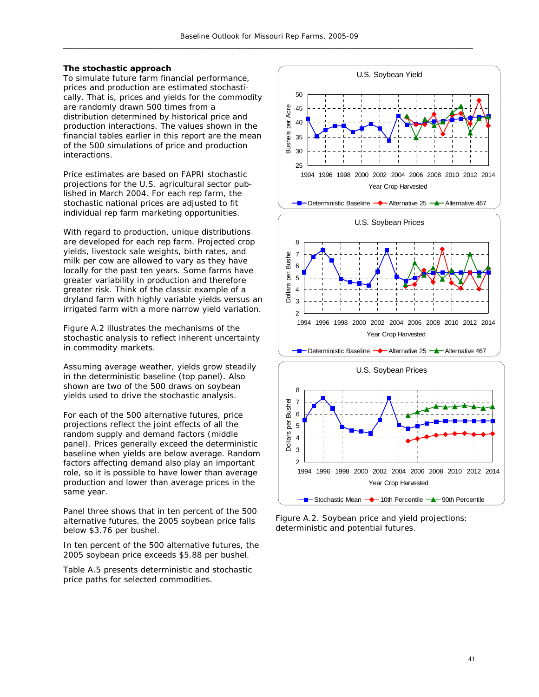#### **The stochastic approach**

To simulate future farm financial performance, prices and production are estimated stochastically. That is, prices and yields for the commodity are randomly drawn 500 times from a distribution determined by historical price and production interactions. The values shown in the financial tables earlier in this report are the mean of the 500 simulations of price and production interactions.

Price estimates are based on FAPRI stochastic projections for the U.S. agricultural sector published in March 2004. For each rep farm, the stochastic national prices are adjusted to fit individual rep farm marketing opportunities.

With regard to production, unique distributions are developed for each rep farm. Projected crop yields, livestock sale weights, birth rates, and milk per cow are allowed to vary as they have locally for the past ten years. Some farms have greater variability in production and therefore greater risk. Think of the classic example of a dryland farm with highly variable yields versus an irrigated farm with a more narrow yield variation.

Figure A.2 illustrates the mechanisms of the stochastic analysis to reflect inherent uncertainty in commodity markets.

Assuming average weather, yields grow steadily in the deterministic baseline (top panel). Also shown are two of the 500 draws on soybean yields used to drive the stochastic analysis.

For each of the 500 alternative futures, price projections reflect the joint effects of all the random supply and demand factors (middle panel). Prices generally exceed the deterministic baseline when yields are below average. Random factors affecting demand also play an important role, so it is possible to have lower than average production and lower than average prices in the same year.

Panel three shows that in ten percent of the 500 alternative futures, the 2005 soybean price falls below \$3.76 per bushel.

In ten percent of the 500 alternative futures, the 2005 soybean price exceeds \$5.88 per bushel.

Table A.5 presents deterministic and stochastic price paths for selected commodities.



Figure A.2. Soybean price and yield projections: deterministic and potential futures.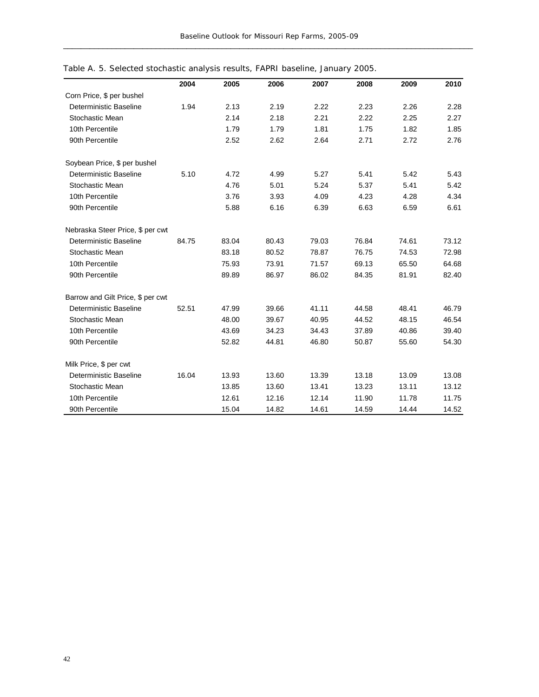|                                   | 2004  | 2005  | 2006  | 2007  | 2008  | 2009  | 2010  |
|-----------------------------------|-------|-------|-------|-------|-------|-------|-------|
| Corn Price, \$ per bushel         |       |       |       |       |       |       |       |
| Deterministic Baseline            | 1.94  | 2.13  | 2.19  | 2.22  | 2.23  | 2.26  | 2.28  |
| Stochastic Mean                   |       | 2.14  | 2.18  | 2.21  | 2.22  | 2.25  | 2.27  |
| 10th Percentile                   |       | 1.79  | 1.79  | 1.81  | 1.75  | 1.82  | 1.85  |
| 90th Percentile                   |       | 2.52  | 2.62  | 2.64  | 2.71  | 2.72  | 2.76  |
| Soybean Price, \$ per bushel      |       |       |       |       |       |       |       |
| Deterministic Baseline            | 5.10  | 4.72  | 4.99  | 5.27  | 5.41  | 5.42  | 5.43  |
| Stochastic Mean                   |       | 4.76  | 5.01  | 5.24  | 5.37  | 5.41  | 5.42  |
| 10th Percentile                   |       | 3.76  | 3.93  | 4.09  | 4.23  | 4.28  | 4.34  |
| 90th Percentile                   |       | 5.88  | 6.16  | 6.39  | 6.63  | 6.59  | 6.61  |
| Nebraska Steer Price, \$ per cwt  |       |       |       |       |       |       |       |
| Deterministic Baseline            | 84.75 | 83.04 | 80.43 | 79.03 | 76.84 | 74.61 | 73.12 |
| Stochastic Mean                   |       | 83.18 | 80.52 | 78.87 | 76.75 | 74.53 | 72.98 |
| 10th Percentile                   |       | 75.93 | 73.91 | 71.57 | 69.13 | 65.50 | 64.68 |
| 90th Percentile                   |       | 89.89 | 86.97 | 86.02 | 84.35 | 81.91 | 82.40 |
| Barrow and Gilt Price, \$ per cwt |       |       |       |       |       |       |       |
| Deterministic Baseline            | 52.51 | 47.99 | 39.66 | 41.11 | 44.58 | 48.41 | 46.79 |
| Stochastic Mean                   |       | 48.00 | 39.67 | 40.95 | 44.52 | 48.15 | 46.54 |
| 10th Percentile                   |       | 43.69 | 34.23 | 34.43 | 37.89 | 40.86 | 39.40 |
| 90th Percentile                   |       | 52.82 | 44.81 | 46.80 | 50.87 | 55.60 | 54.30 |
| Milk Price, \$ per cwt            |       |       |       |       |       |       |       |
| Deterministic Baseline            | 16.04 | 13.93 | 13.60 | 13.39 | 13.18 | 13.09 | 13.08 |
| Stochastic Mean                   |       | 13.85 | 13.60 | 13.41 | 13.23 | 13.11 | 13.12 |
| 10th Percentile                   |       | 12.61 | 12.16 | 12.14 | 11.90 | 11.78 | 11.75 |
| 90th Percentile                   |       | 15.04 | 14.82 | 14.61 | 14.59 | 14.44 | 14.52 |

Table A. 5. Selected stochastic analysis results, FAPRI baseline, January 2005.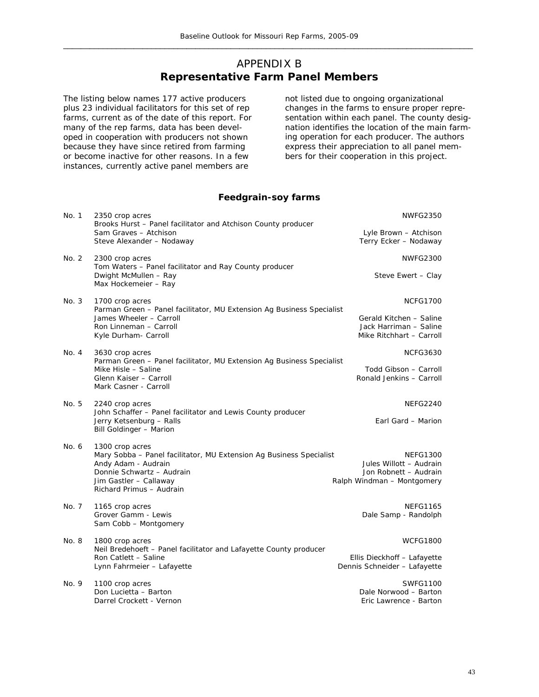## APPENDIX B **Representative Farm Panel Members**

The listing below names 177 active producers plus 23 individual facilitators for this set of rep farms, current as of the date of this report. For many of the rep farms, data has been developed in cooperation with producers not shown because they have since retired from farming or become inactive for other reasons. In a few instances, currently active panel members are

not listed due to ongoing organizational changes in the farms to ensure proper representation within each panel. The county designation identifies the location of the main farming operation for each producer. The authors express their appreciation to all panel members for their cooperation in this project.

#### **Feedgrain-soy farms**

| No. 1 | 2350 crop acres<br>Brooks Hurst - Panel facilitator and Atchison County producer                                                                   | <b>NWFG2350</b>                                                               |
|-------|----------------------------------------------------------------------------------------------------------------------------------------------------|-------------------------------------------------------------------------------|
|       | Sam Graves - Atchison<br>Steve Alexander - Nodaway                                                                                                 | Lyle Brown - Atchison<br>Terry Ecker - Nodaway                                |
| No. 2 | 2300 crop acres                                                                                                                                    | <b>NWFG2300</b>                                                               |
|       | Tom Waters - Panel facilitator and Ray County producer<br>Dwight McMullen - Ray<br>Max Hockemeier - Ray                                            | Steve Ewert - Clay                                                            |
| No.3  | 1700 crop acres                                                                                                                                    | <b>NCFG1700</b>                                                               |
|       | Parman Green - Panel facilitator, MU Extension Ag Business Specialist<br>James Wheeler - Carroll<br>Ron Linneman - Carroll<br>Kyle Durham- Carroll | Gerald Kitchen - Saline<br>Jack Harriman - Saline<br>Mike Ritchhart - Carroll |
| No. 4 | 3630 crop acres<br>Parman Green - Panel facilitator, MU Extension Ag Business Specialist                                                           | <b>NCFG3630</b>                                                               |
|       | Mike Hisle - Saline<br>Glenn Kaiser - Carroll<br>Mark Casner - Carroll                                                                             | Todd Gibson - Carroll<br>Ronald Jenkins - Carroll                             |
| No. 5 | 2240 crop acres                                                                                                                                    | NEFG2240                                                                      |
|       | John Schaffer - Panel facilitator and Lewis County producer<br>Jerry Ketsenburg - Ralls<br>Bill Goldinger - Marion                                 | Earl Gard - Marion                                                            |
| No. 6 | 1300 crop acres                                                                                                                                    |                                                                               |
|       | Mary Sobba - Panel facilitator, MU Extension Ag Business Specialist<br>Andy Adam - Audrain                                                         | <b>NEFG1300</b><br>Jules Willott - Audrain                                    |
|       | Donnie Schwartz - Audrain<br>Jim Gastler - Callaway<br>Richard Primus - Audrain                                                                    | Jon Robnett - Audrain<br>Ralph Windman - Montgomery                           |
| No. 7 | 1165 crop acres                                                                                                                                    | <b>NEFG1165</b>                                                               |
|       | Grover Gamm - Lewis<br>Sam Cobb - Montgomery                                                                                                       | Dale Samp - Randolph                                                          |
| No. 8 | 1800 crop acres                                                                                                                                    | <b>WCFG1800</b>                                                               |
|       | Neil Bredehoeft - Panel facilitator and Lafayette County producer<br>Ron Catlett - Saline                                                          | Ellis Dieckhoff - Lafayette                                                   |
|       | Lynn Fahrmeier - Lafayette                                                                                                                         | Dennis Schneider - Lafayette                                                  |
| No. 9 | 1100 crop acres                                                                                                                                    | <b>SWFG1100</b>                                                               |
|       | Don Lucietta - Barton<br>Darrel Crockett - Vernon                                                                                                  | Dale Norwood - Barton<br>Eric Lawrence - Barton                               |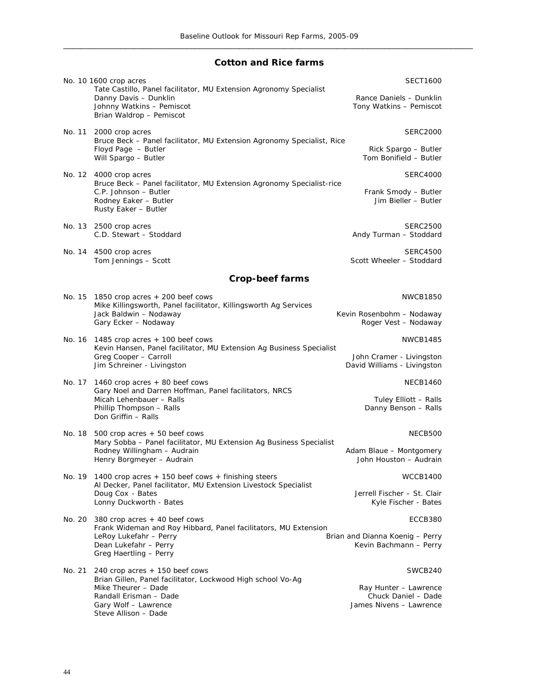#### **Cotton and Rice farms**

|        | No. 10 1600 crop acres<br>Tate Castillo, Panel facilitator, MU Extension Agronomy Specialist<br>Danny Davis - Dunklin<br>Johnny Watkins - Pemiscot<br>Brian Waldrop - Pemiscot | <b>SECT1600</b><br>Rance Daniels - Dunklin<br>Tony Watkins - Pemiscot |
|--------|--------------------------------------------------------------------------------------------------------------------------------------------------------------------------------|-----------------------------------------------------------------------|
| No. 11 | 2000 crop acres                                                                                                                                                                | <b>SERC2000</b>                                                       |
|        | Bruce Beck - Panel facilitator, MU Extension Agronomy Specialist, Rice<br>Floyd Page - Butler<br>Will Spargo - Butler                                                          | Rick Spargo - Butler<br>Tom Bonifield - Butler                        |
|        | No. 12 4000 crop acres                                                                                                                                                         | <b>SERC4000</b>                                                       |
|        | Bruce Beck - Panel facilitator, MU Extension Agronomy Specialist-rice<br>C.P. Johnson - Butler<br>Rodney Eaker - Butler<br>Rusty Eaker - Butler                                | Frank Smody - Butler<br>Jim Bieller - Butler                          |
|        | No. 13 2500 crop acres<br>C.D. Stewart - Stoddard                                                                                                                              | <b>SERC2500</b><br>Andy Turman - Stoddard                             |
|        | No. 14 4500 crop acres<br>Tom Jennings - Scott                                                                                                                                 | <b>SERC4500</b><br>Scott Wheeler - Stoddard                           |
|        | <b>Crop-beef farms</b>                                                                                                                                                         |                                                                       |
|        | No. $15$ 1850 crop acres $+$ 200 beef cows                                                                                                                                     | <b>NWCB1850</b>                                                       |
|        | Mike Killingsworth, Panel facilitator, Killingsworth Ag Services<br>Jack Baldwin - Nodaway<br>Gary Ecker - Nodaway                                                             | Kevin Rosenbohm - Nodaway<br>Roger Vest - Nodaway                     |
|        | No. 16 1485 crop acres $+$ 100 beef cows                                                                                                                                       | <b>NWCB1485</b>                                                       |
|        | Kevin Hansen, Panel facilitator, MU Extension Ag Business Specialist<br>Greg Cooper - Carroll<br>Jim Schreiner - Livingston                                                    | John Cramer - Livingston<br>David Williams - Livingston               |
| No. 17 | 1460 crop acres + 80 beef cows                                                                                                                                                 | <b>NECB1460</b>                                                       |
|        | Gary Noel and Darren Hoffman, Panel facilitators, NRCS<br>Micah Lehenbauer - Ralls                                                                                             | Tuley Elliott - Ralls                                                 |
|        | Phillip Thompson - Ralls<br>Don Griffin - Ralls                                                                                                                                | Danny Benson - Ralls                                                  |
| No. 18 | 500 crop acres $+50$ beef cows                                                                                                                                                 | NECB500                                                               |
|        | Mary Sobba - Panel facilitator, MU Extension Ag Business Specialist<br>Rodney Willingham - Audrain                                                                             | Adam Blaue - Montgomery                                               |
|        | Henry Borgmeyer - Audrain                                                                                                                                                      | John Houston - Audrain                                                |
|        | No. 19 1400 crop acres $+$ 150 beef cows $+$ finishing steers<br>Al Decker, Panel facilitator, MU Extension Livestock Specialist                                               | <b>WCCB1400</b>                                                       |
|        | Doug Cox - Bates<br>Lonny Duckworth - Bates                                                                                                                                    | Jerrell Fischer - St. Clair<br>Kyle Fischer - Bates                   |
|        | No. 20 $380$ crop acres $+40$ beef cows<br>Frank Wideman and Roy Hibbard, Panel facilitators, MU Extension                                                                     | ECCB380                                                               |
|        | LeRoy Lukefahr - Perry                                                                                                                                                         | Brian and Dianna Koenig - Perry                                       |
|        | Dean Lukefahr - Perry<br>Greg Haertling - Perry                                                                                                                                | Kevin Bachmann - Perry                                                |
| No. 21 | 240 crop acres $+$ 150 beef cows                                                                                                                                               | SWCB240                                                               |
|        | Brian Gillen, Panel facilitator, Lockwood High school Vo-Ag<br>Mike Theurer - Dade                                                                                             | Ray Hunter - Lawrence                                                 |
|        | Randall Erisman - Dade                                                                                                                                                         | Chuck Daniel - Dade                                                   |
|        | Gary Wolf - Lawrence<br>Steve Allison - Dade                                                                                                                                   | James Nivens - Lawrence                                               |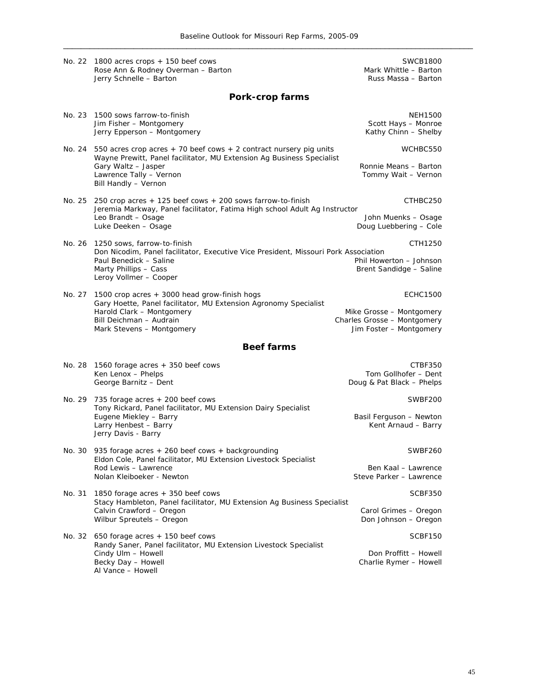|        | No. 22 1800 acres crops + 150 beef cows<br>Rose Ann & Rodney Overman - Barton                                                                                                                                         | <b>SWCB1800</b><br>Mark Whittle - Barton                                                              |  |  |  |  |  |  |
|--------|-----------------------------------------------------------------------------------------------------------------------------------------------------------------------------------------------------------------------|-------------------------------------------------------------------------------------------------------|--|--|--|--|--|--|
|        | Jerry Schnelle - Barton                                                                                                                                                                                               | Russ Massa - Barton                                                                                   |  |  |  |  |  |  |
|        | Pork-crop farms                                                                                                                                                                                                       |                                                                                                       |  |  |  |  |  |  |
| No. 23 | 1500 sows farrow-to-finish<br>Jim Fisher - Montgomery<br>Jerry Epperson - Montgomery                                                                                                                                  | <b>NEH1500</b><br>Scott Hays - Monroe<br>Kathy Chinn - Shelby                                         |  |  |  |  |  |  |
| No. 24 | 550 acres crop acres + 70 beef cows + 2 contract nursery pig units<br>Wayne Prewitt, Panel facilitator, MU Extension Ag Business Specialist<br>Gary Waltz - Jasper<br>Lawrence Tally - Vernon<br>Bill Handly - Vernon | WCHBC550<br>Ronnie Means - Barton<br>Tommy Wait - Vernon                                              |  |  |  |  |  |  |
| No. 25 | 250 crop acres + 125 beef cows + 200 sows farrow-to-finish<br>Jeremia Markway, Panel facilitator, Fatima High school Adult Ag Instructor<br>Leo Brandt - Osage<br>Luke Deeken - Osage                                 | CTHBC250<br>John Muenks - Osage<br>Doug Luebbering - Cole                                             |  |  |  |  |  |  |
| No. 26 | 1250 sows, farrow-to-finish<br>Don Nicodim, Panel facilitator, Executive Vice President, Missouri Pork Association<br>Paul Benedick - Saline<br>Marty Phillips - Cass<br>Leroy Vollmer - Cooper                       | CTH1250<br>Phil Howerton - Johnson<br>Brent Sandidge - Saline                                         |  |  |  |  |  |  |
| No. 27 | 1500 crop acres + 3000 head grow-finish hogs<br>Gary Hoette, Panel facilitator, MU Extension Agronomy Specialist<br>Harold Clark - Montgomery<br>Bill Deichman - Audrain<br>Mark Stevens - Montgomery                 | <b>ECHC1500</b><br>Mike Grosse - Montgomery<br>Charles Grosse - Montgomery<br>Jim Foster - Montgomery |  |  |  |  |  |  |
|        | <b>Beef farms</b>                                                                                                                                                                                                     |                                                                                                       |  |  |  |  |  |  |
| No. 28 | 1560 forage acres + 350 beef cows<br>Ken Lenox - Phelps<br>George Barnitz - Dent                                                                                                                                      | CTBF350<br>Tom Gollhofer - Dent<br>Doug & Pat Black - Phelps                                          |  |  |  |  |  |  |
| No. 29 | 735 forage acres + 200 beef cows<br>Tony Rickard, Panel facilitator, MU Extension Dairy Specialist<br>Eugene Miekley - Barry<br>Larry Henbest - Barry<br>Jerry Davis - Barry                                          | SWBF200<br>Basil Ferguson - Newton<br>Kent Arnaud - Barry                                             |  |  |  |  |  |  |
| No. 30 | 935 forage acres + 260 beef cows + backgrounding<br>Eldon Cole, Panel facilitator, MU Extension Livestock Specialist<br>Rod Lewis - Lawrence<br>Nolan Kleiboeker - Newton                                             | SWBF260<br>Ben Kaal - Lawrence<br>Steve Parker - Lawrence                                             |  |  |  |  |  |  |
| No. 31 | 1850 forage acres + 350 beef cows<br>Stacy Hambleton, Panel facilitator, MU Extension Ag Business Specialist<br>Calvin Crawford - Oregon<br>Wilbur Spreutels - Oregon                                                 | SCBF350<br>Carol Grimes - Oregon<br>Don Johnson - Oregon                                              |  |  |  |  |  |  |
| No. 32 | 650 forage acres + 150 beef cows<br>Randy Saner, Panel facilitator, MU Extension Livestock Specialist<br>Cindy Ulm - Howell<br>Becky Day - Howell<br>Al Vance - Howell                                                | SCBF150<br>Don Proffitt - Howell<br>Charlie Rymer - Howell                                            |  |  |  |  |  |  |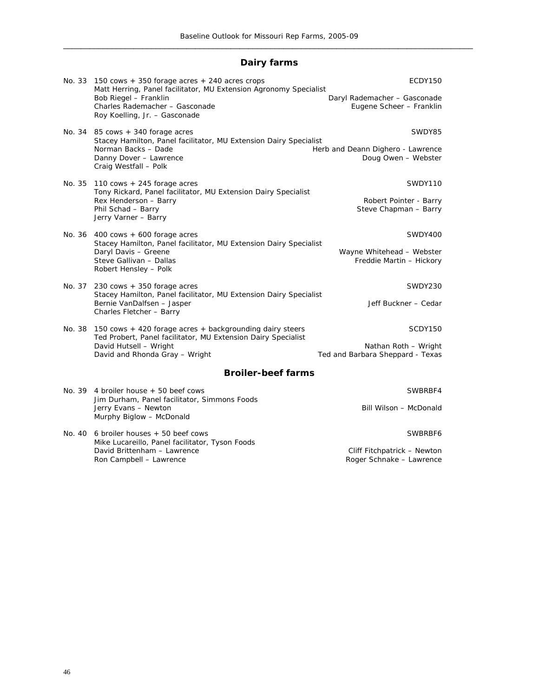## **Dairy farms**

|                           | No. 33 150 cows $+350$ forage acres $+240$ acres crops<br>Matt Herring, Panel facilitator, MU Extension Agronomy Specialist                                                                    | ECDY150                                                  |  |  |  |  |  |  |  |
|---------------------------|------------------------------------------------------------------------------------------------------------------------------------------------------------------------------------------------|----------------------------------------------------------|--|--|--|--|--|--|--|
|                           | Bob Riegel - Franklin<br>Charles Rademacher - Gasconade<br>Roy Koelling, Jr. - Gasconade                                                                                                       | Daryl Rademacher - Gasconade<br>Eugene Scheer - Franklin |  |  |  |  |  |  |  |
|                           | No. 34 $85$ cows $+340$ forage acres<br>Stacey Hamilton, Panel facilitator, MU Extension Dairy Specialist                                                                                      | SWDY85                                                   |  |  |  |  |  |  |  |
|                           | Norman Backs - Dade<br>Danny Dover - Lawrence<br>Craig Westfall - Polk                                                                                                                         | Herb and Deann Dighero - Lawrence<br>Doug Owen - Webster |  |  |  |  |  |  |  |
| No. 35                    | 110 $\cos + 245$ forage acres<br>Tony Rickard, Panel facilitator, MU Extension Dairy Specialist                                                                                                | SWDY110                                                  |  |  |  |  |  |  |  |
|                           | Rex Henderson - Barry<br>Phil Schad - Barry<br>Jerry Varner - Barry                                                                                                                            | Robert Pointer - Barry<br>Steve Chapman - Barry          |  |  |  |  |  |  |  |
| No. 36                    | $400 \text{ cows} + 600 \text{ forage acres}$<br>Stacey Hamilton, Panel facilitator, MU Extension Dairy Specialist<br>Daryl Davis - Greene<br>Steve Gallivan - Dallas<br>Robert Hensley - Polk | SWDY400                                                  |  |  |  |  |  |  |  |
|                           |                                                                                                                                                                                                | Wayne Whitehead - Webster<br>Freddie Martin - Hickory    |  |  |  |  |  |  |  |
| No. 37                    | 230 cows + 350 forage acres                                                                                                                                                                    | SWDY230                                                  |  |  |  |  |  |  |  |
|                           | Stacey Hamilton, Panel facilitator, MU Extension Dairy Specialist<br>Bernie VanDalfsen - Jasper<br>Charles Fletcher - Barry                                                                    | Jeff Buckner - Cedar                                     |  |  |  |  |  |  |  |
| No. 38                    | 150 cows + 420 forage acres + backgrounding dairy steers<br>Ted Probert, Panel facilitator, MU Extension Dairy Specialist                                                                      | SCDY150                                                  |  |  |  |  |  |  |  |
|                           | David Hutsell - Wright<br>David and Rhonda Gray - Wright                                                                                                                                       | Nathan Roth - Wright<br>Ted and Barbara Sheppard - Texas |  |  |  |  |  |  |  |
| <b>Broiler-beef farms</b> |                                                                                                                                                                                                |                                                          |  |  |  |  |  |  |  |
|                           | No. 39 4 broiler house $+50$ beef cows                                                                                                                                                         | SWBRBF4                                                  |  |  |  |  |  |  |  |
|                           | Jim Durham, Panel facilitator, Simmons Foods<br>Jerry Evans - Newton<br>Murphy Biglow - McDonald                                                                                               | Bill Wilson - McDonald                                   |  |  |  |  |  |  |  |
| No. 40                    | 6 broiler houses + 50 beef cows<br>Mike Lucareillo, Panel facilitator, Tyson Foods                                                                                                             | SWBRBF6                                                  |  |  |  |  |  |  |  |
|                           | David Brittenham - Lawrence                                                                                                                                                                    | Cliff Fitchpatrick - Newton                              |  |  |  |  |  |  |  |
|                           | Ron Campbell - Lawrence                                                                                                                                                                        | Roger Schnake - Lawrence                                 |  |  |  |  |  |  |  |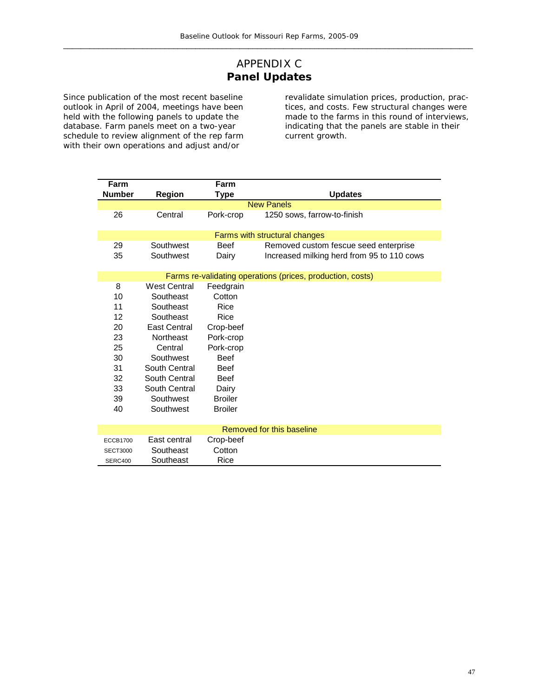## APPENDIX C **Panel Updates**

Since publication of the most recent baseline outlook in April of 2004, meetings have been held with the following panels to update the database. Farm panels meet on a two-year schedule to review alignment of the rep farm with their own operations and adjust and/or

revalidate simulation prices, production, practices, and costs. Few structural changes were made to the farms in this round of interviews, indicating that the panels are stable in their current growth.

| Farm                                |                               | Farm           |                                                            |  |  |  |  |  |  |
|-------------------------------------|-------------------------------|----------------|------------------------------------------------------------|--|--|--|--|--|--|
| <b>Number</b>                       | <b>Region</b>                 | Type           | <b>Updates</b>                                             |  |  |  |  |  |  |
| <b>New Panels</b>                   |                               |                |                                                            |  |  |  |  |  |  |
| 26                                  | Central                       | Pork-crop      | 1250 sows, farrow-to-finish                                |  |  |  |  |  |  |
|                                     | Farms with structural changes |                |                                                            |  |  |  |  |  |  |
| 29                                  | Southwest                     | <b>Beef</b>    | Removed custom fescue seed enterprise                      |  |  |  |  |  |  |
| 35                                  | Southwest                     | Dairy          | Increased milking herd from 95 to 110 cows                 |  |  |  |  |  |  |
|                                     |                               |                | Farms re-validating operations (prices, production, costs) |  |  |  |  |  |  |
| 8                                   | <b>West Central</b>           | Feedgrain      |                                                            |  |  |  |  |  |  |
| 10                                  | Southeast                     | Cotton         |                                                            |  |  |  |  |  |  |
| 11                                  | Southeast                     | Rice           |                                                            |  |  |  |  |  |  |
| 12                                  | Southeast                     | Rice           |                                                            |  |  |  |  |  |  |
| 20                                  | East Central                  | Crop-beef      |                                                            |  |  |  |  |  |  |
| 23<br><b>Northeast</b><br>Pork-crop |                               |                |                                                            |  |  |  |  |  |  |
| 25                                  | Central                       | Pork-crop      |                                                            |  |  |  |  |  |  |
| 30                                  | Southwest                     | <b>Beef</b>    |                                                            |  |  |  |  |  |  |
| 31                                  | South Central                 | <b>Beef</b>    |                                                            |  |  |  |  |  |  |
| 32                                  | South Central                 | <b>Beef</b>    |                                                            |  |  |  |  |  |  |
| 33                                  | South Central                 | Dairy          |                                                            |  |  |  |  |  |  |
| 39                                  | Southwest                     | <b>Broiler</b> |                                                            |  |  |  |  |  |  |
| 40                                  | Southwest                     | <b>Broiler</b> |                                                            |  |  |  |  |  |  |
|                                     |                               |                |                                                            |  |  |  |  |  |  |
| Removed for this baseline           |                               |                |                                                            |  |  |  |  |  |  |
| <b>ECCB1700</b>                     | East central                  | Crop-beef      |                                                            |  |  |  |  |  |  |
| <b>SECT3000</b>                     | Southeast                     | Cotton         |                                                            |  |  |  |  |  |  |
| SERC400                             | Southeast                     | Rice           |                                                            |  |  |  |  |  |  |